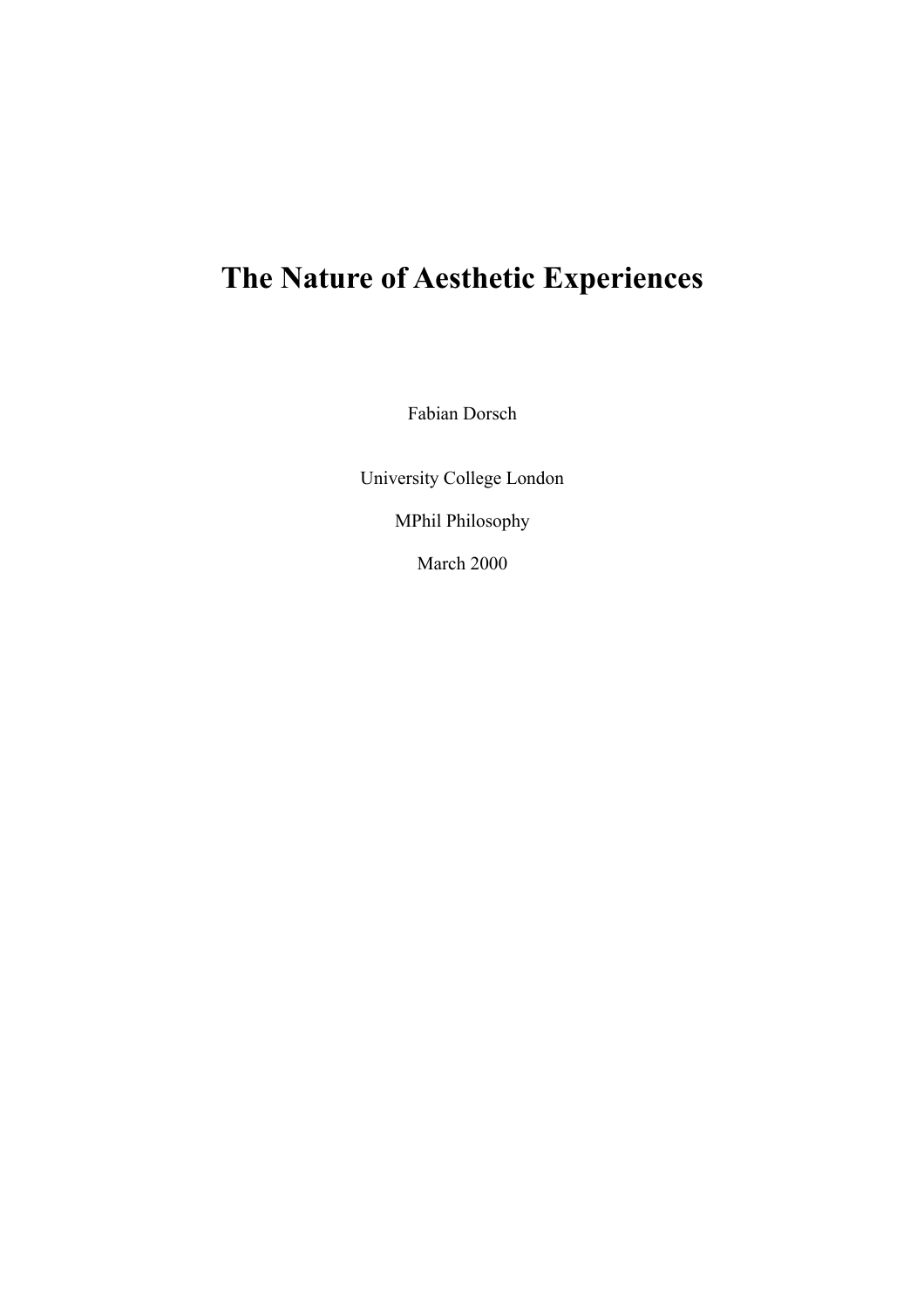# **The Nature of Aesthetic Experiences**

Fabian Dorsch

University College London MPhil Philosophy

March 2000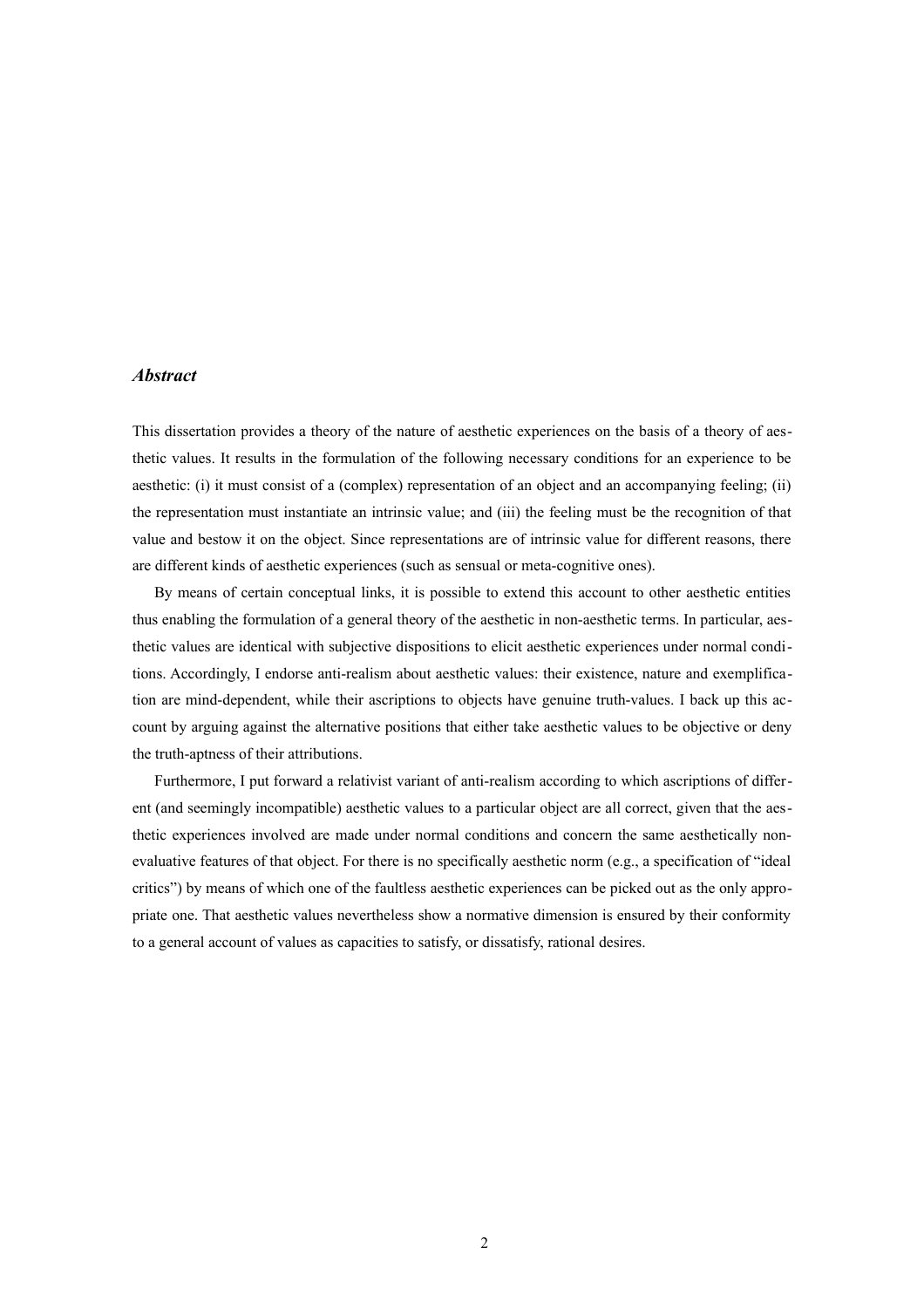#### *Abstract*

This dissertation provides a theory of the nature of aesthetic experiences on the basis of a theory of aesthetic values. It results in the formulation of the following necessary conditions for an experience to be aesthetic: (i) it must consist of a (complex) representation of an object and an accompanying feeling; (ii) the representation must instantiate an intrinsic value; and (iii) the feeling must be the recognition of that value and bestow it on the object. Since representations are of intrinsic value for different reasons, there are different kinds of aesthetic experiences (such as sensual or meta-cognitive ones).

By means of certain conceptual links, it is possible to extend this account to other aesthetic entities thus enabling the formulation of a general theory of the aesthetic in non-aesthetic terms. In particular, aesthetic values are identical with subjective dispositions to elicit aesthetic experiences under normal conditions. Accordingly, I endorse anti-realism about aesthetic values: their existence, nature and exemplification are mind-dependent, while their ascriptions to objects have genuine truth-values. I back up this account by arguing against the alternative positions that either take aesthetic values to be objective or deny the truth-aptness of their attributions.

Furthermore, I put forward a relativist variant of anti-realism according to which ascriptions of different (and seemingly incompatible) aesthetic values to a particular object are all correct, given that the aesthetic experiences involved are made under normal conditions and concern the same aesthetically nonevaluative features of that object. For there is no specifically aesthetic norm (e.g., a specification of "ideal critics") by means of which one of the faultless aesthetic experiences can be picked out as the only appropriate one. That aesthetic values nevertheless show a normative dimension is ensured by their conformity to a general account of values as capacities to satisfy, or dissatisfy, rational desires.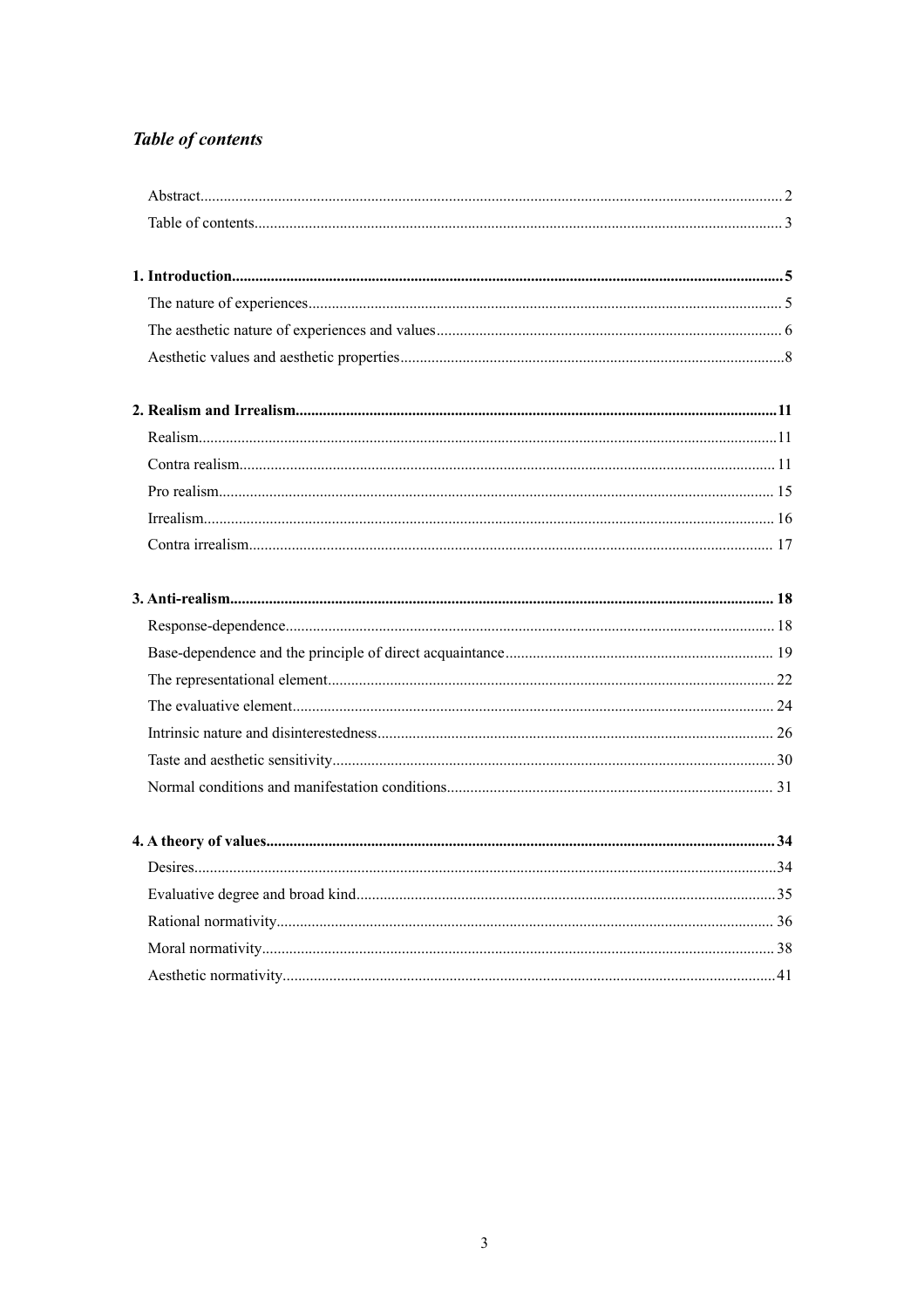## **Table of contents**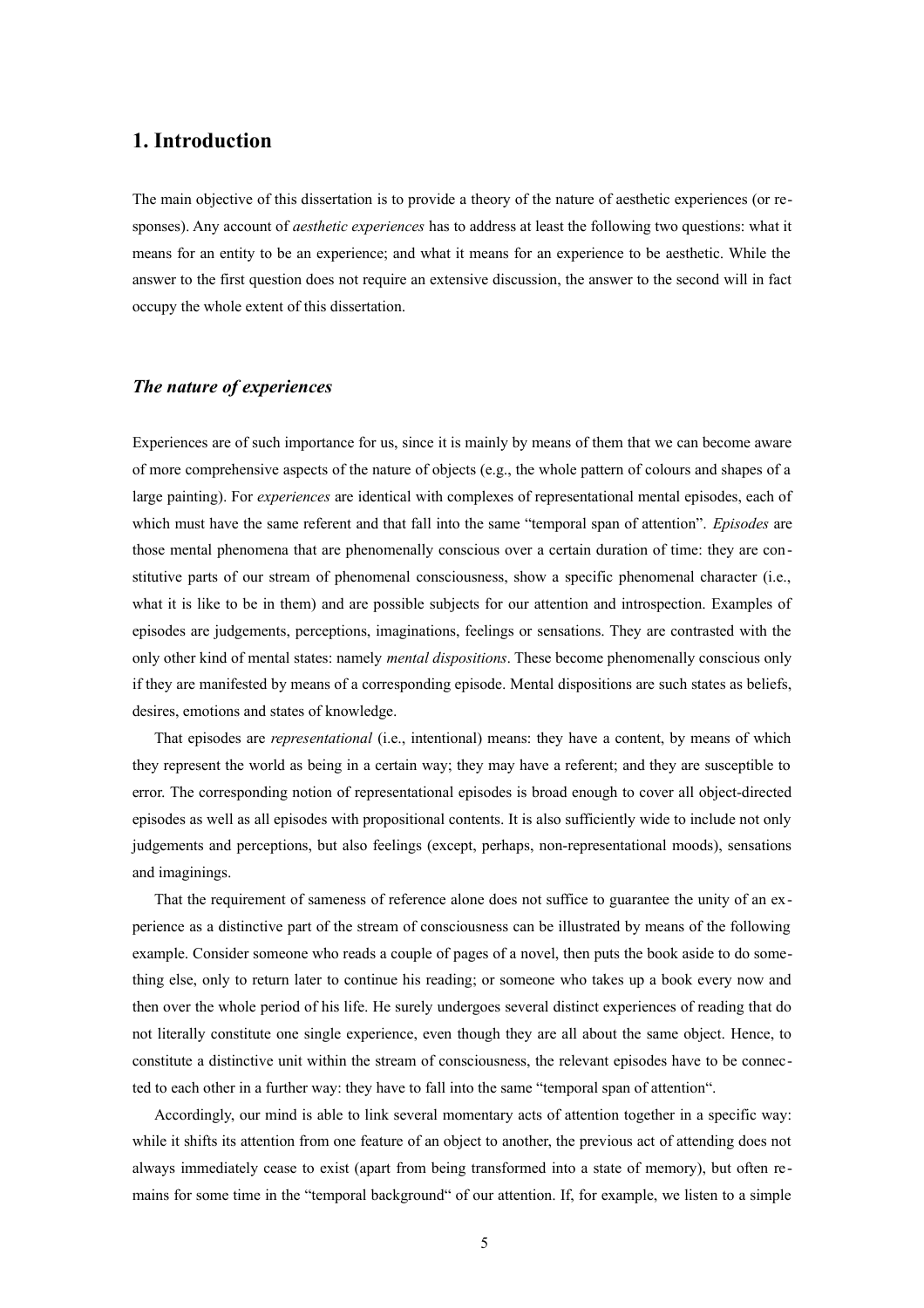## **1. Introduction**

The main objective of this dissertation is to provide a theory of the nature of aesthetic experiences (or responses). Any account of *aesthetic experiences* has to address at least the following two questions: what it means for an entity to be an experience; and what it means for an experience to be aesthetic. While the answer to the first question does not require an extensive discussion, the answer to the second will in fact occupy the whole extent of this dissertation.

## *The nature of experiences*

Experiences are of such importance for us, since it is mainly by means of them that we can become aware of more comprehensive aspects of the nature of objects (e.g., the whole pattern of colours and shapes of a large painting). For *experiences* are identical with complexes of representational mental episodes, each of which must have the same referent and that fall into the same "temporal span of attention". *Episodes* are those mental phenomena that are phenomenally conscious over a certain duration of time: they are constitutive parts of our stream of phenomenal consciousness, show a specific phenomenal character (i.e., what it is like to be in them) and are possible subjects for our attention and introspection. Examples of episodes are judgements, perceptions, imaginations, feelings or sensations. They are contrasted with the only other kind of mental states: namely *mental dispositions*. These become phenomenally conscious only if they are manifested by means of a corresponding episode. Mental dispositions are such states as beliefs, desires, emotions and states of knowledge.

That episodes are *representational* (i.e., intentional) means: they have a content, by means of which they represent the world as being in a certain way; they may have a referent; and they are susceptible to error. The corresponding notion of representational episodes is broad enough to cover all object-directed episodes as well as all episodes with propositional contents. It is also sufficiently wide to include not only judgements and perceptions, but also feelings (except, perhaps, non-representational moods), sensations and imaginings.

That the requirement of sameness of reference alone does not suffice to guarantee the unity of an experience as a distinctive part of the stream of consciousness can be illustrated by means of the following example. Consider someone who reads a couple of pages of a novel, then puts the book aside to do something else, only to return later to continue his reading; or someone who takes up a book every now and then over the whole period of his life. He surely undergoes several distinct experiences of reading that do not literally constitute one single experience, even though they are all about the same object. Hence, to constitute a distinctive unit within the stream of consciousness, the relevant episodes have to be connected to each other in a further way: they have to fall into the same "temporal span of attention".

Accordingly, our mind is able to link several momentary acts of attention together in a specific way: while it shifts its attention from one feature of an object to another, the previous act of attending does not always immediately cease to exist (apart from being transformed into a state of memory), but often remains for some time in the "temporal background" of our attention. If, for example, we listen to a simple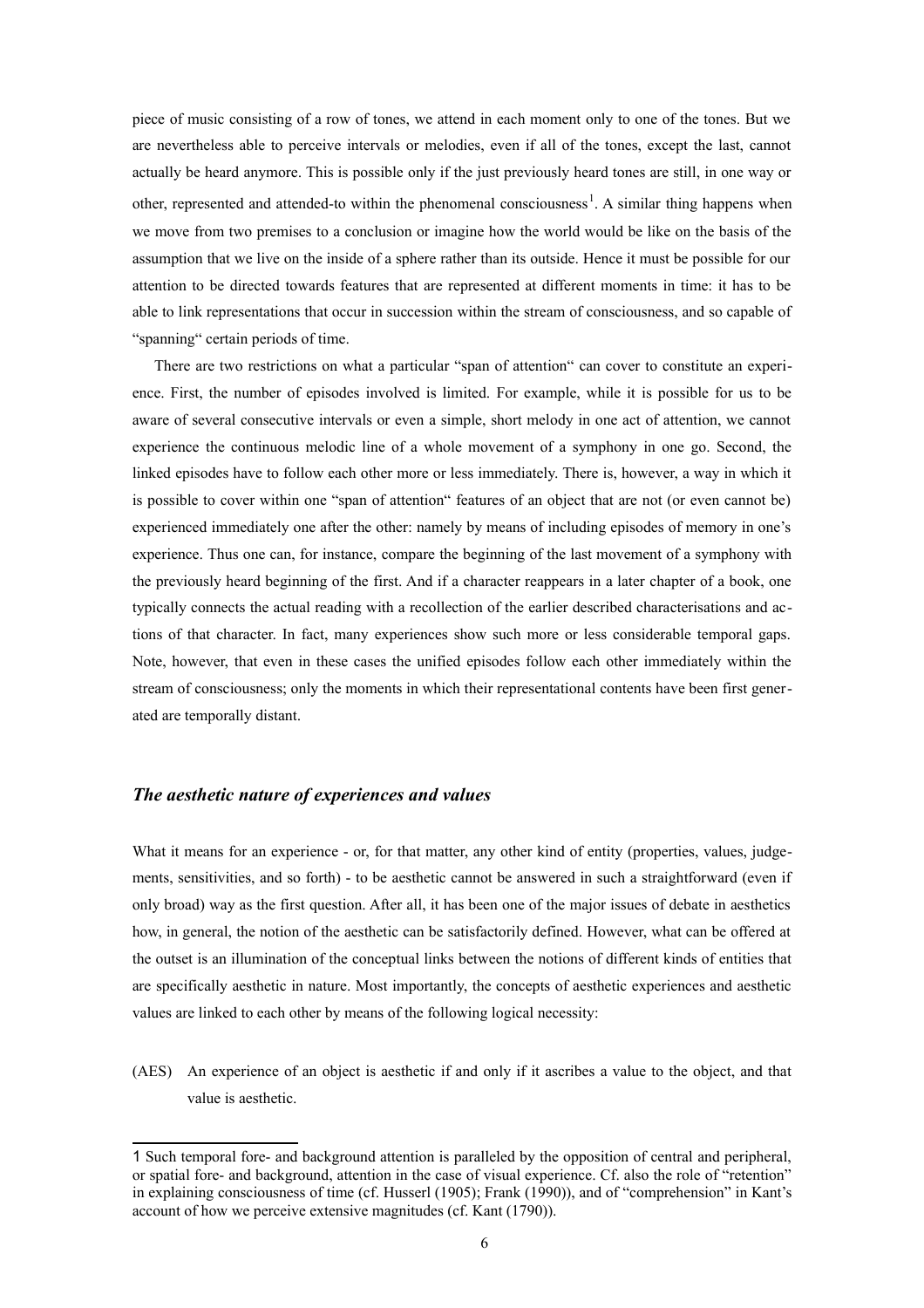piece of music consisting of a row of tones, we attend in each moment only to one of the tones. But we are nevertheless able to perceive intervals or melodies, even if all of the tones, except the last, cannot actually be heard anymore. This is possible only if the just previously heard tones are still, in one way or other, represented and attended-to within the phenomenal consciousness<sup>[1](#page-5-0)</sup>. A similar thing happens when we move from two premises to a conclusion or imagine how the world would be like on the basis of the assumption that we live on the inside of a sphere rather than its outside. Hence it must be possible for our attention to be directed towards features that are represented at different moments in time: it has to be able to link representations that occur in succession within the stream of consciousness, and so capable of "spanning" certain periods of time.

There are two restrictions on what a particular "span of attention" can cover to constitute an experience. First, the number of episodes involved is limited. For example, while it is possible for us to be aware of several consecutive intervals or even a simple, short melody in one act of attention, we cannot experience the continuous melodic line of a whole movement of a symphony in one go. Second, the linked episodes have to follow each other more or less immediately. There is, however, a way in which it is possible to cover within one "span of attention" features of an object that are not (or even cannot be) experienced immediately one after the other: namely by means of including episodes of memory in one's experience. Thus one can, for instance, compare the beginning of the last movement of a symphony with the previously heard beginning of the first. And if a character reappears in a later chapter of a book, one typically connects the actual reading with a recollection of the earlier described characterisations and actions of that character. In fact, many experiences show such more or less considerable temporal gaps. Note, however, that even in these cases the unified episodes follow each other immediately within the stream of consciousness; only the moments in which their representational contents have been first generated are temporally distant.

## *The aesthetic nature of experiences and values*

What it means for an experience - or, for that matter, any other kind of entity (properties, values, judgements, sensitivities, and so forth) - to be aesthetic cannot be answered in such a straightforward (even if only broad) way as the first question. After all, it has been one of the major issues of debate in aesthetics how, in general, the notion of the aesthetic can be satisfactorily defined. However, what can be offered at the outset is an illumination of the conceptual links between the notions of different kinds of entities that are specifically aesthetic in nature. Most importantly, the concepts of aesthetic experiences and aesthetic values are linked to each other by means of the following logical necessity:

(AES) An experience of an object is aesthetic if and only if it ascribes a value to the object, and that value is aesthetic.

<span id="page-5-0"></span><sup>1</sup> Such temporal fore- and background attention is paralleled by the opposition of central and peripheral, or spatial fore- and background, attention in the case of visual experience. Cf. also the role of "retention" in explaining consciousness of time (cf. Husserl (1905); Frank (1990)), and of "comprehension" in Kant's account of how we perceive extensive magnitudes (cf. Kant (1790)).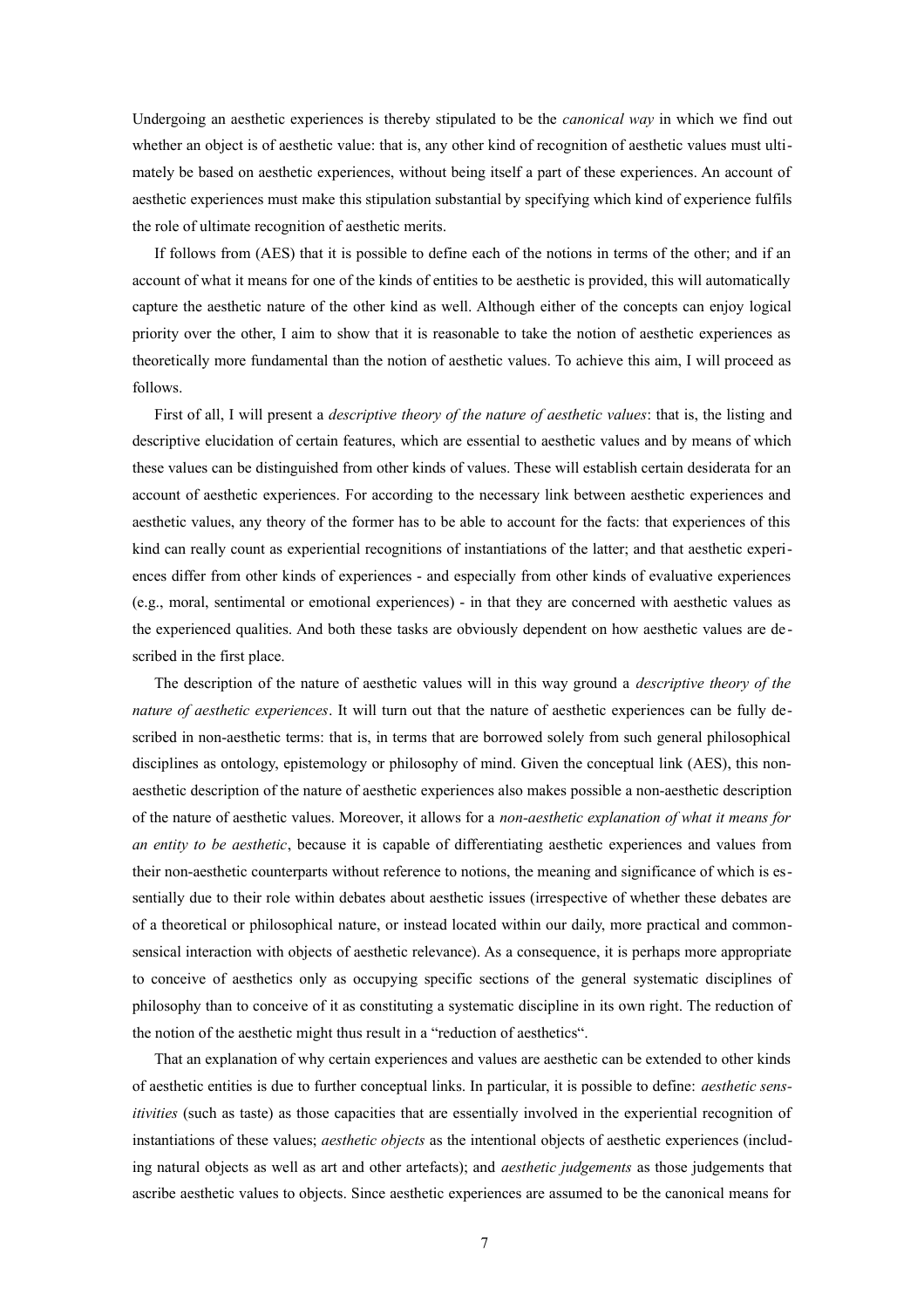Undergoing an aesthetic experiences is thereby stipulated to be the *canonical way* in which we find out whether an object is of aesthetic value: that is, any other kind of recognition of aesthetic values must ultimately be based on aesthetic experiences, without being itself a part of these experiences. An account of aesthetic experiences must make this stipulation substantial by specifying which kind of experience fulfils the role of ultimate recognition of aesthetic merits.

If follows from (AES) that it is possible to define each of the notions in terms of the other; and if an account of what it means for one of the kinds of entities to be aesthetic is provided, this will automatically capture the aesthetic nature of the other kind as well. Although either of the concepts can enjoy logical priority over the other, I aim to show that it is reasonable to take the notion of aesthetic experiences as theoretically more fundamental than the notion of aesthetic values. To achieve this aim, I will proceed as follows.

First of all, I will present a *descriptive theory of the nature of aesthetic values*: that is, the listing and descriptive elucidation of certain features, which are essential to aesthetic values and by means of which these values can be distinguished from other kinds of values. These will establish certain desiderata for an account of aesthetic experiences. For according to the necessary link between aesthetic experiences and aesthetic values, any theory of the former has to be able to account for the facts: that experiences of this kind can really count as experiential recognitions of instantiations of the latter; and that aesthetic experiences differ from other kinds of experiences - and especially from other kinds of evaluative experiences (e.g., moral, sentimental or emotional experiences) - in that they are concerned with aesthetic values as the experienced qualities. And both these tasks are obviously dependent on how aesthetic values are de scribed in the first place.

The description of the nature of aesthetic values will in this way ground a *descriptive theory of the nature of aesthetic experiences*. It will turn out that the nature of aesthetic experiences can be fully described in non-aesthetic terms: that is, in terms that are borrowed solely from such general philosophical disciplines as ontology, epistemology or philosophy of mind. Given the conceptual link (AES), this nonaesthetic description of the nature of aesthetic experiences also makes possible a non-aesthetic description of the nature of aesthetic values. Moreover, it allows for a *non-aesthetic explanation of what it means for an entity to be aesthetic*, because it is capable of differentiating aesthetic experiences and values from their non-aesthetic counterparts without reference to notions, the meaning and significance of which is essentially due to their role within debates about aesthetic issues (irrespective of whether these debates are of a theoretical or philosophical nature, or instead located within our daily, more practical and commonsensical interaction with objects of aesthetic relevance). As a consequence, it is perhaps more appropriate to conceive of aesthetics only as occupying specific sections of the general systematic disciplines of philosophy than to conceive of it as constituting a systematic discipline in its own right. The reduction of the notion of the aesthetic might thus result in a "reduction of aesthetics".

That an explanation of why certain experiences and values are aesthetic can be extended to other kinds of aesthetic entities is due to further conceptual links. In particular, it is possible to define: *aesthetic sensitivities* (such as taste) as those capacities that are essentially involved in the experiential recognition of instantiations of these values; *aesthetic objects* as the intentional objects of aesthetic experiences (including natural objects as well as art and other artefacts); and *aesthetic judgements* as those judgements that ascribe aesthetic values to objects. Since aesthetic experiences are assumed to be the canonical means for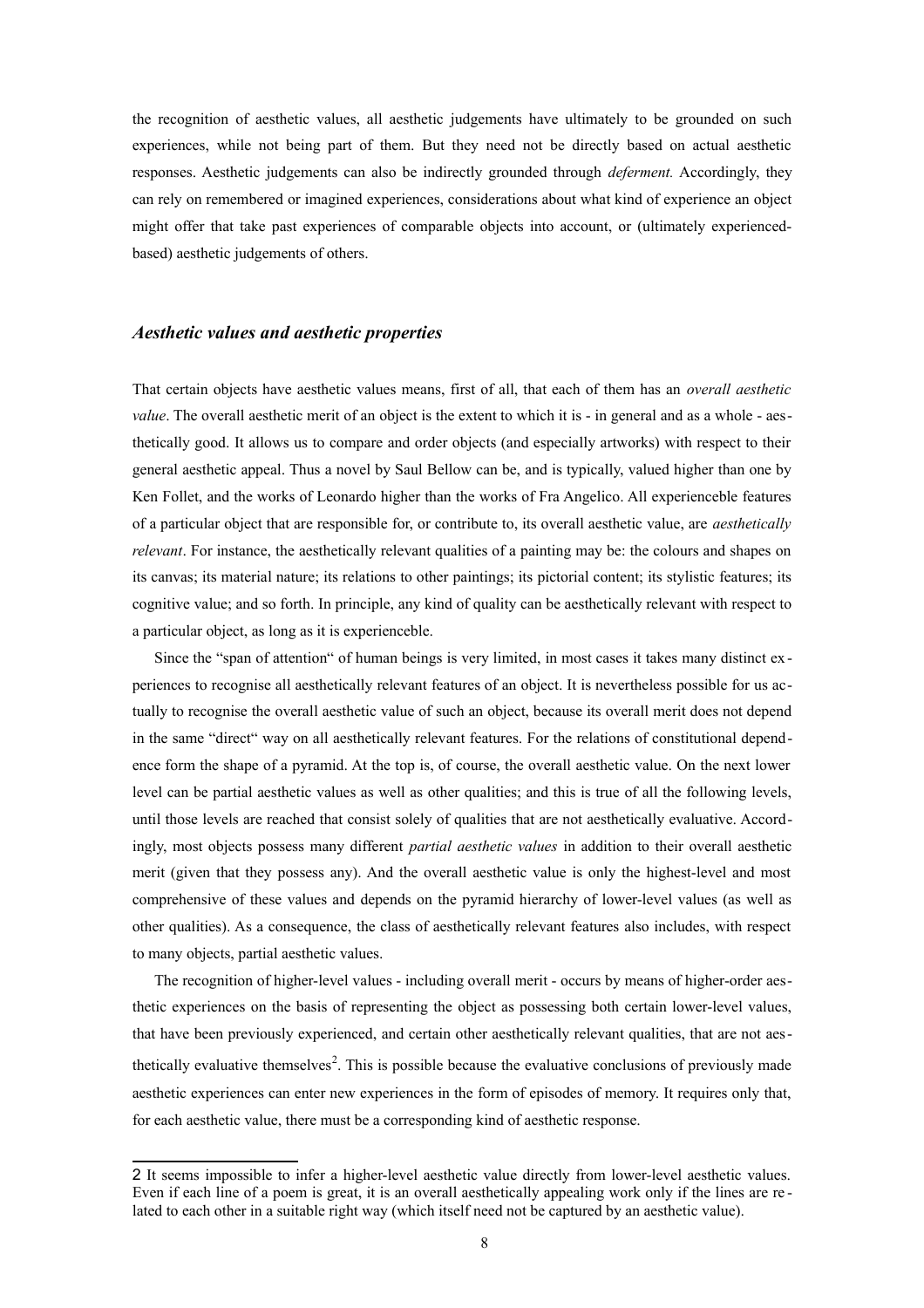the recognition of aesthetic values, all aesthetic judgements have ultimately to be grounded on such experiences, while not being part of them. But they need not be directly based on actual aesthetic responses. Aesthetic judgements can also be indirectly grounded through *deferment.* Accordingly, they can rely on remembered or imagined experiences, considerations about what kind of experience an object might offer that take past experiences of comparable objects into account, or (ultimately experiencedbased) aesthetic judgements of others.

## *Aesthetic values and aesthetic properties*

That certain objects have aesthetic values means, first of all, that each of them has an *overall aesthetic value*. The overall aesthetic merit of an object is the extent to which it is - in general and as a whole - aesthetically good. It allows us to compare and order objects (and especially artworks) with respect to their general aesthetic appeal. Thus a novel by Saul Bellow can be, and is typically, valued higher than one by Ken Follet, and the works of Leonardo higher than the works of Fra Angelico. All experienceble features of a particular object that are responsible for, or contribute to, its overall aesthetic value, are *aesthetically relevant*. For instance, the aesthetically relevant qualities of a painting may be: the colours and shapes on its canvas; its material nature; its relations to other paintings; its pictorial content; its stylistic features; its cognitive value; and so forth. In principle, any kind of quality can be aesthetically relevant with respect to a particular object, as long as it is experienceble.

Since the "span of attention" of human beings is very limited, in most cases it takes many distinct ex periences to recognise all aesthetically relevant features of an object. It is nevertheless possible for us actually to recognise the overall aesthetic value of such an object, because its overall merit does not depend in the same "direct" way on all aesthetically relevant features. For the relations of constitutional dependence form the shape of a pyramid. At the top is, of course, the overall aesthetic value. On the next lower level can be partial aesthetic values as well as other qualities; and this is true of all the following levels, until those levels are reached that consist solely of qualities that are not aesthetically evaluative. Accordingly, most objects possess many different *partial aesthetic values* in addition to their overall aesthetic merit (given that they possess any). And the overall aesthetic value is only the highest-level and most comprehensive of these values and depends on the pyramid hierarchy of lower-level values (as well as other qualities). As a consequence, the class of aesthetically relevant features also includes, with respect to many objects, partial aesthetic values.

The recognition of higher-level values - including overall merit - occurs by means of higher-order aesthetic experiences on the basis of representing the object as possessing both certain lower-level values, that have been previously experienced, and certain other aesthetically relevant qualities, that are not aes-thetically evaluative themselves<sup>[2](#page-7-0)</sup>. This is possible because the evaluative conclusions of previously made aesthetic experiences can enter new experiences in the form of episodes of memory. It requires only that, for each aesthetic value, there must be a corresponding kind of aesthetic response.

<span id="page-7-0"></span><sup>2</sup> It seems impossible to infer a higher-level aesthetic value directly from lower-level aesthetic values. Even if each line of a poem is great, it is an overall aesthetically appealing work only if the lines are related to each other in a suitable right way (which itself need not be captured by an aesthetic value).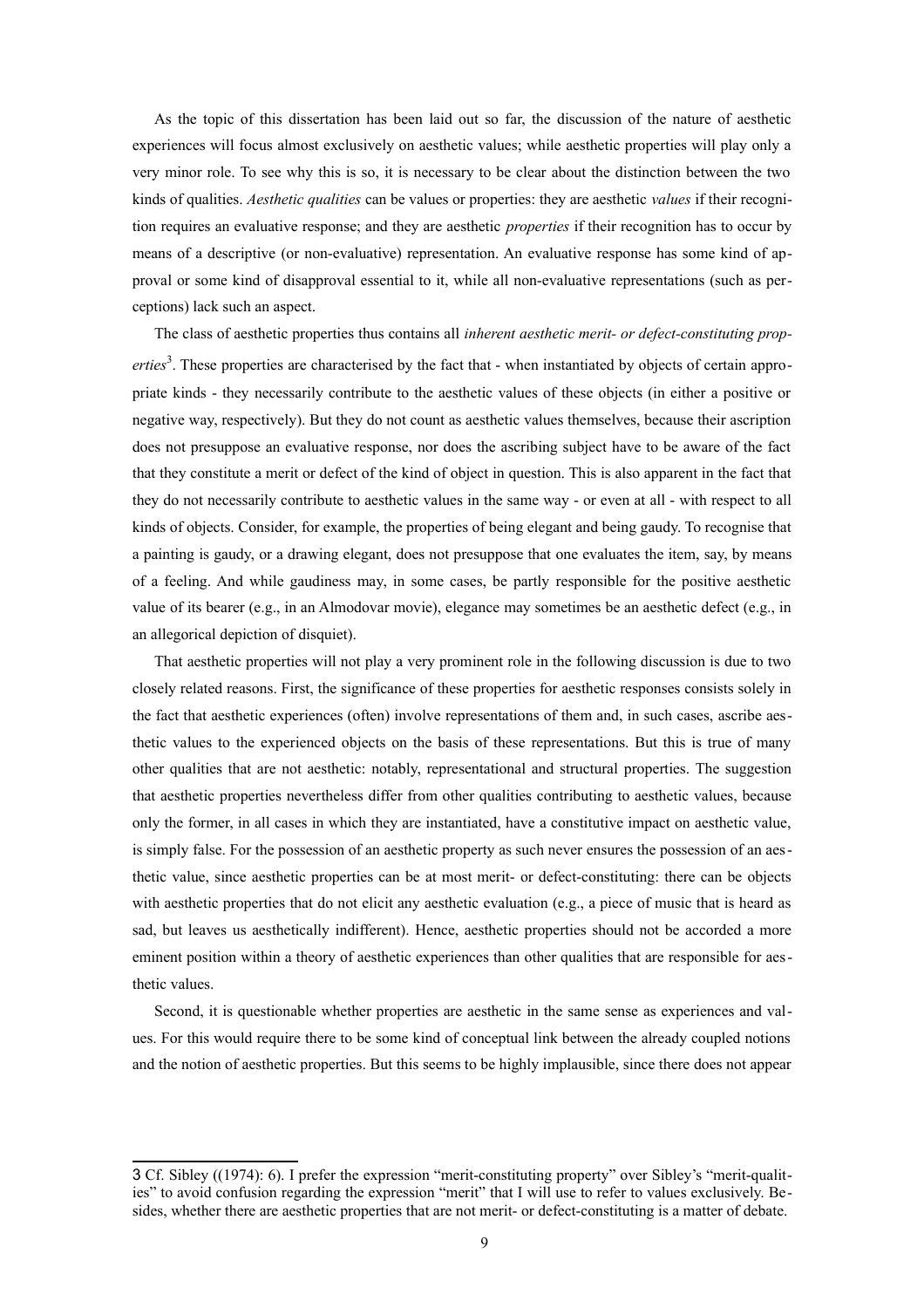As the topic of this dissertation has been laid out so far, the discussion of the nature of aesthetic experiences will focus almost exclusively on aesthetic values; while aesthetic properties will play only a very minor role. To see why this is so, it is necessary to be clear about the distinction between the two kinds of qualities. *Aesthetic qualities* can be values or properties: they are aesthetic *values* if their recognition requires an evaluative response; and they are aesthetic *properties* if their recognition has to occur by means of a descriptive (or non-evaluative) representation. An evaluative response has some kind of approval or some kind of disapproval essential to it, while all non-evaluative representations (such as perceptions) lack such an aspect.

The class of aesthetic properties thus contains all *inherent aesthetic merit- or defect-constituting prop-*erties<sup>[3](#page-8-0)</sup>. These properties are characterised by the fact that - when instantiated by objects of certain appropriate kinds - they necessarily contribute to the aesthetic values of these objects (in either a positive or negative way, respectively). But they do not count as aesthetic values themselves, because their ascription does not presuppose an evaluative response, nor does the ascribing subject have to be aware of the fact that they constitute a merit or defect of the kind of object in question. This is also apparent in the fact that they do not necessarily contribute to aesthetic values in the same way - or even at all - with respect to all kinds of objects. Consider, for example, the properties of being elegant and being gaudy. To recognise that a painting is gaudy, or a drawing elegant, does not presuppose that one evaluates the item, say, by means of a feeling. And while gaudiness may, in some cases, be partly responsible for the positive aesthetic value of its bearer (e.g., in an Almodovar movie), elegance may sometimes be an aesthetic defect (e.g., in an allegorical depiction of disquiet).

That aesthetic properties will not play a very prominent role in the following discussion is due to two closely related reasons. First, the significance of these properties for aesthetic responses consists solely in the fact that aesthetic experiences (often) involve representations of them and, in such cases, ascribe aesthetic values to the experienced objects on the basis of these representations. But this is true of many other qualities that are not aesthetic: notably, representational and structural properties. The suggestion that aesthetic properties nevertheless differ from other qualities contributing to aesthetic values, because only the former, in all cases in which they are instantiated, have a constitutive impact on aesthetic value, is simply false. For the possession of an aesthetic property as such never ensures the possession of an aesthetic value, since aesthetic properties can be at most merit- or defect-constituting: there can be objects with aesthetic properties that do not elicit any aesthetic evaluation (e.g., a piece of music that is heard as sad, but leaves us aesthetically indifferent). Hence, aesthetic properties should not be accorded a more eminent position within a theory of aesthetic experiences than other qualities that are responsible for aesthetic values.

Second, it is questionable whether properties are aesthetic in the same sense as experiences and values. For this would require there to be some kind of conceptual link between the already coupled notions and the notion of aesthetic properties. But this seems to be highly implausible, since there does not appear

<span id="page-8-0"></span><sup>3</sup> Cf. Sibley ((1974): 6). I prefer the expression "merit-constituting property" over Sibley's "merit-qualities" to avoid confusion regarding the expression "merit" that I will use to refer to values exclusively. Besides, whether there are aesthetic properties that are not merit- or defect-constituting is a matter of debate.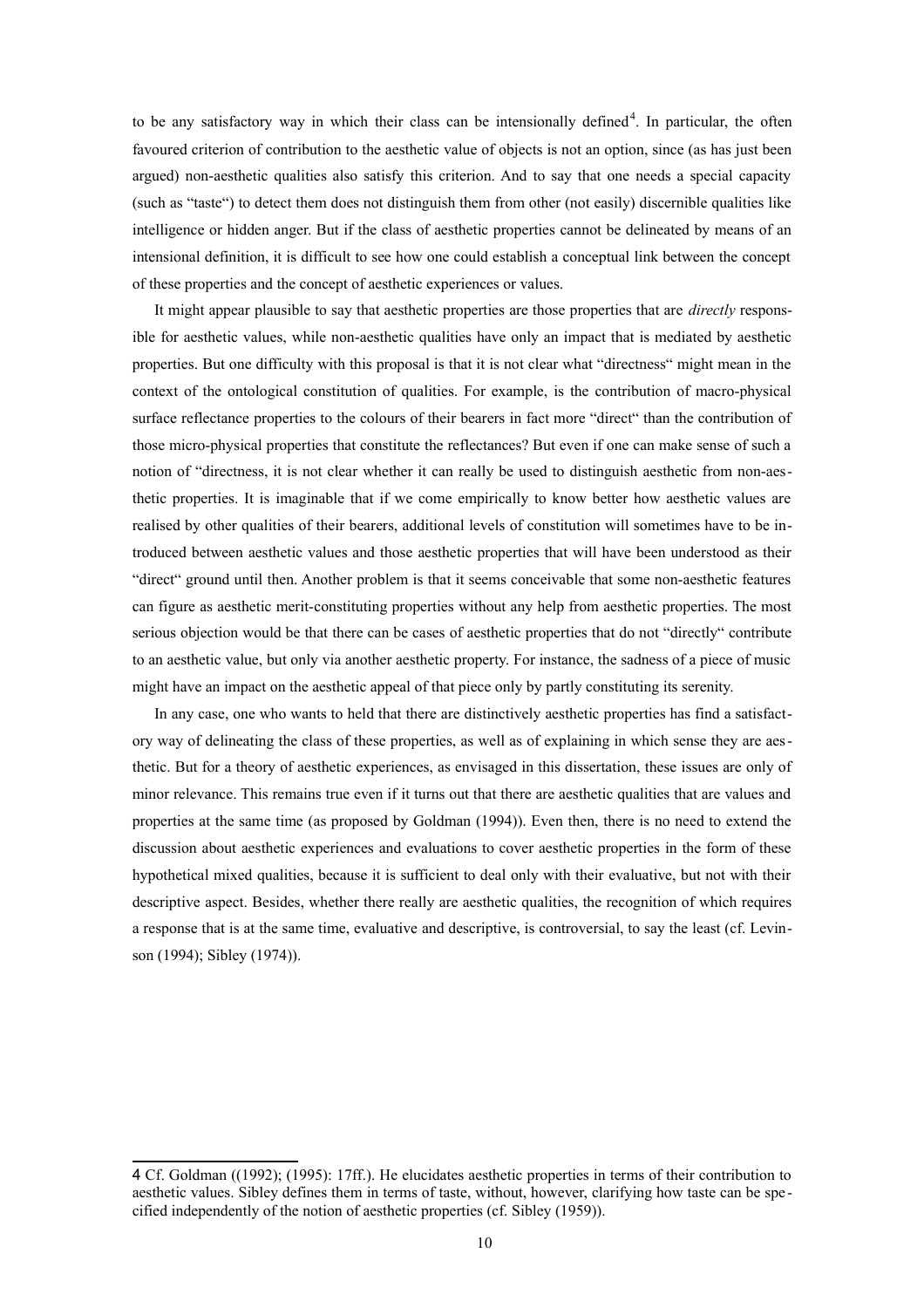to be any satisfactory way in which their class can be intensionally defined<sup>[4](#page-9-0)</sup>. In particular, the often favoured criterion of contribution to the aesthetic value of objects is not an option, since (as has just been argued) non-aesthetic qualities also satisfy this criterion. And to say that one needs a special capacity (such as "taste") to detect them does not distinguish them from other (not easily) discernible qualities like intelligence or hidden anger. But if the class of aesthetic properties cannot be delineated by means of an intensional definition, it is difficult to see how one could establish a conceptual link between the concept of these properties and the concept of aesthetic experiences or values.

It might appear plausible to say that aesthetic properties are those properties that are *directly* responsible for aesthetic values, while non-aesthetic qualities have only an impact that is mediated by aesthetic properties. But one difficulty with this proposal is that it is not clear what "directness" might mean in the context of the ontological constitution of qualities. For example, is the contribution of macro-physical surface reflectance properties to the colours of their bearers in fact more "direct" than the contribution of those micro-physical properties that constitute the reflectances? But even if one can make sense of such a notion of "directness, it is not clear whether it can really be used to distinguish aesthetic from non-aesthetic properties. It is imaginable that if we come empirically to know better how aesthetic values are realised by other qualities of their bearers, additional levels of constitution will sometimes have to be introduced between aesthetic values and those aesthetic properties that will have been understood as their "direct" ground until then. Another problem is that it seems conceivable that some non-aesthetic features can figure as aesthetic merit-constituting properties without any help from aesthetic properties. The most serious objection would be that there can be cases of aesthetic properties that do not "directly" contribute to an aesthetic value, but only via another aesthetic property. For instance, the sadness of a piece of music might have an impact on the aesthetic appeal of that piece only by partly constituting its serenity.

In any case, one who wants to held that there are distinctively aesthetic properties has find a satisfactory way of delineating the class of these properties, as well as of explaining in which sense they are aesthetic. But for a theory of aesthetic experiences, as envisaged in this dissertation, these issues are only of minor relevance. This remains true even if it turns out that there are aesthetic qualities that are values and properties at the same time (as proposed by Goldman (1994)). Even then, there is no need to extend the discussion about aesthetic experiences and evaluations to cover aesthetic properties in the form of these hypothetical mixed qualities, because it is sufficient to deal only with their evaluative, but not with their descriptive aspect. Besides, whether there really are aesthetic qualities, the recognition of which requires a response that is at the same time, evaluative and descriptive, is controversial, to say the least (cf. Levinson (1994); Sibley (1974)).

<span id="page-9-0"></span><sup>4</sup> Cf. Goldman ((1992); (1995): 17ff.). He elucidates aesthetic properties in terms of their contribution to aesthetic values. Sibley defines them in terms of taste, without, however, clarifying how taste can be spe cified independently of the notion of aesthetic properties (cf. Sibley (1959)).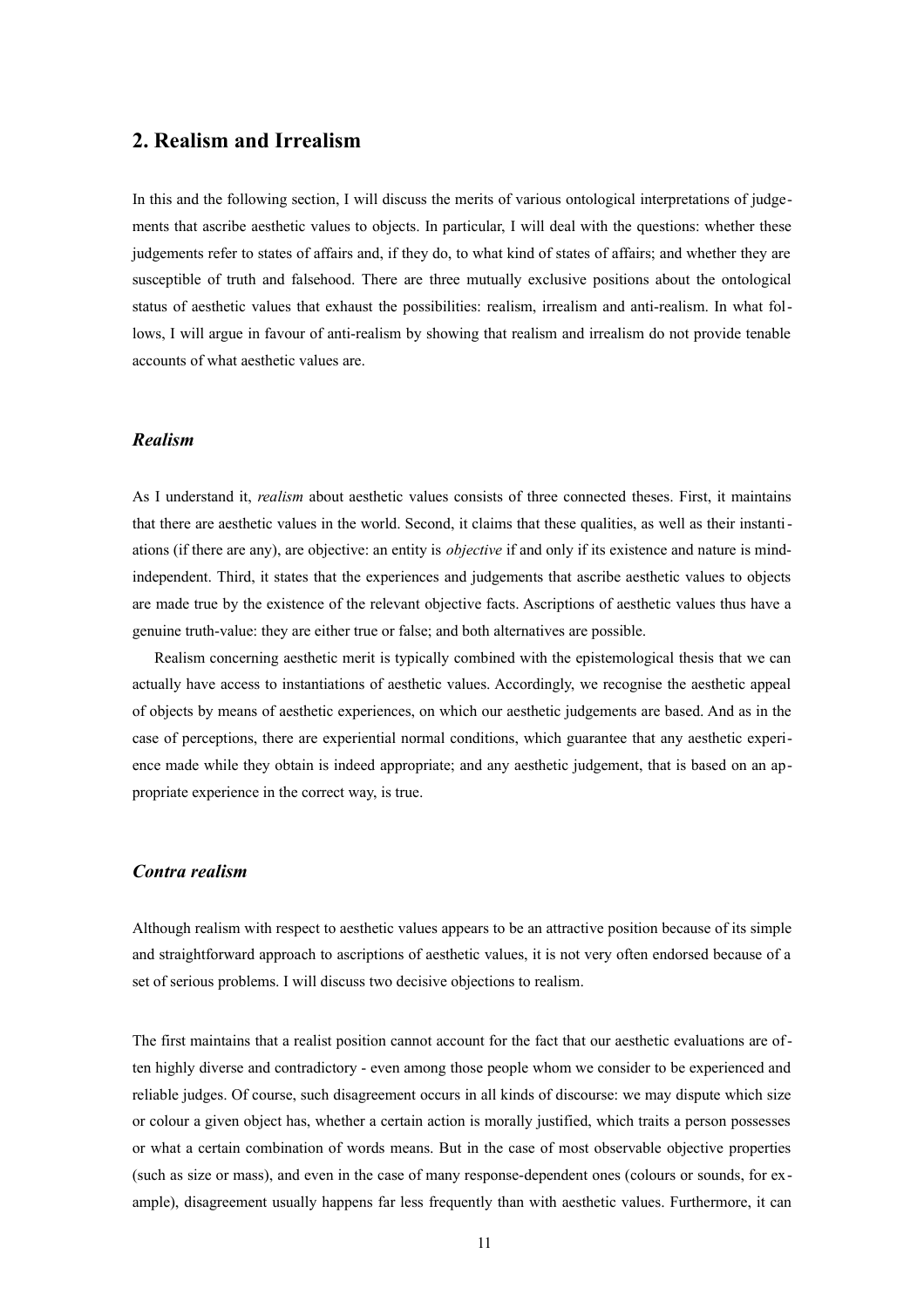## **2. Realism and Irrealism**

In this and the following section, I will discuss the merits of various ontological interpretations of judgements that ascribe aesthetic values to objects. In particular, I will deal with the questions: whether these judgements refer to states of affairs and, if they do, to what kind of states of affairs; and whether they are susceptible of truth and falsehood. There are three mutually exclusive positions about the ontological status of aesthetic values that exhaust the possibilities: realism, irrealism and anti-realism. In what follows, I will argue in favour of anti-realism by showing that realism and irrealism do not provide tenable accounts of what aesthetic values are.

#### *Realism*

As I understand it, *realism* about aesthetic values consists of three connected theses. First, it maintains that there are aesthetic values in the world. Second, it claims that these qualities, as well as their instantiations (if there are any), are objective: an entity is *objective* if and only if its existence and nature is mindindependent. Third, it states that the experiences and judgements that ascribe aesthetic values to objects are made true by the existence of the relevant objective facts. Ascriptions of aesthetic values thus have a genuine truth-value: they are either true or false; and both alternatives are possible.

Realism concerning aesthetic merit is typically combined with the epistemological thesis that we can actually have access to instantiations of aesthetic values. Accordingly, we recognise the aesthetic appeal of objects by means of aesthetic experiences, on which our aesthetic judgements are based. And as in the case of perceptions, there are experiential normal conditions, which guarantee that any aesthetic experience made while they obtain is indeed appropriate; and any aesthetic judgement, that is based on an appropriate experience in the correct way, is true.

#### *Contra realism*

Although realism with respect to aesthetic values appears to be an attractive position because of its simple and straightforward approach to ascriptions of aesthetic values, it is not very often endorsed because of a set of serious problems. I will discuss two decisive objections to realism.

The first maintains that a realist position cannot account for the fact that our aesthetic evaluations are often highly diverse and contradictory - even among those people whom we consider to be experienced and reliable judges. Of course, such disagreement occurs in all kinds of discourse: we may dispute which size or colour a given object has, whether a certain action is morally justified, which traits a person possesses or what a certain combination of words means. But in the case of most observable objective properties (such as size or mass), and even in the case of many response-dependent ones (colours or sounds, for example), disagreement usually happens far less frequently than with aesthetic values. Furthermore, it can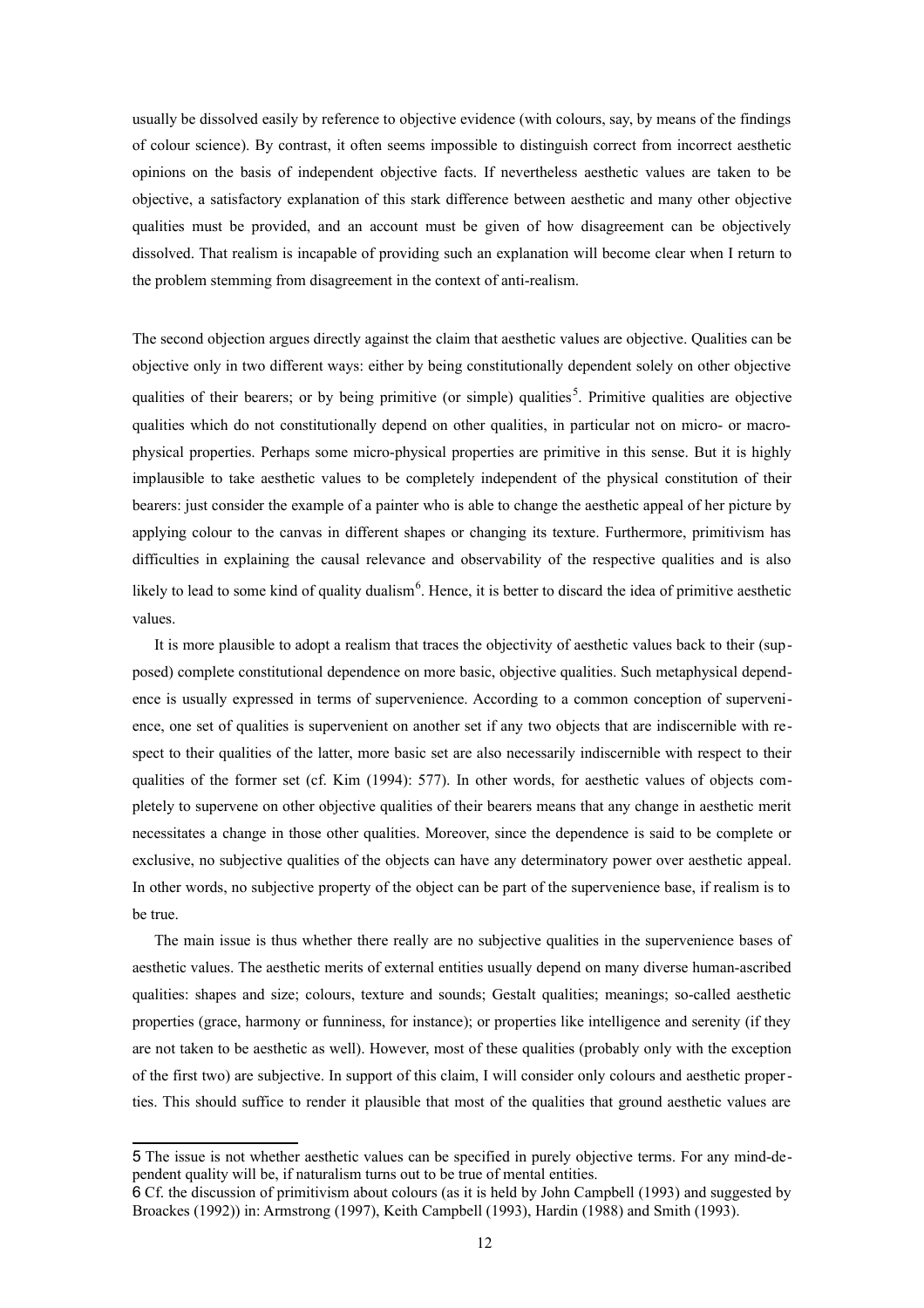usually be dissolved easily by reference to objective evidence (with colours, say, by means of the findings of colour science). By contrast, it often seems impossible to distinguish correct from incorrect aesthetic opinions on the basis of independent objective facts. If nevertheless aesthetic values are taken to be objective, a satisfactory explanation of this stark difference between aesthetic and many other objective qualities must be provided, and an account must be given of how disagreement can be objectively dissolved. That realism is incapable of providing such an explanation will become clear when I return to the problem stemming from disagreement in the context of anti-realism.

The second objection argues directly against the claim that aesthetic values are objective. Qualities can be objective only in two different ways: either by being constitutionally dependent solely on other objective qualities of their bearers; or by being primitive (or simple) qualities<sup>[5](#page-11-0)</sup>. Primitive qualities are objective qualities which do not constitutionally depend on other qualities, in particular not on micro- or macrophysical properties. Perhaps some micro-physical properties are primitive in this sense. But it is highly implausible to take aesthetic values to be completely independent of the physical constitution of their bearers: just consider the example of a painter who is able to change the aesthetic appeal of her picture by applying colour to the canvas in different shapes or changing its texture. Furthermore, primitivism has difficulties in explaining the causal relevance and observability of the respective qualities and is also likely to lead to some kind of quality dualism<sup>[6](#page-11-1)</sup>. Hence, it is better to discard the idea of primitive aesthetic values.

It is more plausible to adopt a realism that traces the objectivity of aesthetic values back to their (supposed) complete constitutional dependence on more basic, objective qualities. Such metaphysical dependence is usually expressed in terms of supervenience. According to a common conception of supervenience, one set of qualities is supervenient on another set if any two objects that are indiscernible with respect to their qualities of the latter, more basic set are also necessarily indiscernible with respect to their qualities of the former set (cf. Kim (1994): 577). In other words, for aesthetic values of objects completely to supervene on other objective qualities of their bearers means that any change in aesthetic merit necessitates a change in those other qualities. Moreover, since the dependence is said to be complete or exclusive, no subjective qualities of the objects can have any determinatory power over aesthetic appeal. In other words, no subjective property of the object can be part of the supervenience base, if realism is to be true.

The main issue is thus whether there really are no subjective qualities in the supervenience bases of aesthetic values. The aesthetic merits of external entities usually depend on many diverse human-ascribed qualities: shapes and size; colours, texture and sounds; Gestalt qualities; meanings; so-called aesthetic properties (grace, harmony or funniness, for instance); or properties like intelligence and serenity (if they are not taken to be aesthetic as well). However, most of these qualities (probably only with the exception of the first two) are subjective. In support of this claim, I will consider only colours and aesthetic properties. This should suffice to render it plausible that most of the qualities that ground aesthetic values are

<span id="page-11-0"></span><sup>5</sup> The issue is not whether aesthetic values can be specified in purely objective terms. For any mind-dependent quality will be, if naturalism turns out to be true of mental entities.

<span id="page-11-1"></span><sup>6</sup> Cf. the discussion of primitivism about colours (as it is held by John Campbell (1993) and suggested by Broackes (1992)) in: Armstrong (1997), Keith Campbell (1993), Hardin (1988) and Smith (1993).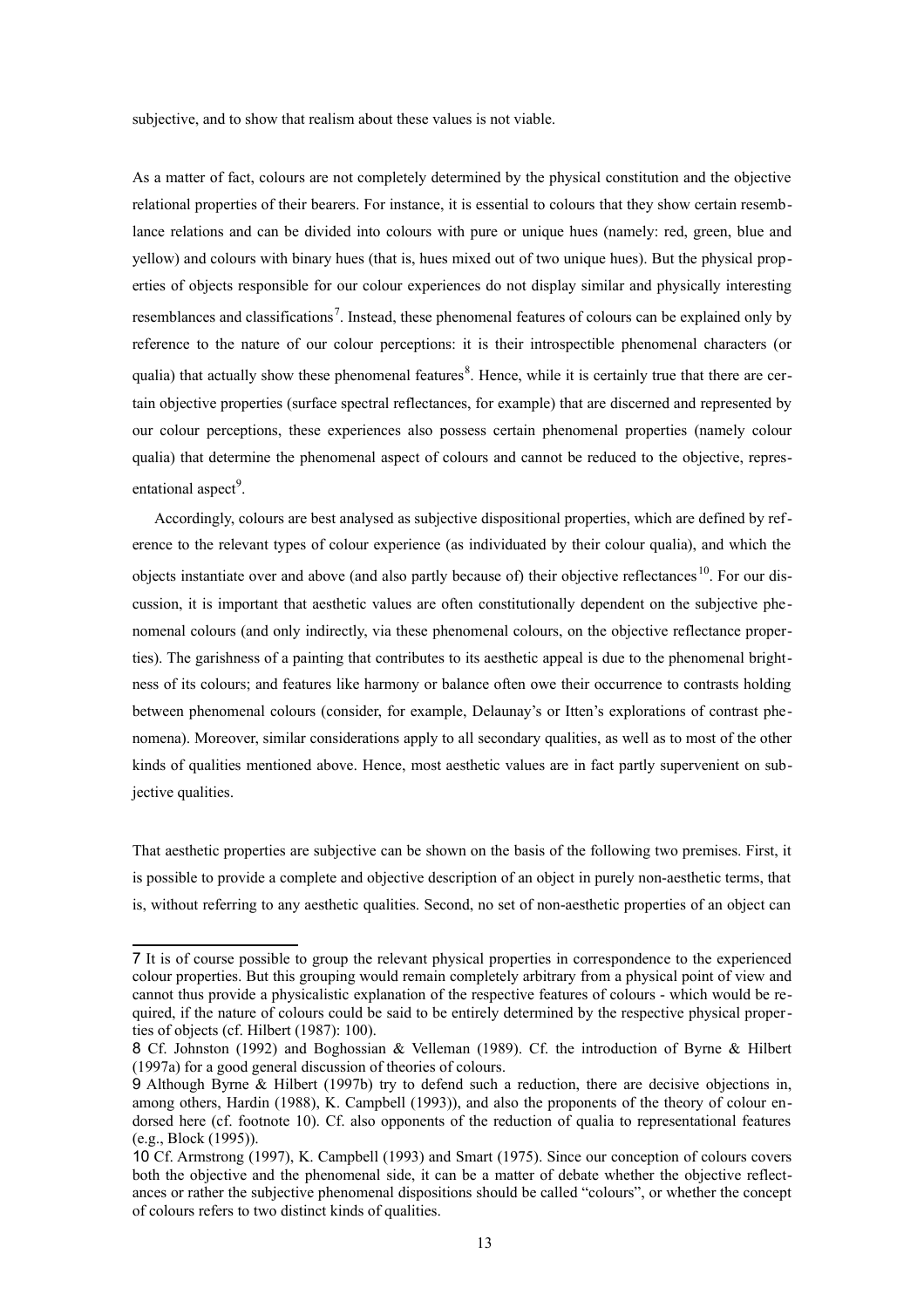subjective, and to show that realism about these values is not viable.

As a matter of fact, colours are not completely determined by the physical constitution and the objective relational properties of their bearers. For instance, it is essential to colours that they show certain resemblance relations and can be divided into colours with pure or unique hues (namely: red, green, blue and yellow) and colours with binary hues (that is, hues mixed out of two unique hues). But the physical properties of objects responsible for our colour experiences do not display similar and physically interesting resemblances and classifications<sup>[7](#page-12-0)</sup>. Instead, these phenomenal features of colours can be explained only by reference to the nature of our colour perceptions: it is their introspectible phenomenal characters (or qualia) that actually show these phenomenal features<sup>[8](#page-12-1)</sup>. Hence, while it is certainly true that there are certain objective properties (surface spectral reflectances, for example) that are discerned and represented by our colour perceptions, these experiences also possess certain phenomenal properties (namely colour qualia) that determine the phenomenal aspect of colours and cannot be reduced to the objective, repres-entational aspect<sup>[9](#page-12-2)</sup>.

Accordingly, colours are best analysed as subjective dispositional properties, which are defined by reference to the relevant types of colour experience (as individuated by their colour qualia), and which the objects instantiate over and above (and also partly because of) their objective reflectances<sup>[10](#page-12-3)</sup>. For our discussion, it is important that aesthetic values are often constitutionally dependent on the subjective phenomenal colours (and only indirectly, via these phenomenal colours, on the objective reflectance properties). The garishness of a painting that contributes to its aesthetic appeal is due to the phenomenal brightness of its colours; and features like harmony or balance often owe their occurrence to contrasts holding between phenomenal colours (consider, for example, Delaunay's or Itten's explorations of contrast phenomena). Moreover, similar considerations apply to all secondary qualities, as well as to most of the other kinds of qualities mentioned above. Hence, most aesthetic values are in fact partly supervenient on subjective qualities.

That aesthetic properties are subjective can be shown on the basis of the following two premises. First, it is possible to provide a complete and objective description of an object in purely non-aesthetic terms, that is, without referring to any aesthetic qualities. Second, no set of non-aesthetic properties of an object can

<span id="page-12-0"></span><sup>7</sup> It is of course possible to group the relevant physical properties in correspondence to the experienced colour properties. But this grouping would remain completely arbitrary from a physical point of view and cannot thus provide a physicalistic explanation of the respective features of colours - which would be required, if the nature of colours could be said to be entirely determined by the respective physical properties of objects (cf. Hilbert (1987): 100).

<span id="page-12-1"></span><sup>8</sup> Cf. Johnston (1992) and Boghossian & Velleman (1989). Cf. the introduction of Byrne & Hilbert (1997a) for a good general discussion of theories of colours.

<span id="page-12-2"></span><sup>9</sup> Although Byrne & Hilbert (1997b) try to defend such a reduction, there are decisive objections in, among others, Hardin (1988), K. Campbell (1993)), and also the proponents of the theory of colour endorsed here (cf. footnote 10). Cf. also opponents of the reduction of qualia to representational features (e.g., Block (1995)).

<span id="page-12-3"></span><sup>10</sup> Cf. Armstrong (1997), K. Campbell (1993) and Smart (1975). Since our conception of colours covers both the objective and the phenomenal side, it can be a matter of debate whether the objective reflectances or rather the subjective phenomenal dispositions should be called "colours", or whether the concept of colours refers to two distinct kinds of qualities.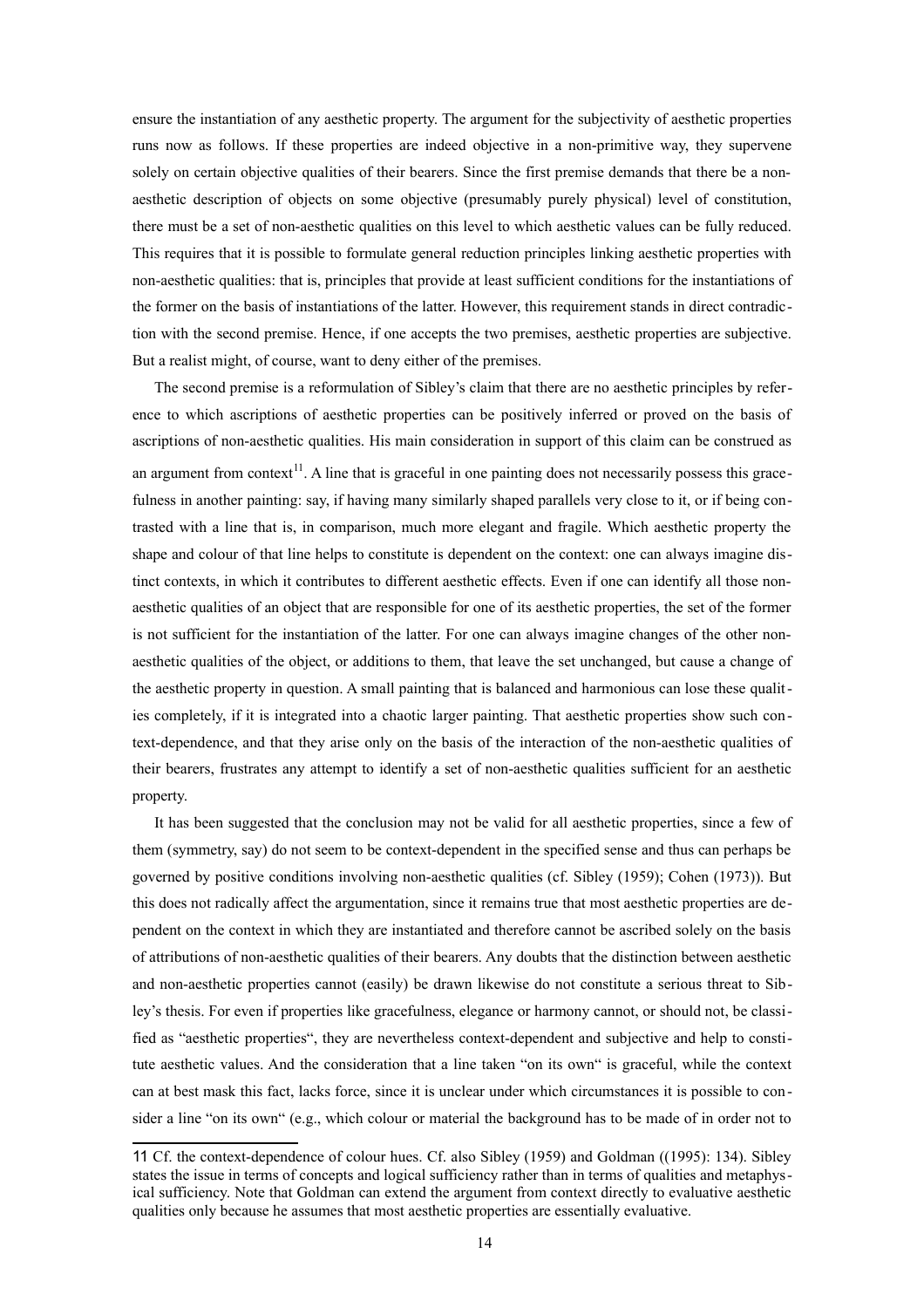ensure the instantiation of any aesthetic property. The argument for the subjectivity of aesthetic properties runs now as follows. If these properties are indeed objective in a non-primitive way, they supervene solely on certain objective qualities of their bearers. Since the first premise demands that there be a nonaesthetic description of objects on some objective (presumably purely physical) level of constitution, there must be a set of non-aesthetic qualities on this level to which aesthetic values can be fully reduced. This requires that it is possible to formulate general reduction principles linking aesthetic properties with non-aesthetic qualities: that is, principles that provide at least sufficient conditions for the instantiations of the former on the basis of instantiations of the latter. However, this requirement stands in direct contradiction with the second premise. Hence, if one accepts the two premises, aesthetic properties are subjective. But a realist might, of course, want to deny either of the premises.

The second premise is a reformulation of Sibley's claim that there are no aesthetic principles by reference to which ascriptions of aesthetic properties can be positively inferred or proved on the basis of ascriptions of non-aesthetic qualities. His main consideration in support of this claim can be construed as an argument from context<sup>[11](#page-13-0)</sup>. A line that is graceful in one painting does not necessarily possess this gracefulness in another painting: say, if having many similarly shaped parallels very close to it, or if being contrasted with a line that is, in comparison, much more elegant and fragile. Which aesthetic property the shape and colour of that line helps to constitute is dependent on the context: one can always imagine distinct contexts, in which it contributes to different aesthetic effects. Even if one can identify all those nonaesthetic qualities of an object that are responsible for one of its aesthetic properties, the set of the former is not sufficient for the instantiation of the latter. For one can always imagine changes of the other nonaesthetic qualities of the object, or additions to them, that leave the set unchanged, but cause a change of the aesthetic property in question. A small painting that is balanced and harmonious can lose these qualities completely, if it is integrated into a chaotic larger painting. That aesthetic properties show such con text-dependence, and that they arise only on the basis of the interaction of the non-aesthetic qualities of their bearers, frustrates any attempt to identify a set of non-aesthetic qualities sufficient for an aesthetic property.

It has been suggested that the conclusion may not be valid for all aesthetic properties, since a few of them (symmetry, say) do not seem to be context-dependent in the specified sense and thus can perhaps be governed by positive conditions involving non-aesthetic qualities (cf. Sibley (1959); Cohen (1973)). But this does not radically affect the argumentation, since it remains true that most aesthetic properties are dependent on the context in which they are instantiated and therefore cannot be ascribed solely on the basis of attributions of non-aesthetic qualities of their bearers. Any doubts that the distinction between aesthetic and non-aesthetic properties cannot (easily) be drawn likewise do not constitute a serious threat to Sibley's thesis. For even if properties like gracefulness, elegance or harmony cannot, or should not, be classified as "aesthetic properties", they are nevertheless context-dependent and subjective and help to constitute aesthetic values. And the consideration that a line taken "on its own" is graceful, while the context can at best mask this fact, lacks force, since it is unclear under which circumstances it is possible to con sider a line "on its own" (e.g., which colour or material the background has to be made of in order not to

<span id="page-13-0"></span><sup>11</sup> Cf. the context-dependence of colour hues. Cf. also Sibley (1959) and Goldman ((1995): 134). Sibley states the issue in terms of concepts and logical sufficiency rather than in terms of qualities and metaphysical sufficiency. Note that Goldman can extend the argument from context directly to evaluative aesthetic qualities only because he assumes that most aesthetic properties are essentially evaluative.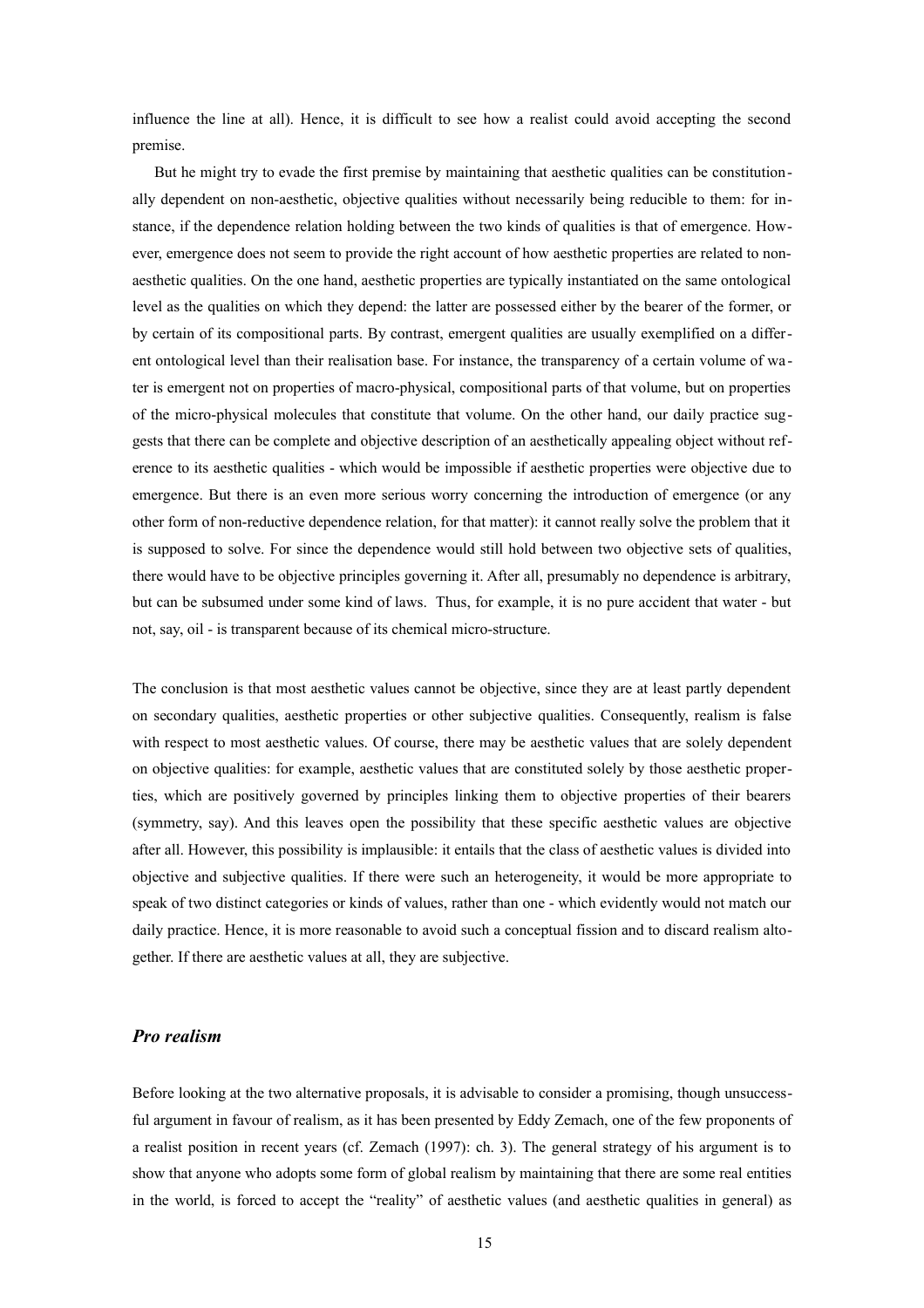influence the line at all). Hence, it is difficult to see how a realist could avoid accepting the second premise.

But he might try to evade the first premise by maintaining that aesthetic qualities can be constitutionally dependent on non-aesthetic, objective qualities without necessarily being reducible to them: for instance, if the dependence relation holding between the two kinds of qualities is that of emergence. However, emergence does not seem to provide the right account of how aesthetic properties are related to nonaesthetic qualities. On the one hand, aesthetic properties are typically instantiated on the same ontological level as the qualities on which they depend: the latter are possessed either by the bearer of the former, or by certain of its compositional parts. By contrast, emergent qualities are usually exemplified on a different ontological level than their realisation base. For instance, the transparency of a certain volume of wa ter is emergent not on properties of macro-physical, compositional parts of that volume, but on properties of the micro-physical molecules that constitute that volume. On the other hand, our daily practice suggests that there can be complete and objective description of an aesthetically appealing object without reference to its aesthetic qualities - which would be impossible if aesthetic properties were objective due to emergence. But there is an even more serious worry concerning the introduction of emergence (or any other form of non-reductive dependence relation, for that matter): it cannot really solve the problem that it is supposed to solve. For since the dependence would still hold between two objective sets of qualities, there would have to be objective principles governing it. After all, presumably no dependence is arbitrary, but can be subsumed under some kind of laws. Thus, for example, it is no pure accident that water - but not, say, oil - is transparent because of its chemical micro-structure.

The conclusion is that most aesthetic values cannot be objective, since they are at least partly dependent on secondary qualities, aesthetic properties or other subjective qualities. Consequently, realism is false with respect to most aesthetic values. Of course, there may be aesthetic values that are solely dependent on objective qualities: for example, aesthetic values that are constituted solely by those aesthetic properties, which are positively governed by principles linking them to objective properties of their bearers (symmetry, say). And this leaves open the possibility that these specific aesthetic values are objective after all. However, this possibility is implausible: it entails that the class of aesthetic values is divided into objective and subjective qualities. If there were such an heterogeneity, it would be more appropriate to speak of two distinct categories or kinds of values, rather than one - which evidently would not match our daily practice. Hence, it is more reasonable to avoid such a conceptual fission and to discard realism altogether. If there are aesthetic values at all, they are subjective.

#### *Pro realism*

Before looking at the two alternative proposals, it is advisable to consider a promising, though unsuccessful argument in favour of realism, as it has been presented by Eddy Zemach, one of the few proponents of a realist position in recent years (cf. Zemach (1997): ch. 3). The general strategy of his argument is to show that anyone who adopts some form of global realism by maintaining that there are some real entities in the world, is forced to accept the "reality" of aesthetic values (and aesthetic qualities in general) as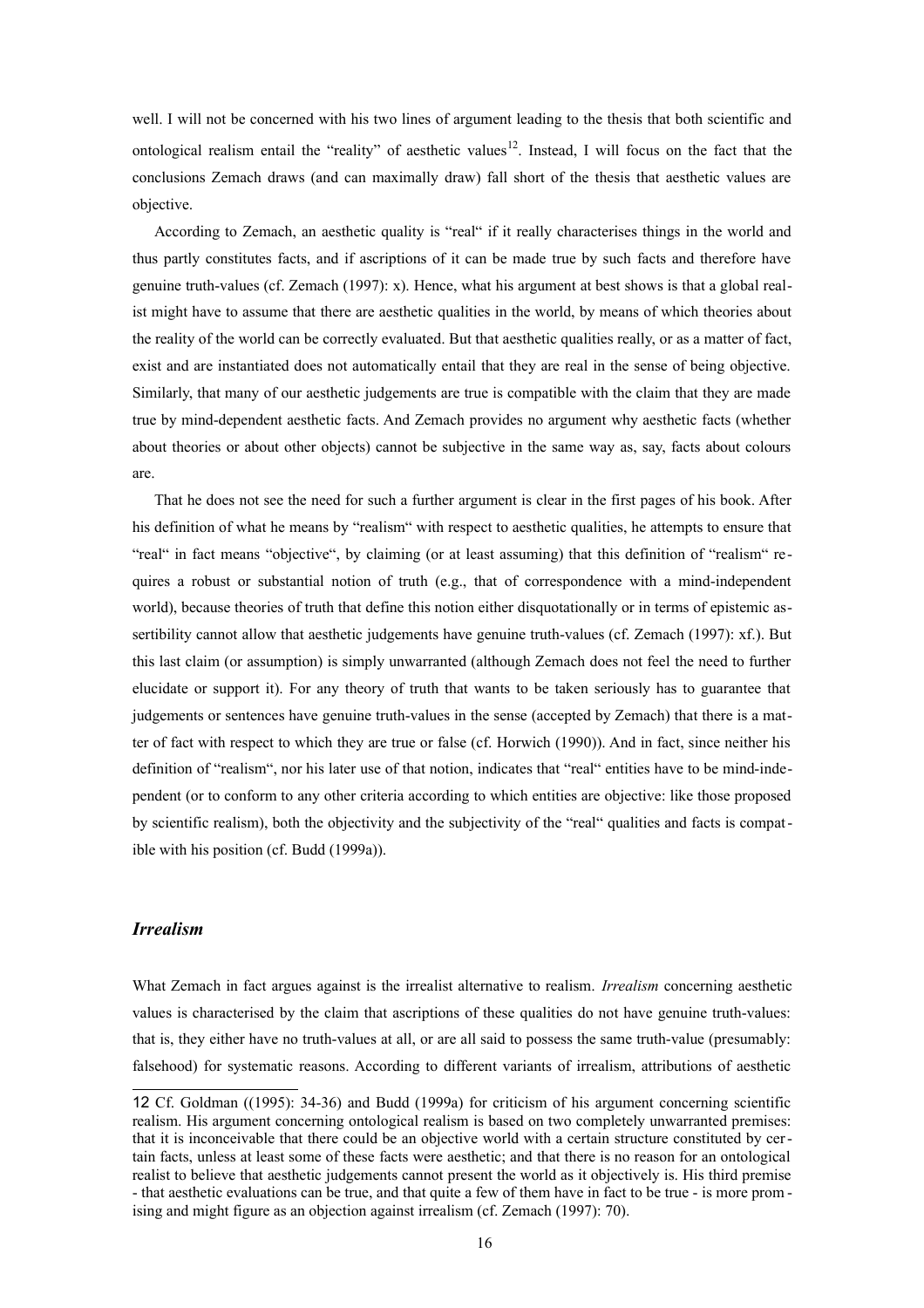well. I will not be concerned with his two lines of argument leading to the thesis that both scientific and ontological realism entail the "reality" of aesthetic values<sup>[12](#page-15-0)</sup>. Instead, I will focus on the fact that the conclusions Zemach draws (and can maximally draw) fall short of the thesis that aesthetic values are objective.

According to Zemach, an aesthetic quality is "real" if it really characterises things in the world and thus partly constitutes facts, and if ascriptions of it can be made true by such facts and therefore have genuine truth-values (cf. Zemach (1997): x). Hence, what his argument at best shows is that a global realist might have to assume that there are aesthetic qualities in the world, by means of which theories about the reality of the world can be correctly evaluated. But that aesthetic qualities really, or as a matter of fact, exist and are instantiated does not automatically entail that they are real in the sense of being objective. Similarly, that many of our aesthetic judgements are true is compatible with the claim that they are made true by mind-dependent aesthetic facts. And Zemach provides no argument why aesthetic facts (whether about theories or about other objects) cannot be subjective in the same way as, say, facts about colours are.

That he does not see the need for such a further argument is clear in the first pages of his book. After his definition of what he means by "realism" with respect to aesthetic qualities, he attempts to ensure that "real" in fact means "objective", by claiming (or at least assuming) that this definition of "realism" requires a robust or substantial notion of truth (e.g., that of correspondence with a mind-independent world), because theories of truth that define this notion either disquotationally or in terms of epistemic assertibility cannot allow that aesthetic judgements have genuine truth-values (cf. Zemach (1997): xf.). But this last claim (or assumption) is simply unwarranted (although Zemach does not feel the need to further elucidate or support it). For any theory of truth that wants to be taken seriously has to guarantee that judgements or sentences have genuine truth-values in the sense (accepted by Zemach) that there is a matter of fact with respect to which they are true or false (cf. Horwich (1990)). And in fact, since neither his definition of "realism", nor his later use of that notion, indicates that "real" entities have to be mind-independent (or to conform to any other criteria according to which entities are objective: like those proposed by scientific realism), both the objectivity and the subjectivity of the "real" qualities and facts is compatible with his position (cf. Budd (1999a)).

## *Irrealism*

What Zemach in fact argues against is the irrealist alternative to realism. *Irrealism* concerning aesthetic values is characterised by the claim that ascriptions of these qualities do not have genuine truth-values: that is, they either have no truth-values at all, or are all said to possess the same truth-value (presumably: falsehood) for systematic reasons. According to different variants of irrealism, attributions of aesthetic

<span id="page-15-0"></span><sup>12</sup> Cf. Goldman ((1995): 34-36) and Budd (1999a) for criticism of his argument concerning scientific realism. His argument concerning ontological realism is based on two completely unwarranted premises: that it is inconceivable that there could be an objective world with a certain structure constituted by certain facts, unless at least some of these facts were aesthetic; and that there is no reason for an ontological realist to believe that aesthetic judgements cannot present the world as it objectively is. His third premise - that aesthetic evaluations can be true, and that quite a few of them have in fact to be true - is more prom ising and might figure as an objection against irrealism (cf. Zemach (1997): 70).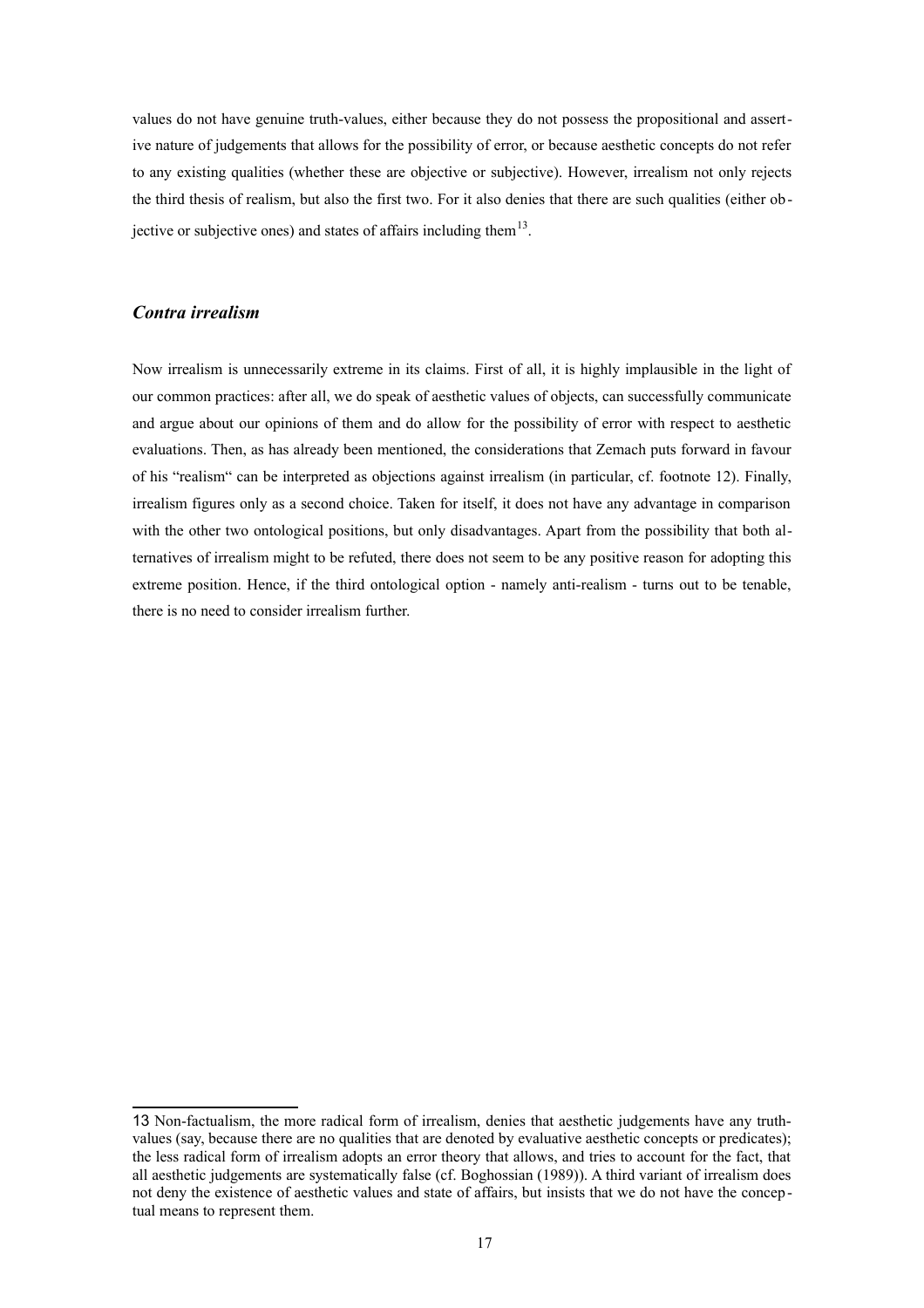values do not have genuine truth-values, either because they do not possess the propositional and assertive nature of judgements that allows for the possibility of error, or because aesthetic concepts do not refer to any existing qualities (whether these are objective or subjective). However, irrealism not only rejects the third thesis of realism, but also the first two. For it also denies that there are such qualities (either ob-jective or subjective ones) and states of affairs including them<sup>[13](#page-16-0)</sup>.

## *Contra irrealism*

Now irrealism is unnecessarily extreme in its claims. First of all, it is highly implausible in the light of our common practices: after all, we do speak of aesthetic values of objects, can successfully communicate and argue about our opinions of them and do allow for the possibility of error with respect to aesthetic evaluations. Then, as has already been mentioned, the considerations that Zemach puts forward in favour of his "realism" can be interpreted as objections against irrealism (in particular, cf. footnote 12). Finally, irrealism figures only as a second choice. Taken for itself, it does not have any advantage in comparison with the other two ontological positions, but only disadvantages. Apart from the possibility that both alternatives of irrealism might to be refuted, there does not seem to be any positive reason for adopting this extreme position. Hence, if the third ontological option - namely anti-realism - turns out to be tenable, there is no need to consider irrealism further.

<span id="page-16-0"></span><sup>13</sup> Non-factualism, the more radical form of irrealism, denies that aesthetic judgements have any truthvalues (say, because there are no qualities that are denoted by evaluative aesthetic concepts or predicates); the less radical form of irrealism adopts an error theory that allows, and tries to account for the fact, that all aesthetic judgements are systematically false (cf. Boghossian (1989)). A third variant of irrealism does not deny the existence of aesthetic values and state of affairs, but insists that we do not have the conceptual means to represent them.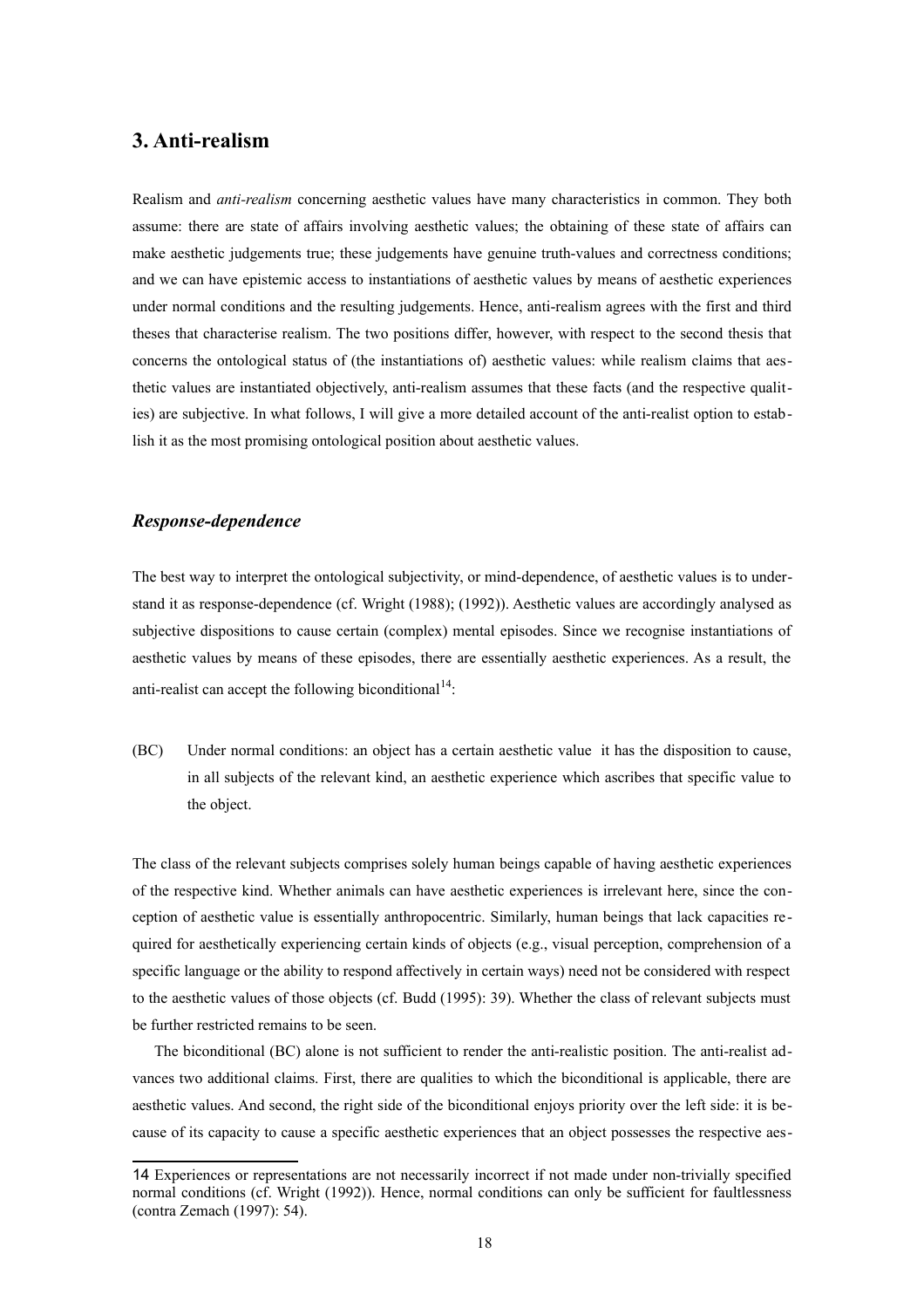## **3. Anti-realism**

Realism and *anti-realism* concerning aesthetic values have many characteristics in common. They both assume: there are state of affairs involving aesthetic values; the obtaining of these state of affairs can make aesthetic judgements true; these judgements have genuine truth-values and correctness conditions; and we can have epistemic access to instantiations of aesthetic values by means of aesthetic experiences under normal conditions and the resulting judgements. Hence, anti-realism agrees with the first and third theses that characterise realism. The two positions differ, however, with respect to the second thesis that concerns the ontological status of (the instantiations of) aesthetic values: while realism claims that aesthetic values are instantiated objectively, anti-realism assumes that these facts (and the respective qualities) are subjective. In what follows, I will give a more detailed account of the anti-realist option to establish it as the most promising ontological position about aesthetic values.

#### *Response-dependence*

The best way to interpret the ontological subjectivity, or mind-dependence, of aesthetic values is to understand it as response-dependence (cf. Wright (1988); (1992)). Aesthetic values are accordingly analysed as subjective dispositions to cause certain (complex) mental episodes. Since we recognise instantiations of aesthetic values by means of these episodes, there are essentially aesthetic experiences. As a result, the anti-realist can accept the following biconditional<sup>[14](#page-17-0)</sup>:

(BC) Under normal conditions: an object has a certain aesthetic value it has the disposition to cause, in all subjects of the relevant kind, an aesthetic experience which ascribes that specific value to the object.

The class of the relevant subjects comprises solely human beings capable of having aesthetic experiences of the respective kind. Whether animals can have aesthetic experiences is irrelevant here, since the conception of aesthetic value is essentially anthropocentric. Similarly, human beings that lack capacities re quired for aesthetically experiencing certain kinds of objects (e.g., visual perception, comprehension of a specific language or the ability to respond affectively in certain ways) need not be considered with respect to the aesthetic values of those objects (cf. Budd (1995): 39). Whether the class of relevant subjects must be further restricted remains to be seen.

The biconditional (BC) alone is not sufficient to render the anti-realistic position. The anti-realist advances two additional claims. First, there are qualities to which the biconditional is applicable, there are aesthetic values. And second, the right side of the biconditional enjoys priority over the left side: it is because of its capacity to cause a specific aesthetic experiences that an object possesses the respective aes-

<span id="page-17-0"></span><sup>14</sup> Experiences or representations are not necessarily incorrect if not made under non-trivially specified normal conditions (cf. Wright (1992)). Hence, normal conditions can only be sufficient for faultlessness (contra Zemach (1997): 54).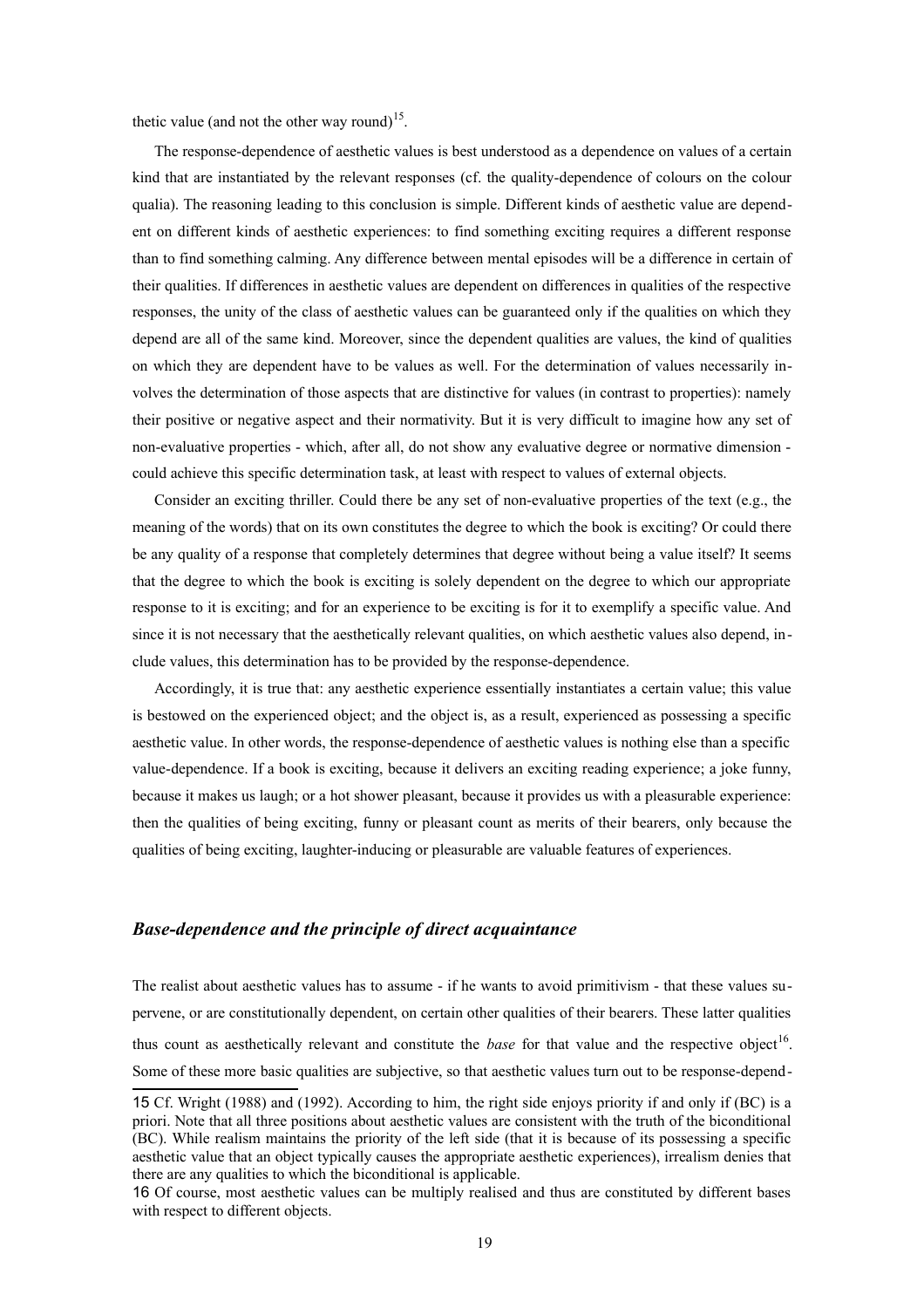thetic value (and not the other way round)<sup>[15](#page-18-0)</sup>.

The response-dependence of aesthetic values is best understood as a dependence on values of a certain kind that are instantiated by the relevant responses (cf. the quality-dependence of colours on the colour qualia). The reasoning leading to this conclusion is simple. Different kinds of aesthetic value are dependent on different kinds of aesthetic experiences: to find something exciting requires a different response than to find something calming. Any difference between mental episodes will be a difference in certain of their qualities. If differences in aesthetic values are dependent on differences in qualities of the respective responses, the unity of the class of aesthetic values can be guaranteed only if the qualities on which they depend are all of the same kind. Moreover, since the dependent qualities are values, the kind of qualities on which they are dependent have to be values as well. For the determination of values necessarily involves the determination of those aspects that are distinctive for values (in contrast to properties): namely their positive or negative aspect and their normativity. But it is very difficult to imagine how any set of non-evaluative properties - which, after all, do not show any evaluative degree or normative dimension could achieve this specific determination task, at least with respect to values of external objects.

Consider an exciting thriller. Could there be any set of non-evaluative properties of the text (e.g., the meaning of the words) that on its own constitutes the degree to which the book is exciting? Or could there be any quality of a response that completely determines that degree without being a value itself? It seems that the degree to which the book is exciting is solely dependent on the degree to which our appropriate response to it is exciting; and for an experience to be exciting is for it to exemplify a specific value. And since it is not necessary that the aesthetically relevant qualities, on which aesthetic values also depend, include values, this determination has to be provided by the response-dependence.

Accordingly, it is true that: any aesthetic experience essentially instantiates a certain value; this value is bestowed on the experienced object; and the object is, as a result, experienced as possessing a specific aesthetic value. In other words, the response-dependence of aesthetic values is nothing else than a specific value-dependence. If a book is exciting, because it delivers an exciting reading experience; a joke funny, because it makes us laugh; or a hot shower pleasant, because it provides us with a pleasurable experience: then the qualities of being exciting, funny or pleasant count as merits of their bearers, only because the qualities of being exciting, laughter-inducing or pleasurable are valuable features of experiences.

## *Base-dependence and the principle of direct acquaintance*

The realist about aesthetic values has to assume - if he wants to avoid primitivism - that these values supervene, or are constitutionally dependent, on certain other qualities of their bearers. These latter qualities thus count as aesthetically relevant and constitute the *base* for that value and the respective object<sup>[16](#page-18-1)</sup>. Some of these more basic qualities are subjective, so that aesthetic values turn out to be response-depend-

<span id="page-18-0"></span><sup>15</sup> Cf. Wright (1988) and (1992). According to him, the right side enjoys priority if and only if (BC) is a priori. Note that all three positions about aesthetic values are consistent with the truth of the biconditional (BC). While realism maintains the priority of the left side (that it is because of its possessing a specific aesthetic value that an object typically causes the appropriate aesthetic experiences), irrealism denies that there are any qualities to which the biconditional is applicable.

<span id="page-18-1"></span><sup>16</sup> Of course, most aesthetic values can be multiply realised and thus are constituted by different bases with respect to different objects.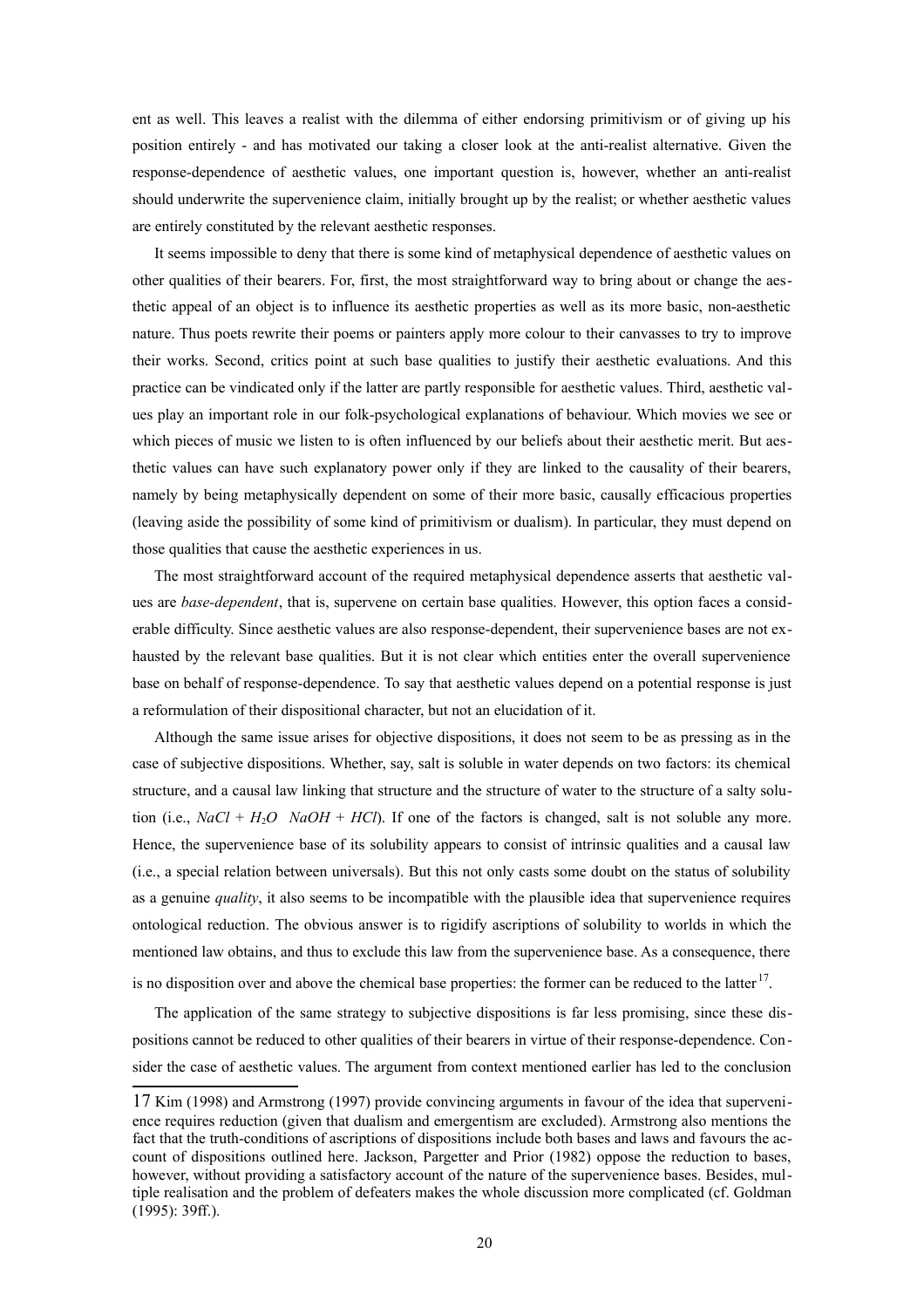ent as well. This leaves a realist with the dilemma of either endorsing primitivism or of giving up his position entirely - and has motivated our taking a closer look at the anti-realist alternative. Given the response-dependence of aesthetic values, one important question is, however, whether an anti-realist should underwrite the supervenience claim, initially brought up by the realist; or whether aesthetic values are entirely constituted by the relevant aesthetic responses.

It seems impossible to deny that there is some kind of metaphysical dependence of aesthetic values on other qualities of their bearers. For, first, the most straightforward way to bring about or change the aesthetic appeal of an object is to influence its aesthetic properties as well as its more basic, non-aesthetic nature. Thus poets rewrite their poems or painters apply more colour to their canvasses to try to improve their works. Second, critics point at such base qualities to justify their aesthetic evaluations. And this practice can be vindicated only if the latter are partly responsible for aesthetic values. Third, aesthetic values play an important role in our folk-psychological explanations of behaviour. Which movies we see or which pieces of music we listen to is often influenced by our beliefs about their aesthetic merit. But aesthetic values can have such explanatory power only if they are linked to the causality of their bearers, namely by being metaphysically dependent on some of their more basic, causally efficacious properties (leaving aside the possibility of some kind of primitivism or dualism). In particular, they must depend on those qualities that cause the aesthetic experiences in us.

The most straightforward account of the required metaphysical dependence asserts that aesthetic values are *base-dependent*, that is, supervene on certain base qualities. However, this option faces a considerable difficulty. Since aesthetic values are also response-dependent, their supervenience bases are not exhausted by the relevant base qualities. But it is not clear which entities enter the overall supervenience base on behalf of response-dependence. To say that aesthetic values depend on a potential response is just a reformulation of their dispositional character, but not an elucidation of it.

Although the same issue arises for objective dispositions, it does not seem to be as pressing as in the case of subjective dispositions. Whether, say, salt is soluble in water depends on two factors: its chemical structure, and a causal law linking that structure and the structure of water to the structure of a salty solution (i.e.,  $NaCl + H<sub>2</sub>O$  *NaOH* + *HCl*). If one of the factors is changed, salt is not soluble any more. Hence, the supervenience base of its solubility appears to consist of intrinsic qualities and a causal law (i.e., a special relation between universals). But this not only casts some doubt on the status of solubility as a genuine *quality*, it also seems to be incompatible with the plausible idea that supervenience requires ontological reduction. The obvious answer is to rigidify ascriptions of solubility to worlds in which the mentioned law obtains, and thus to exclude this law from the supervenience base. As a consequence, there

is no disposition over and above the chemical base properties: the former can be reduced to the latter  $17$ .

The application of the same strategy to subjective dispositions is far less promising, since these dispositions cannot be reduced to other qualities of their bearers in virtue of their response-dependence. Consider the case of aesthetic values. The argument from context mentioned earlier has led to the conclusion

<span id="page-19-0"></span><sup>17</sup> Kim (1998) and Armstrong (1997) provide convincing arguments in favour of the idea that supervenience requires reduction (given that dualism and emergentism are excluded). Armstrong also mentions the fact that the truth-conditions of ascriptions of dispositions include both bases and laws and favours the account of dispositions outlined here. Jackson, Pargetter and Prior (1982) oppose the reduction to bases, however, without providing a satisfactory account of the nature of the supervenience bases. Besides, multiple realisation and the problem of defeaters makes the whole discussion more complicated (cf. Goldman (1995): 39ff.).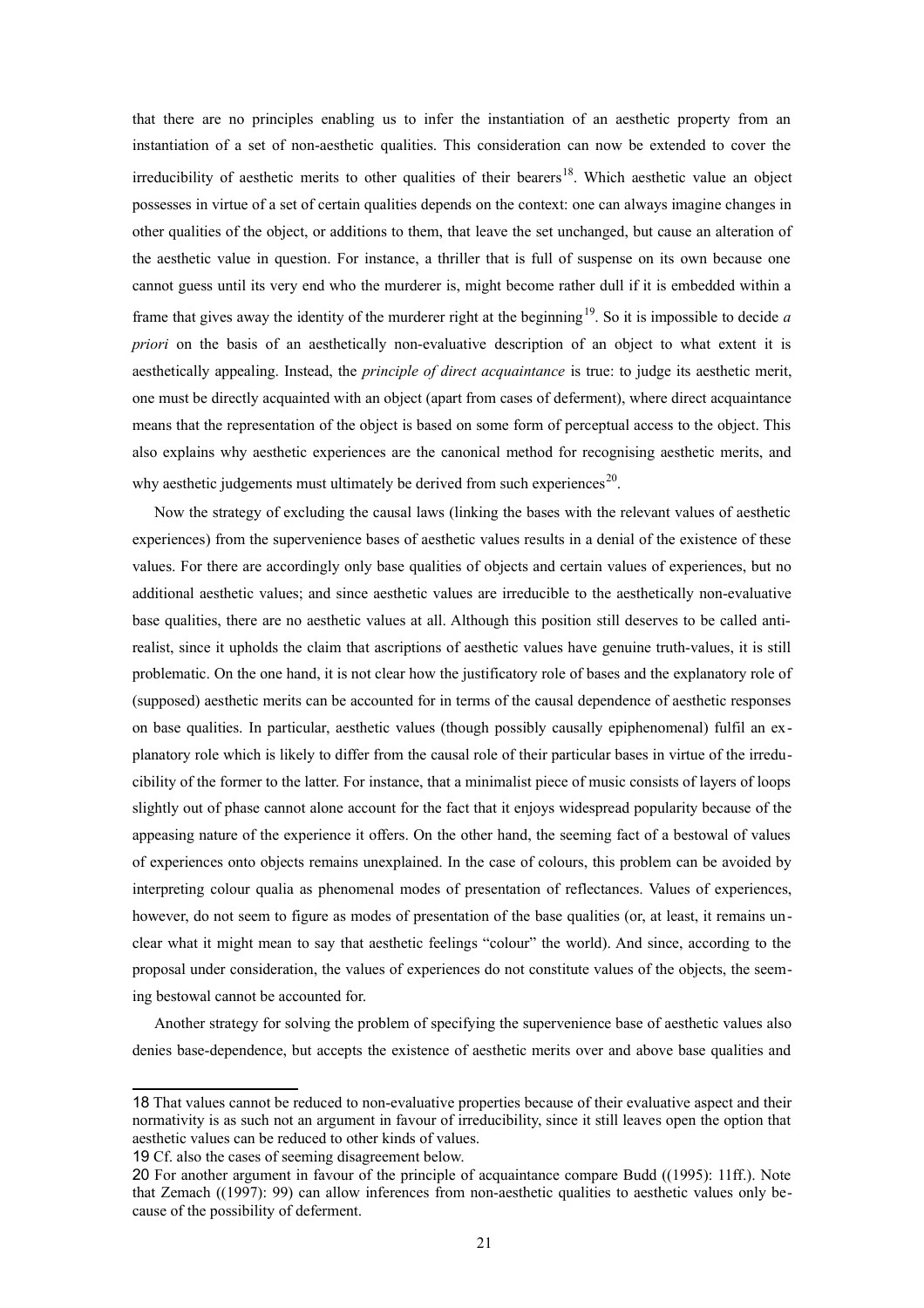that there are no principles enabling us to infer the instantiation of an aesthetic property from an instantiation of a set of non-aesthetic qualities. This consideration can now be extended to cover the irreducibility of aesthetic merits to other qualities of their bearers<sup>[18](#page-20-0)</sup>. Which aesthetic value an object possesses in virtue of a set of certain qualities depends on the context: one can always imagine changes in other qualities of the object, or additions to them, that leave the set unchanged, but cause an alteration of the aesthetic value in question. For instance, a thriller that is full of suspense on its own because one cannot guess until its very end who the murderer is, might become rather dull if it is embedded within a frame that gives away the identity of the murderer right at the beginning<sup>[19](#page-20-1)</sup>. So it is impossible to decide *a priori* on the basis of an aesthetically non-evaluative description of an object to what extent it is aesthetically appealing. Instead, the *principle of direct acquaintance* is true: to judge its aesthetic merit, one must be directly acquainted with an object (apart from cases of deferment), where direct acquaintance means that the representation of the object is based on some form of perceptual access to the object. This also explains why aesthetic experiences are the canonical method for recognising aesthetic merits, and why aesthetic judgements must ultimately be derived from such experiences<sup>[20](#page-20-2)</sup>.

Now the strategy of excluding the causal laws (linking the bases with the relevant values of aesthetic experiences) from the supervenience bases of aesthetic values results in a denial of the existence of these values. For there are accordingly only base qualities of objects and certain values of experiences, but no additional aesthetic values; and since aesthetic values are irreducible to the aesthetically non-evaluative base qualities, there are no aesthetic values at all. Although this position still deserves to be called antirealist, since it upholds the claim that ascriptions of aesthetic values have genuine truth-values, it is still problematic. On the one hand, it is not clear how the justificatory role of bases and the explanatory role of (supposed) aesthetic merits can be accounted for in terms of the causal dependence of aesthetic responses on base qualities. In particular, aesthetic values (though possibly causally epiphenomenal) fulfil an explanatory role which is likely to differ from the causal role of their particular bases in virtue of the irreducibility of the former to the latter. For instance, that a minimalist piece of music consists of layers of loops slightly out of phase cannot alone account for the fact that it enjoys widespread popularity because of the appeasing nature of the experience it offers. On the other hand, the seeming fact of a bestowal of values of experiences onto objects remains unexplained. In the case of colours, this problem can be avoided by interpreting colour qualia as phenomenal modes of presentation of reflectances. Values of experiences, however, do not seem to figure as modes of presentation of the base qualities (or, at least, it remains unclear what it might mean to say that aesthetic feelings "colour" the world). And since, according to the proposal under consideration, the values of experiences do not constitute values of the objects, the seeming bestowal cannot be accounted for.

Another strategy for solving the problem of specifying the supervenience base of aesthetic values also denies base-dependence, but accepts the existence of aesthetic merits over and above base qualities and

<span id="page-20-0"></span><sup>18</sup> That values cannot be reduced to non-evaluative properties because of their evaluative aspect and their normativity is as such not an argument in favour of irreducibility, since it still leaves open the option that aesthetic values can be reduced to other kinds of values.

<span id="page-20-1"></span><sup>19</sup> Cf. also the cases of seeming disagreement below.

<span id="page-20-2"></span><sup>20</sup> For another argument in favour of the principle of acquaintance compare Budd ((1995): 11ff.). Note that Zemach ((1997): 99) can allow inferences from non-aesthetic qualities to aesthetic values only because of the possibility of deferment.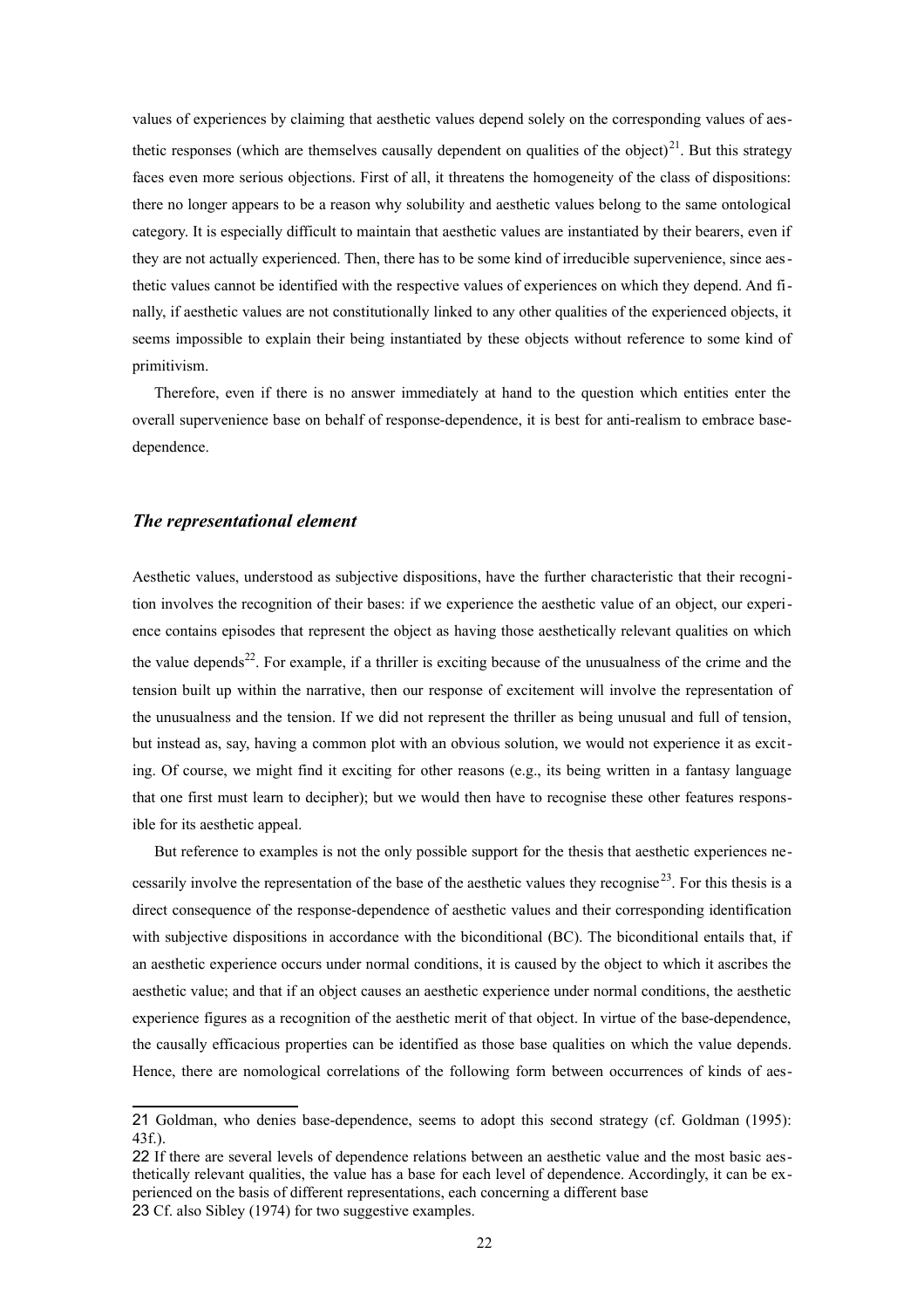values of experiences by claiming that aesthetic values depend solely on the corresponding values of aesthetic responses (which are themselves causally dependent on qualities of the object) $^{21}$  $^{21}$  $^{21}$ . But this strategy faces even more serious objections. First of all, it threatens the homogeneity of the class of dispositions: there no longer appears to be a reason why solubility and aesthetic values belong to the same ontological category. It is especially difficult to maintain that aesthetic values are instantiated by their bearers, even if they are not actually experienced. Then, there has to be some kind of irreducible supervenience, since aesthetic values cannot be identified with the respective values of experiences on which they depend. And finally, if aesthetic values are not constitutionally linked to any other qualities of the experienced objects, it seems impossible to explain their being instantiated by these objects without reference to some kind of primitivism.

Therefore, even if there is no answer immediately at hand to the question which entities enter the overall supervenience base on behalf of response-dependence, it is best for anti-realism to embrace basedependence.

#### *The representational element*

Aesthetic values, understood as subjective dispositions, have the further characteristic that their recognition involves the recognition of their bases: if we experience the aesthetic value of an object, our experience contains episodes that represent the object as having those aesthetically relevant qualities on which the value depends<sup>[22](#page-21-1)</sup>. For example, if a thriller is exciting because of the unusualness of the crime and the tension built up within the narrative, then our response of excitement will involve the representation of the unusualness and the tension. If we did not represent the thriller as being unusual and full of tension, but instead as, say, having a common plot with an obvious solution, we would not experience it as exciting. Of course, we might find it exciting for other reasons (e.g., its being written in a fantasy language that one first must learn to decipher); but we would then have to recognise these other features responsible for its aesthetic appeal.

But reference to examples is not the only possible support for the thesis that aesthetic experiences ne-cessarily involve the representation of the base of the aesthetic values they recognise<sup>[23](#page-21-2)</sup>. For this thesis is a direct consequence of the response-dependence of aesthetic values and their corresponding identification with subjective dispositions in accordance with the biconditional (BC). The biconditional entails that, if an aesthetic experience occurs under normal conditions, it is caused by the object to which it ascribes the aesthetic value; and that if an object causes an aesthetic experience under normal conditions, the aesthetic experience figures as a recognition of the aesthetic merit of that object. In virtue of the base-dependence, the causally efficacious properties can be identified as those base qualities on which the value depends. Hence, there are nomological correlations of the following form between occurrences of kinds of aes-

<span id="page-21-0"></span><sup>21</sup> Goldman, who denies base-dependence, seems to adopt this second strategy (cf. Goldman (1995): 43f.).

<span id="page-21-2"></span><span id="page-21-1"></span><sup>22</sup> If there are several levels of dependence relations between an aesthetic value and the most basic aesthetically relevant qualities, the value has a base for each level of dependence. Accordingly, it can be experienced on the basis of different representations, each concerning a different base 23 Cf. also Sibley (1974) for two suggestive examples.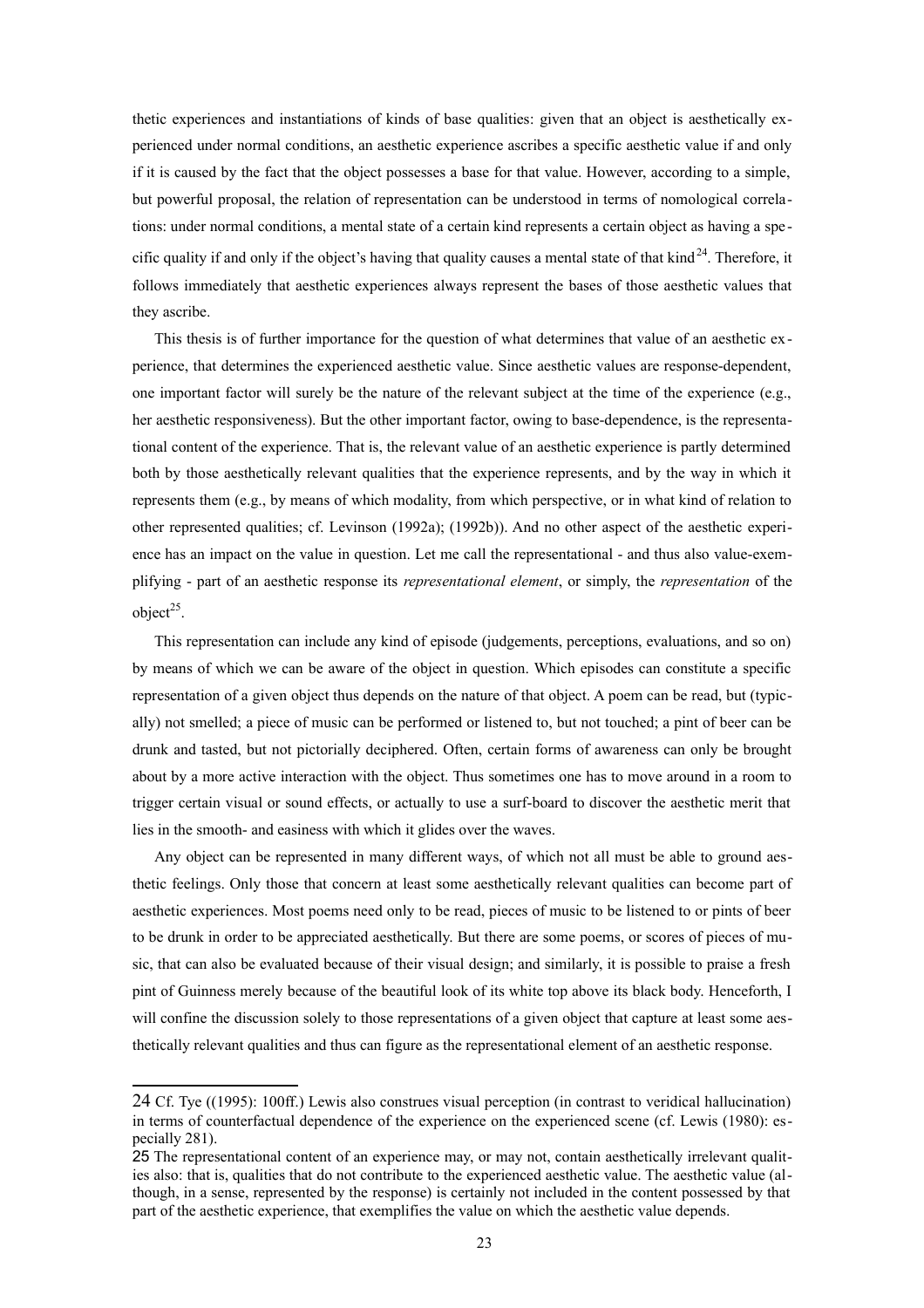thetic experiences and instantiations of kinds of base qualities: given that an object is aesthetically experienced under normal conditions, an aesthetic experience ascribes a specific aesthetic value if and only if it is caused by the fact that the object possesses a base for that value. However, according to a simple, but powerful proposal, the relation of representation can be understood in terms of nomological correlations: under normal conditions, a mental state of a certain kind represents a certain object as having a spe cific quality if and only if the object's having that quality causes a mental state of that kind $^{24}$  $^{24}$  $^{24}$ . Therefore, it follows immediately that aesthetic experiences always represent the bases of those aesthetic values that they ascribe.

This thesis is of further importance for the question of what determines that value of an aesthetic ex perience, that determines the experienced aesthetic value. Since aesthetic values are response-dependent, one important factor will surely be the nature of the relevant subject at the time of the experience (e.g., her aesthetic responsiveness). But the other important factor, owing to base-dependence, is the representational content of the experience. That is, the relevant value of an aesthetic experience is partly determined both by those aesthetically relevant qualities that the experience represents, and by the way in which it represents them (e.g., by means of which modality, from which perspective, or in what kind of relation to other represented qualities; cf. Levinson (1992a); (1992b)). And no other aspect of the aesthetic experience has an impact on the value in question. Let me call the representational - and thus also value-exemplifying - part of an aesthetic response its *representational element*, or simply, the *representation* of the object $25$ .

This representation can include any kind of episode (judgements, perceptions, evaluations, and so on) by means of which we can be aware of the object in question. Which episodes can constitute a specific representation of a given object thus depends on the nature of that object. A poem can be read, but (typically) not smelled; a piece of music can be performed or listened to, but not touched; a pint of beer can be drunk and tasted, but not pictorially deciphered. Often, certain forms of awareness can only be brought about by a more active interaction with the object. Thus sometimes one has to move around in a room to trigger certain visual or sound effects, or actually to use a surf-board to discover the aesthetic merit that lies in the smooth- and easiness with which it glides over the waves.

Any object can be represented in many different ways, of which not all must be able to ground aesthetic feelings. Only those that concern at least some aesthetically relevant qualities can become part of aesthetic experiences. Most poems need only to be read, pieces of music to be listened to or pints of beer to be drunk in order to be appreciated aesthetically. But there are some poems, or scores of pieces of music, that can also be evaluated because of their visual design; and similarly, it is possible to praise a fresh pint of Guinness merely because of the beautiful look of its white top above its black body. Henceforth, I will confine the discussion solely to those representations of a given object that capture at least some aesthetically relevant qualities and thus can figure as the representational element of an aesthetic response.

<span id="page-22-0"></span><sup>24</sup> Cf. Tye ((1995): 100ff.) Lewis also construes visual perception (in contrast to veridical hallucination) in terms of counterfactual dependence of the experience on the experienced scene (cf. Lewis (1980): especially 281).

<span id="page-22-1"></span><sup>25</sup> The representational content of an experience may, or may not, contain aesthetically irrelevant qualities also: that is, qualities that do not contribute to the experienced aesthetic value. The aesthetic value (although, in a sense, represented by the response) is certainly not included in the content possessed by that part of the aesthetic experience, that exemplifies the value on which the aesthetic value depends.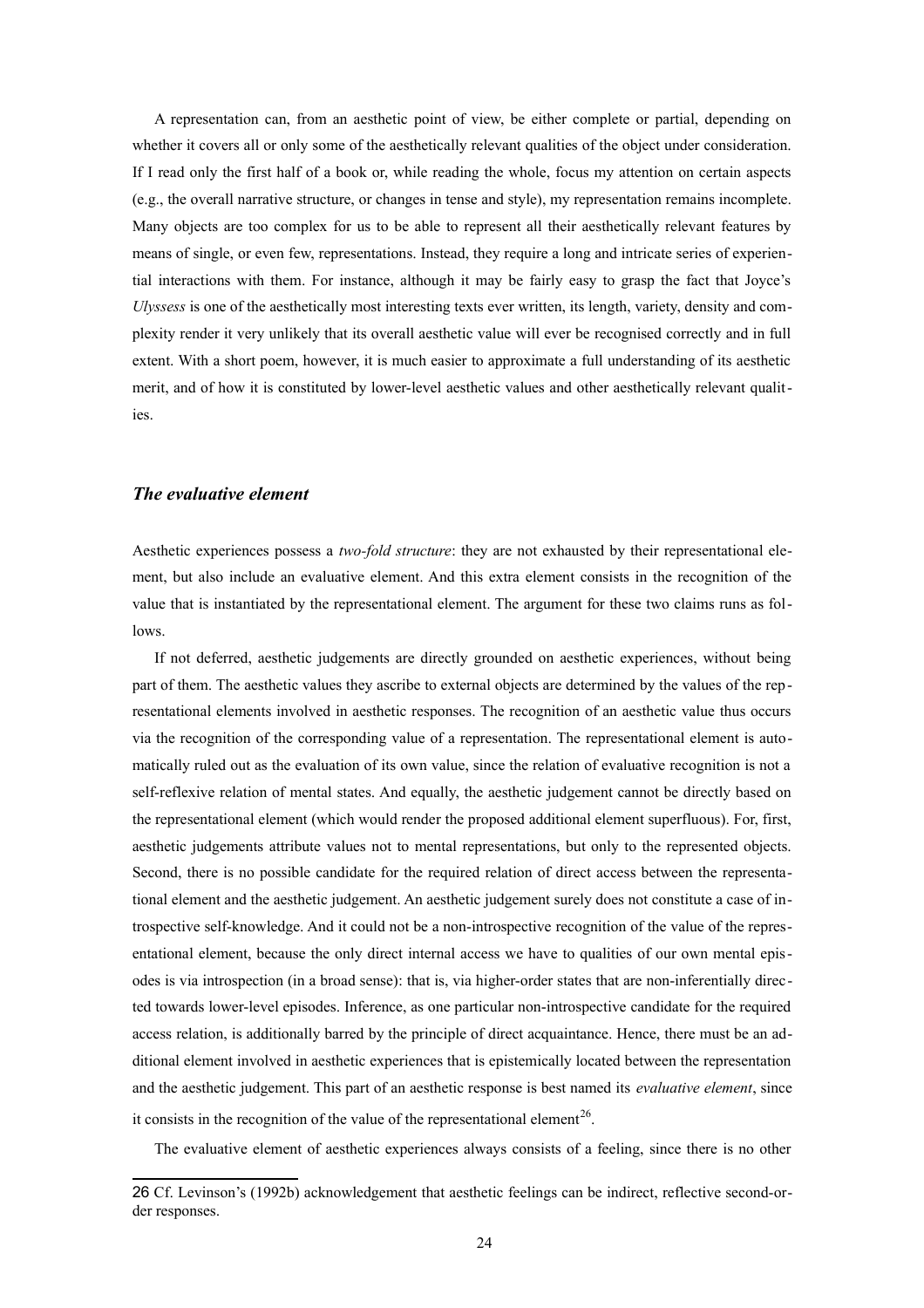A representation can, from an aesthetic point of view, be either complete or partial, depending on whether it covers all or only some of the aesthetically relevant qualities of the object under consideration. If I read only the first half of a book or, while reading the whole, focus my attention on certain aspects (e.g., the overall narrative structure, or changes in tense and style), my representation remains incomplete. Many objects are too complex for us to be able to represent all their aesthetically relevant features by means of single, or even few, representations. Instead, they require a long and intricate series of experiential interactions with them. For instance, although it may be fairly easy to grasp the fact that Joyce's *Ulyssess* is one of the aesthetically most interesting texts ever written, its length, variety, density and complexity render it very unlikely that its overall aesthetic value will ever be recognised correctly and in full extent. With a short poem, however, it is much easier to approximate a full understanding of its aesthetic merit, and of how it is constituted by lower-level aesthetic values and other aesthetically relevant qualities.

## *The evaluative element*

Aesthetic experiences possess a *two-fold structure*: they are not exhausted by their representational element, but also include an evaluative element. And this extra element consists in the recognition of the value that is instantiated by the representational element. The argument for these two claims runs as follows.

If not deferred, aesthetic judgements are directly grounded on aesthetic experiences, without being part of them. The aesthetic values they ascribe to external objects are determined by the values of the representational elements involved in aesthetic responses. The recognition of an aesthetic value thus occurs via the recognition of the corresponding value of a representation. The representational element is automatically ruled out as the evaluation of its own value, since the relation of evaluative recognition is not a self-reflexive relation of mental states. And equally, the aesthetic judgement cannot be directly based on the representational element (which would render the proposed additional element superfluous). For, first, aesthetic judgements attribute values not to mental representations, but only to the represented objects. Second, there is no possible candidate for the required relation of direct access between the representational element and the aesthetic judgement. An aesthetic judgement surely does not constitute a case of introspective self-knowledge. And it could not be a non-introspective recognition of the value of the representational element, because the only direct internal access we have to qualities of our own mental episodes is via introspection (in a broad sense): that is, via higher-order states that are non-inferentially directed towards lower-level episodes. Inference, as one particular non-introspective candidate for the required access relation, is additionally barred by the principle of direct acquaintance. Hence, there must be an additional element involved in aesthetic experiences that is epistemically located between the representation and the aesthetic judgement. This part of an aesthetic response is best named its *evaluative element*, since it consists in the recognition of the value of the representational element<sup>[26](#page-23-0)</sup>.

The evaluative element of aesthetic experiences always consists of a feeling, since there is no other

<span id="page-23-0"></span><sup>26</sup> Cf. Levinson's (1992b) acknowledgement that aesthetic feelings can be indirect, reflective second-order responses.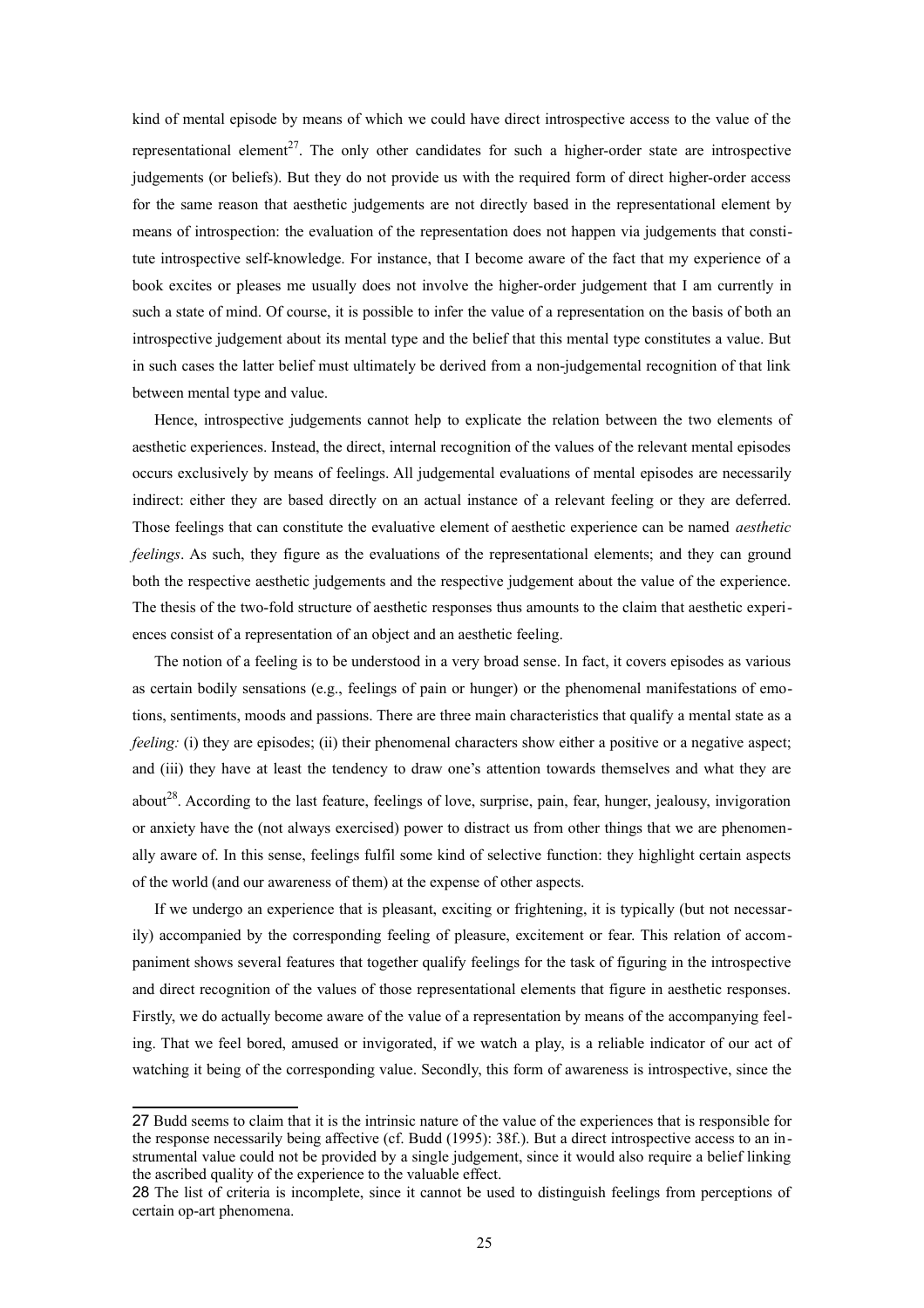kind of mental episode by means of which we could have direct introspective access to the value of the representational element<sup>[27](#page-24-0)</sup>. The only other candidates for such a higher-order state are introspective judgements (or beliefs). But they do not provide us with the required form of direct higher-order access for the same reason that aesthetic judgements are not directly based in the representational element by means of introspection: the evaluation of the representation does not happen via judgements that constitute introspective self-knowledge. For instance, that I become aware of the fact that my experience of a book excites or pleases me usually does not involve the higher-order judgement that I am currently in such a state of mind. Of course, it is possible to infer the value of a representation on the basis of both an introspective judgement about its mental type and the belief that this mental type constitutes a value. But in such cases the latter belief must ultimately be derived from a non-judgemental recognition of that link between mental type and value.

Hence, introspective judgements cannot help to explicate the relation between the two elements of aesthetic experiences. Instead, the direct, internal recognition of the values of the relevant mental episodes occurs exclusively by means of feelings. All judgemental evaluations of mental episodes are necessarily indirect: either they are based directly on an actual instance of a relevant feeling or they are deferred. Those feelings that can constitute the evaluative element of aesthetic experience can be named *aesthetic feelings*. As such, they figure as the evaluations of the representational elements; and they can ground both the respective aesthetic judgements and the respective judgement about the value of the experience. The thesis of the two-fold structure of aesthetic responses thus amounts to the claim that aesthetic experiences consist of a representation of an object and an aesthetic feeling.

The notion of a feeling is to be understood in a very broad sense. In fact, it covers episodes as various as certain bodily sensations (e.g., feelings of pain or hunger) or the phenomenal manifestations of emotions, sentiments, moods and passions. There are three main characteristics that qualify a mental state as a *feeling:* (i) they are episodes; (ii) their phenomenal characters show either a positive or a negative aspect; and (iii) they have at least the tendency to draw one's attention towards themselves and what they are about<sup>[28](#page-24-1)</sup>. According to the last feature, feelings of love, surprise, pain, fear, hunger, jealousy, invigoration or anxiety have the (not always exercised) power to distract us from other things that we are phenomenally aware of. In this sense, feelings fulfil some kind of selective function: they highlight certain aspects of the world (and our awareness of them) at the expense of other aspects.

If we undergo an experience that is pleasant, exciting or frightening, it is typically (but not necessarily) accompanied by the corresponding feeling of pleasure, excitement or fear. This relation of accompaniment shows several features that together qualify feelings for the task of figuring in the introspective and direct recognition of the values of those representational elements that figure in aesthetic responses. Firstly, we do actually become aware of the value of a representation by means of the accompanying feeling. That we feel bored, amused or invigorated, if we watch a play, is a reliable indicator of our act of watching it being of the corresponding value. Secondly, this form of awareness is introspective, since the

<span id="page-24-0"></span><sup>27</sup> Budd seems to claim that it is the intrinsic nature of the value of the experiences that is responsible for the response necessarily being affective (cf. Budd (1995): 38f.). But a direct introspective access to an instrumental value could not be provided by a single judgement, since it would also require a belief linking the ascribed quality of the experience to the valuable effect.

<span id="page-24-1"></span><sup>28</sup> The list of criteria is incomplete, since it cannot be used to distinguish feelings from perceptions of certain op-art phenomena.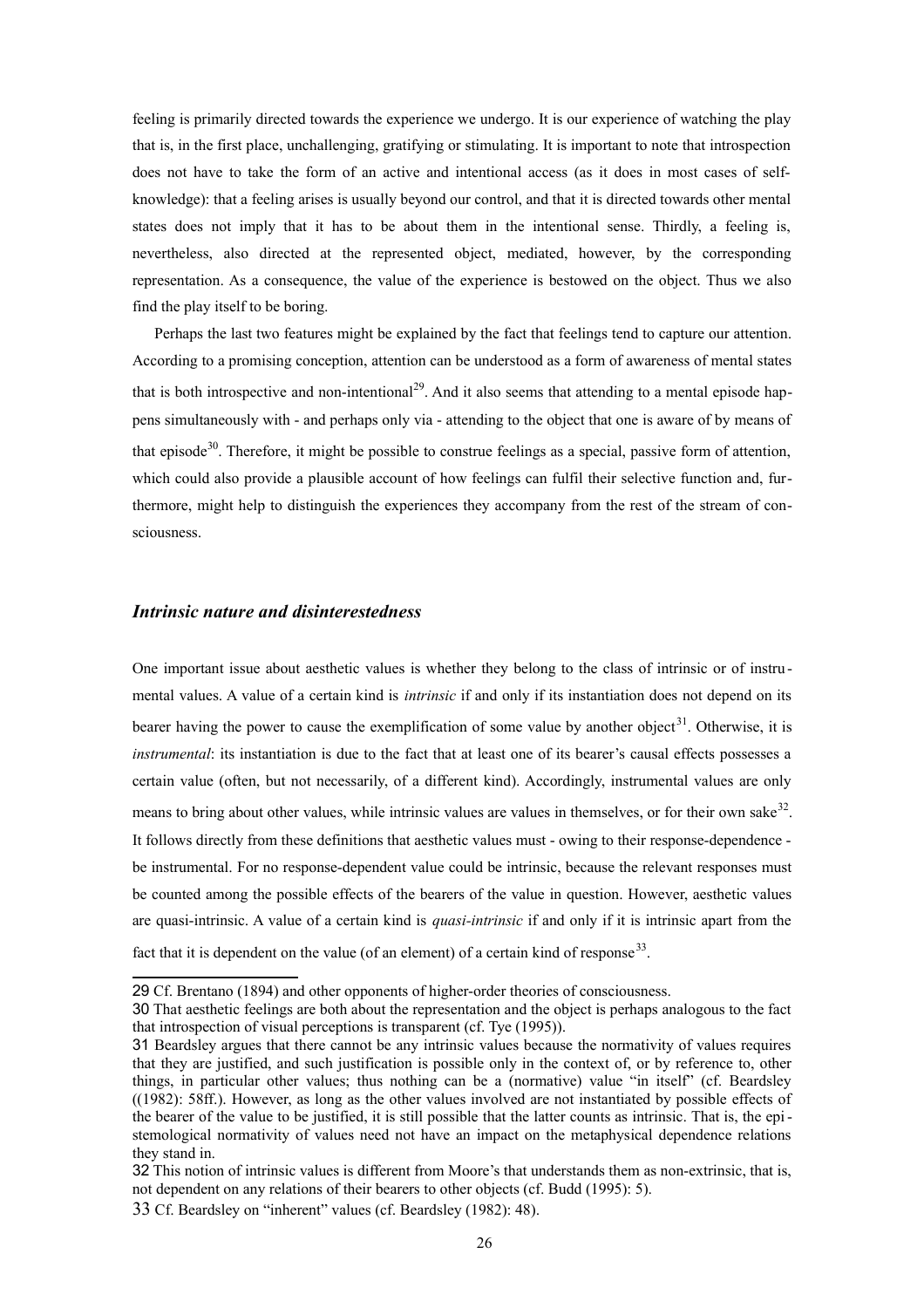feeling is primarily directed towards the experience we undergo. It is our experience of watching the play that is, in the first place, unchallenging, gratifying or stimulating. It is important to note that introspection does not have to take the form of an active and intentional access (as it does in most cases of selfknowledge): that a feeling arises is usually beyond our control, and that it is directed towards other mental states does not imply that it has to be about them in the intentional sense. Thirdly, a feeling is, nevertheless, also directed at the represented object, mediated, however, by the corresponding representation. As a consequence, the value of the experience is bestowed on the object. Thus we also find the play itself to be boring.

Perhaps the last two features might be explained by the fact that feelings tend to capture our attention. According to a promising conception, attention can be understood as a form of awareness of mental states that is both introspective and non-intentional<sup>[29](#page-25-0)</sup>. And it also seems that attending to a mental episode happens simultaneously with - and perhaps only via - attending to the object that one is aware of by means of that episode<sup>[30](#page-25-1)</sup>. Therefore, it might be possible to construe feelings as a special, passive form of attention, which could also provide a plausible account of how feelings can fulfil their selective function and, furthermore, might help to distinguish the experiences they accompany from the rest of the stream of consciousness.

## *Intrinsic nature and disinterestedness*

One important issue about aesthetic values is whether they belong to the class of intrinsic or of instru mental values. A value of a certain kind is *intrinsic* if and only if its instantiation does not depend on its bearer having the power to cause the exemplification of some value by another object<sup>[31](#page-25-2)</sup>. Otherwise, it is *instrumental*: its instantiation is due to the fact that at least one of its bearer's causal effects possesses a certain value (often, but not necessarily, of a different kind). Accordingly, instrumental values are only means to bring about other values, while intrinsic values are values in themselves, or for their own sake<sup>[32](#page-25-3)</sup>. It follows directly from these definitions that aesthetic values must - owing to their response-dependence be instrumental. For no response-dependent value could be intrinsic, because the relevant responses must be counted among the possible effects of the bearers of the value in question. However, aesthetic values are quasi-intrinsic. A value of a certain kind is *quasi-intrinsic* if and only if it is intrinsic apart from the fact that it is dependent on the value (of an element) of a certain kind of response<sup>[33](#page-25-4)</sup>.

<span id="page-25-0"></span><sup>29</sup> Cf. Brentano (1894) and other opponents of higher-order theories of consciousness.

<span id="page-25-1"></span><sup>30</sup> That aesthetic feelings are both about the representation and the object is perhaps analogous to the fact that introspection of visual perceptions is transparent (cf. Tye (1995)).

<span id="page-25-2"></span><sup>31</sup> Beardsley argues that there cannot be any intrinsic values because the normativity of values requires that they are justified, and such justification is possible only in the context of, or by reference to, other things, in particular other values; thus nothing can be a (normative) value "in itself" (cf. Beardsley ((1982): 58ff.). However, as long as the other values involved are not instantiated by possible effects of the bearer of the value to be justified, it is still possible that the latter counts as intrinsic. That is, the epistemological normativity of values need not have an impact on the metaphysical dependence relations they stand in.

<span id="page-25-3"></span><sup>32</sup> This notion of intrinsic values is different from Moore's that understands them as non-extrinsic, that is, not dependent on any relations of their bearers to other objects (cf. Budd (1995): 5).

<span id="page-25-4"></span><sup>33</sup> Cf. Beardsley on "inherent" values (cf. Beardsley (1982): 48).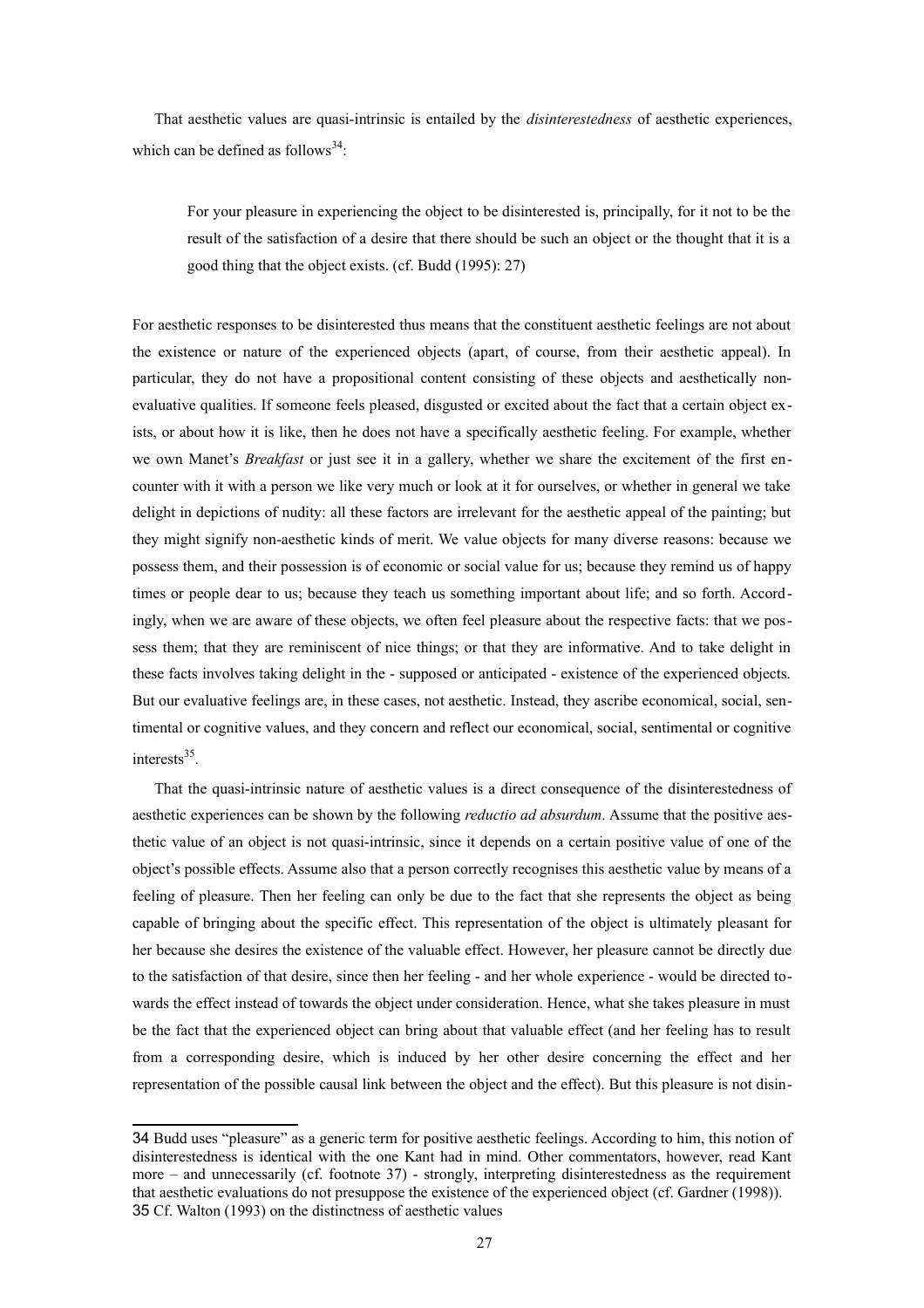That aesthetic values are quasi-intrinsic is entailed by the *disinterestedness* of aesthetic experiences, which can be defined as follows<sup>[34](#page-26-0)</sup>:

For your pleasure in experiencing the object to be disinterested is, principally, for it not to be the result of the satisfaction of a desire that there should be such an object or the thought that it is a good thing that the object exists. (cf. Budd (1995): 27)

For aesthetic responses to be disinterested thus means that the constituent aesthetic feelings are not about the existence or nature of the experienced objects (apart, of course, from their aesthetic appeal). In particular, they do not have a propositional content consisting of these objects and aesthetically nonevaluative qualities. If someone feels pleased, disgusted or excited about the fact that a certain object exists, or about how it is like, then he does not have a specifically aesthetic feeling. For example, whether we own Manet's *Breakfast* or just see it in a gallery, whether we share the excitement of the first encounter with it with a person we like very much or look at it for ourselves, or whether in general we take delight in depictions of nudity: all these factors are irrelevant for the aesthetic appeal of the painting; but they might signify non-aesthetic kinds of merit. We value objects for many diverse reasons: because we possess them, and their possession is of economic or social value for us; because they remind us of happy times or people dear to us; because they teach us something important about life; and so forth. Accordingly, when we are aware of these objects, we often feel pleasure about the respective facts: that we possess them; that they are reminiscent of nice things; or that they are informative. And to take delight in these facts involves taking delight in the - supposed or anticipated - existence of the experienced objects. But our evaluative feelings are, in these cases, not aesthetic. Instead, they ascribe economical, social, sentimental or cognitive values, and they concern and reflect our economical, social, sentimental or cognitive interests<sup>[35](#page-26-1)</sup>.

That the quasi-intrinsic nature of aesthetic values is a direct consequence of the disinterestedness of aesthetic experiences can be shown by the following *reductio ad absurdum*. Assume that the positive aesthetic value of an object is not quasi-intrinsic, since it depends on a certain positive value of one of the object's possible effects. Assume also that a person correctly recognises this aesthetic value by means of a feeling of pleasure. Then her feeling can only be due to the fact that she represents the object as being capable of bringing about the specific effect. This representation of the object is ultimately pleasant for her because she desires the existence of the valuable effect. However, her pleasure cannot be directly due to the satisfaction of that desire, since then her feeling - and her whole experience - would be directed towards the effect instead of towards the object under consideration. Hence, what she takes pleasure in must be the fact that the experienced object can bring about that valuable effect (and her feeling has to result from a corresponding desire, which is induced by her other desire concerning the effect and her representation of the possible causal link between the object and the effect). But this pleasure is not disin-

<span id="page-26-1"></span><span id="page-26-0"></span><sup>34</sup> Budd uses "pleasure" as a generic term for positive aesthetic feelings. According to him, this notion of disinterestedness is identical with the one Kant had in mind. Other commentators, however, read Kant more – and unnecessarily (cf. footnote 37) - strongly, interpreting disinterestedness as the requirement that aesthetic evaluations do not presuppose the existence of the experienced object (cf. Gardner (1998)). 35 Cf. Walton (1993) on the distinctness of aesthetic values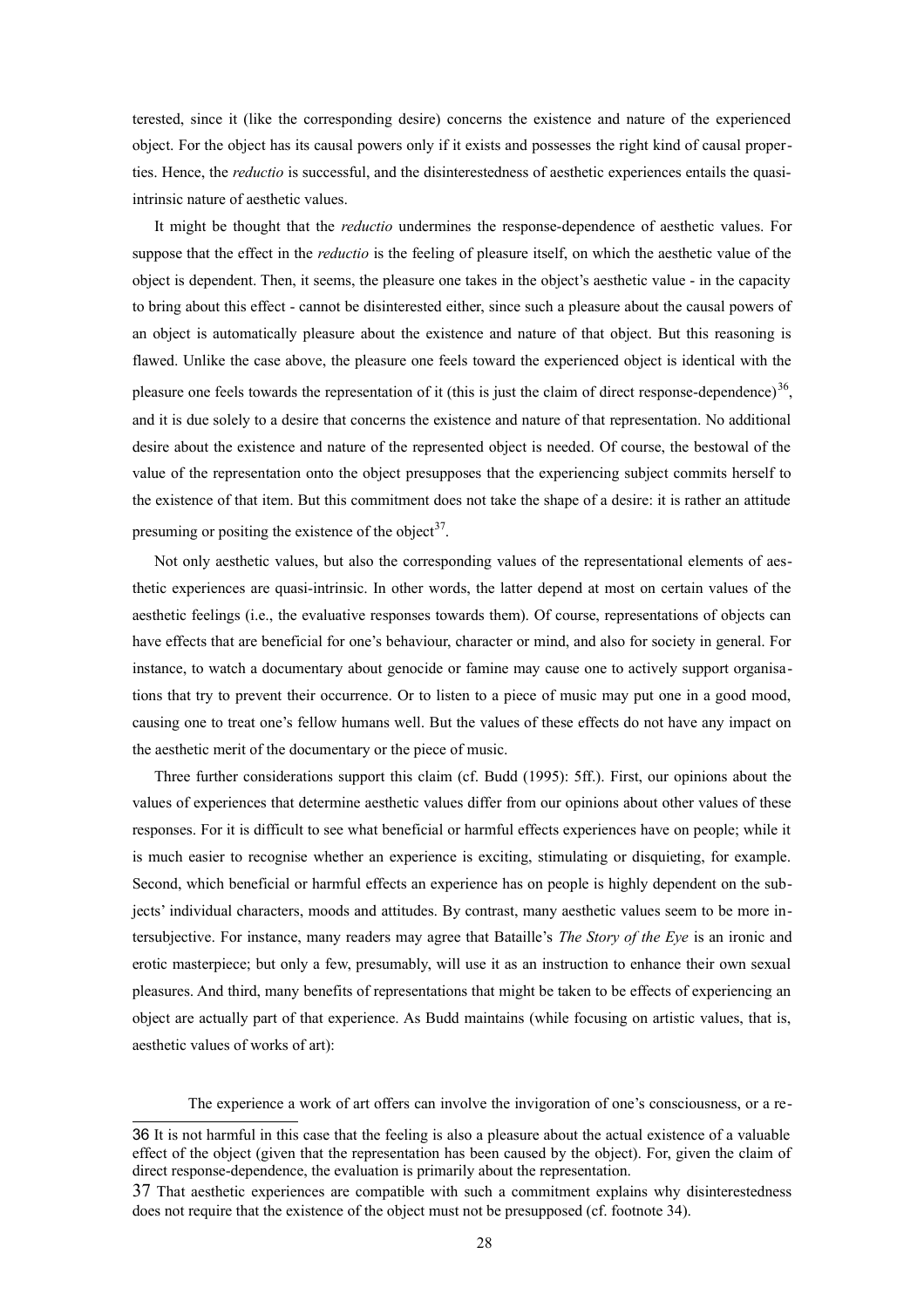terested, since it (like the corresponding desire) concerns the existence and nature of the experienced object. For the object has its causal powers only if it exists and possesses the right kind of causal properties. Hence, the *reductio* is successful, and the disinterestedness of aesthetic experiences entails the quasiintrinsic nature of aesthetic values.

It might be thought that the *reductio* undermines the response-dependence of aesthetic values. For suppose that the effect in the *reductio* is the feeling of pleasure itself, on which the aesthetic value of the object is dependent. Then, it seems, the pleasure one takes in the object's aesthetic value - in the capacity to bring about this effect - cannot be disinterested either, since such a pleasure about the causal powers of an object is automatically pleasure about the existence and nature of that object. But this reasoning is flawed. Unlike the case above, the pleasure one feels toward the experienced object is identical with the pleasure one feels towards the representation of it (this is just the claim of direct response-dependence) $36$ , and it is due solely to a desire that concerns the existence and nature of that representation. No additional desire about the existence and nature of the represented object is needed. Of course, the bestowal of the value of the representation onto the object presupposes that the experiencing subject commits herself to the existence of that item. But this commitment does not take the shape of a desire: it is rather an attitude presuming or positing the existence of the object<sup>[37](#page-27-1)</sup>.

Not only aesthetic values, but also the corresponding values of the representational elements of aesthetic experiences are quasi-intrinsic. In other words, the latter depend at most on certain values of the aesthetic feelings (i.e., the evaluative responses towards them). Of course, representations of objects can have effects that are beneficial for one's behaviour, character or mind, and also for society in general. For instance, to watch a documentary about genocide or famine may cause one to actively support organisations that try to prevent their occurrence. Or to listen to a piece of music may put one in a good mood, causing one to treat one's fellow humans well. But the values of these effects do not have any impact on the aesthetic merit of the documentary or the piece of music.

Three further considerations support this claim (cf. Budd (1995): 5ff.). First, our opinions about the values of experiences that determine aesthetic values differ from our opinions about other values of these responses. For it is difficult to see what beneficial or harmful effects experiences have on people; while it is much easier to recognise whether an experience is exciting, stimulating or disquieting, for example. Second, which beneficial or harmful effects an experience has on people is highly dependent on the subjects' individual characters, moods and attitudes. By contrast, many aesthetic values seem to be more intersubjective. For instance, many readers may agree that Bataille's *The Story of the Eye* is an ironic and erotic masterpiece; but only a few, presumably, will use it as an instruction to enhance their own sexual pleasures. And third, many benefits of representations that might be taken to be effects of experiencing an object are actually part of that experience. As Budd maintains (while focusing on artistic values, that is, aesthetic values of works of art):

The experience a work of art offers can involve the invigoration of one's consciousness, or a re-

<span id="page-27-0"></span><sup>36</sup> It is not harmful in this case that the feeling is also a pleasure about the actual existence of a valuable effect of the object (given that the representation has been caused by the object). For, given the claim of direct response-dependence, the evaluation is primarily about the representation.

<span id="page-27-1"></span><sup>37</sup> That aesthetic experiences are compatible with such a commitment explains why disinterestedness does not require that the existence of the object must not be presupposed (cf. footnote 34).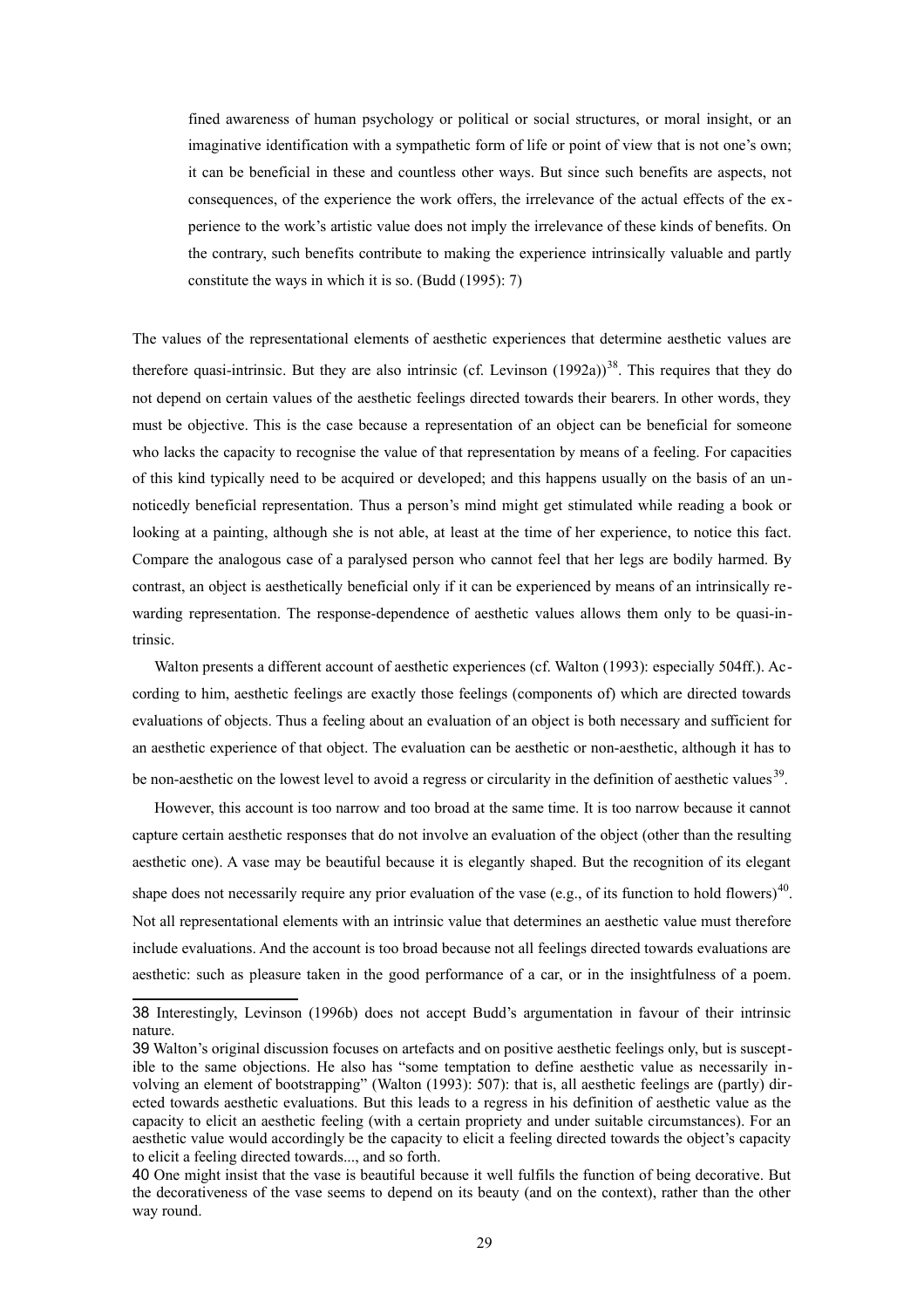fined awareness of human psychology or political or social structures, or moral insight, or an imaginative identification with a sympathetic form of life or point of view that is not one's own; it can be beneficial in these and countless other ways. But since such benefits are aspects, not consequences, of the experience the work offers, the irrelevance of the actual effects of the experience to the work's artistic value does not imply the irrelevance of these kinds of benefits. On the contrary, such benefits contribute to making the experience intrinsically valuable and partly constitute the ways in which it is so. (Budd (1995): 7)

The values of the representational elements of aesthetic experiences that determine aesthetic values are therefore quasi-intrinsic. But they are also intrinsic (cf. Levinson  $(1992a)^{38}$  $(1992a)^{38}$  $(1992a)^{38}$ . This requires that they do not depend on certain values of the aesthetic feelings directed towards their bearers. In other words, they must be objective. This is the case because a representation of an object can be beneficial for someone who lacks the capacity to recognise the value of that representation by means of a feeling. For capacities of this kind typically need to be acquired or developed; and this happens usually on the basis of an unnoticedly beneficial representation. Thus a person's mind might get stimulated while reading a book or looking at a painting, although she is not able, at least at the time of her experience, to notice this fact. Compare the analogous case of a paralysed person who cannot feel that her legs are bodily harmed. By contrast, an object is aesthetically beneficial only if it can be experienced by means of an intrinsically rewarding representation. The response-dependence of aesthetic values allows them only to be quasi-intrinsic.

Walton presents a different account of aesthetic experiences (cf. Walton (1993): especially 504ff.). According to him, aesthetic feelings are exactly those feelings (components of) which are directed towards evaluations of objects. Thus a feeling about an evaluation of an object is both necessary and sufficient for an aesthetic experience of that object. The evaluation can be aesthetic or non-aesthetic, although it has to be non-aesthetic on the lowest level to avoid a regress or circularity in the definition of aesthetic values  $39$ .

However, this account is too narrow and too broad at the same time. It is too narrow because it cannot capture certain aesthetic responses that do not involve an evaluation of the object (other than the resulting aesthetic one). A vase may be beautiful because it is elegantly shaped. But the recognition of its elegant shape does not necessarily require any prior evaluation of the vase (e.g., of its function to hold flowers)<sup>[40](#page-28-2)</sup>. Not all representational elements with an intrinsic value that determines an aesthetic value must therefore include evaluations. And the account is too broad because not all feelings directed towards evaluations are aesthetic: such as pleasure taken in the good performance of a car, or in the insightfulness of a poem.

<span id="page-28-0"></span><sup>38</sup> Interestingly, Levinson (1996b) does not accept Budd's argumentation in favour of their intrinsic nature.

<span id="page-28-1"></span><sup>39</sup> Walton's original discussion focuses on artefacts and on positive aesthetic feelings only, but is susceptible to the same objections. He also has "some temptation to define aesthetic value as necessarily involving an element of bootstrapping" (Walton (1993): 507): that is, all aesthetic feelings are (partly) directed towards aesthetic evaluations. But this leads to a regress in his definition of aesthetic value as the capacity to elicit an aesthetic feeling (with a certain propriety and under suitable circumstances). For an aesthetic value would accordingly be the capacity to elicit a feeling directed towards the object's capacity to elicit a feeling directed towards..., and so forth.

<span id="page-28-2"></span><sup>40</sup> One might insist that the vase is beautiful because it well fulfils the function of being decorative. But the decorativeness of the vase seems to depend on its beauty (and on the context), rather than the other way round.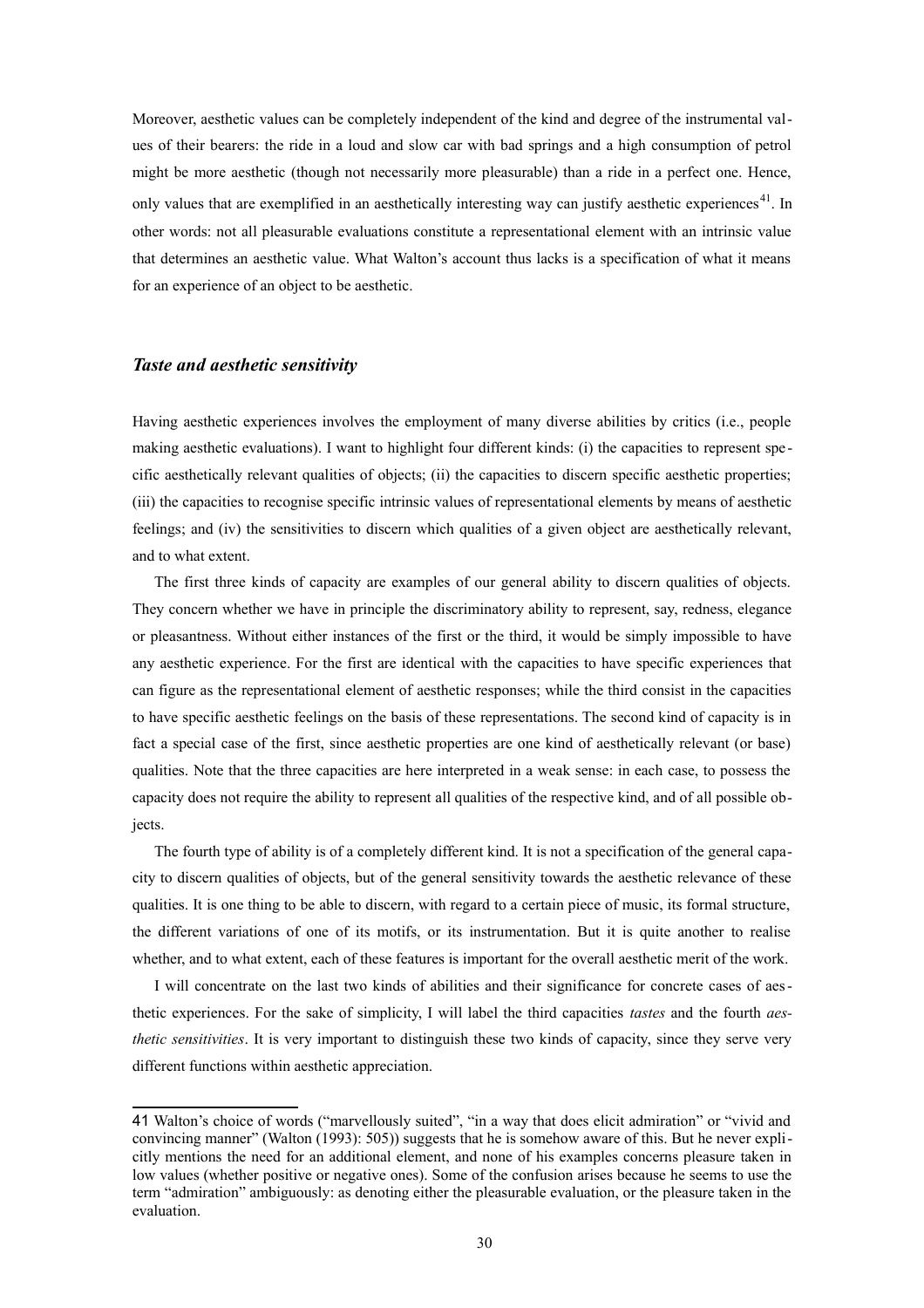Moreover, aesthetic values can be completely independent of the kind and degree of the instrumental values of their bearers: the ride in a loud and slow car with bad springs and a high consumption of petrol might be more aesthetic (though not necessarily more pleasurable) than a ride in a perfect one. Hence, only values that are exemplified in an aesthetically interesting way can justify aesthetic experiences<sup>[41](#page-29-0)</sup>. In other words: not all pleasurable evaluations constitute a representational element with an intrinsic value that determines an aesthetic value. What Walton's account thus lacks is a specification of what it means for an experience of an object to be aesthetic.

#### *Taste and aesthetic sensitivity*

Having aesthetic experiences involves the employment of many diverse abilities by critics (i.e., people making aesthetic evaluations). I want to highlight four different kinds: (i) the capacities to represent spe cific aesthetically relevant qualities of objects; (ii) the capacities to discern specific aesthetic properties; (iii) the capacities to recognise specific intrinsic values of representational elements by means of aesthetic feelings; and (iv) the sensitivities to discern which qualities of a given object are aesthetically relevant, and to what extent.

The first three kinds of capacity are examples of our general ability to discern qualities of objects. They concern whether we have in principle the discriminatory ability to represent, say, redness, elegance or pleasantness. Without either instances of the first or the third, it would be simply impossible to have any aesthetic experience. For the first are identical with the capacities to have specific experiences that can figure as the representational element of aesthetic responses; while the third consist in the capacities to have specific aesthetic feelings on the basis of these representations. The second kind of capacity is in fact a special case of the first, since aesthetic properties are one kind of aesthetically relevant (or base) qualities. Note that the three capacities are here interpreted in a weak sense: in each case, to possess the capacity does not require the ability to represent all qualities of the respective kind, and of all possible objects.

The fourth type of ability is of a completely different kind. It is not a specification of the general capacity to discern qualities of objects, but of the general sensitivity towards the aesthetic relevance of these qualities. It is one thing to be able to discern, with regard to a certain piece of music, its formal structure, the different variations of one of its motifs, or its instrumentation. But it is quite another to realise whether, and to what extent, each of these features is important for the overall aesthetic merit of the work.

I will concentrate on the last two kinds of abilities and their significance for concrete cases of aesthetic experiences. For the sake of simplicity, I will label the third capacities *tastes* and the fourth *aesthetic sensitivities*. It is very important to distinguish these two kinds of capacity, since they serve very different functions within aesthetic appreciation.

<span id="page-29-0"></span><sup>41</sup> Walton's choice of words ("marvellously suited", "in a way that does elicit admiration" or "vivid and convincing manner" (Walton (1993): 505)) suggests that he is somehow aware of this. But he never explicitly mentions the need for an additional element, and none of his examples concerns pleasure taken in low values (whether positive or negative ones). Some of the confusion arises because he seems to use the term "admiration" ambiguously: as denoting either the pleasurable evaluation, or the pleasure taken in the evaluation.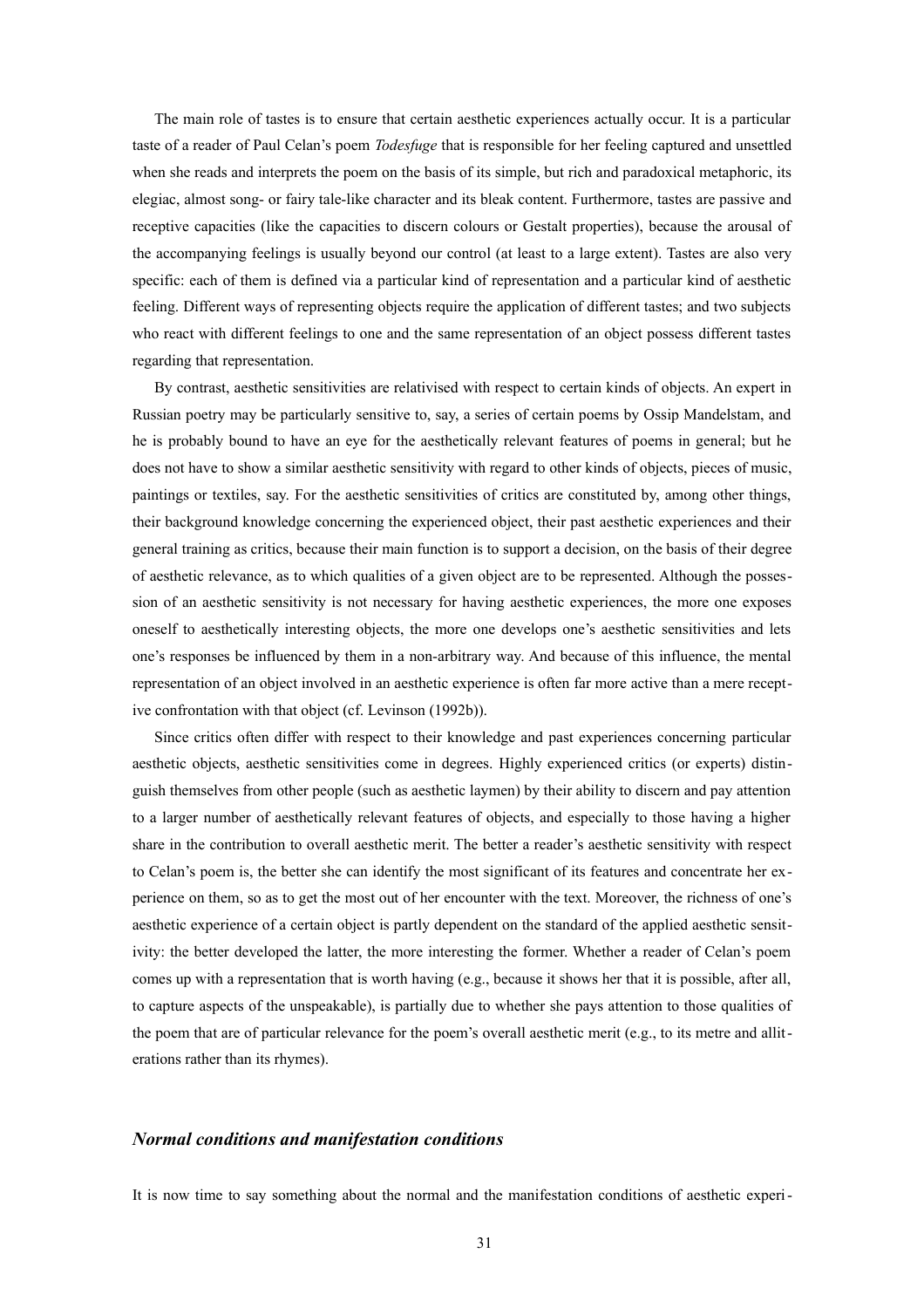The main role of tastes is to ensure that certain aesthetic experiences actually occur. It is a particular taste of a reader of Paul Celan's poem *Todesfuge* that is responsible for her feeling captured and unsettled when she reads and interprets the poem on the basis of its simple, but rich and paradoxical metaphoric, its elegiac, almost song- or fairy tale-like character and its bleak content. Furthermore, tastes are passive and receptive capacities (like the capacities to discern colours or Gestalt properties), because the arousal of the accompanying feelings is usually beyond our control (at least to a large extent). Tastes are also very specific: each of them is defined via a particular kind of representation and a particular kind of aesthetic feeling. Different ways of representing objects require the application of different tastes; and two subjects who react with different feelings to one and the same representation of an object possess different tastes regarding that representation.

By contrast, aesthetic sensitivities are relativised with respect to certain kinds of objects. An expert in Russian poetry may be particularly sensitive to, say, a series of certain poems by Ossip Mandelstam, and he is probably bound to have an eye for the aesthetically relevant features of poems in general; but he does not have to show a similar aesthetic sensitivity with regard to other kinds of objects, pieces of music, paintings or textiles, say. For the aesthetic sensitivities of critics are constituted by, among other things, their background knowledge concerning the experienced object, their past aesthetic experiences and their general training as critics, because their main function is to support a decision, on the basis of their degree of aesthetic relevance, as to which qualities of a given object are to be represented. Although the possession of an aesthetic sensitivity is not necessary for having aesthetic experiences, the more one exposes oneself to aesthetically interesting objects, the more one develops one's aesthetic sensitivities and lets one's responses be influenced by them in a non-arbitrary way. And because of this influence, the mental representation of an object involved in an aesthetic experience is often far more active than a mere receptive confrontation with that object (cf. Levinson (1992b)).

Since critics often differ with respect to their knowledge and past experiences concerning particular aesthetic objects, aesthetic sensitivities come in degrees. Highly experienced critics (or experts) distinguish themselves from other people (such as aesthetic laymen) by their ability to discern and pay attention to a larger number of aesthetically relevant features of objects, and especially to those having a higher share in the contribution to overall aesthetic merit. The better a reader's aesthetic sensitivity with respect to Celan's poem is, the better she can identify the most significant of its features and concentrate her experience on them, so as to get the most out of her encounter with the text. Moreover, the richness of one's aesthetic experience of a certain object is partly dependent on the standard of the applied aesthetic sensitivity: the better developed the latter, the more interesting the former. Whether a reader of Celan's poem comes up with a representation that is worth having (e.g., because it shows her that it is possible, after all, to capture aspects of the unspeakable), is partially due to whether she pays attention to those qualities of the poem that are of particular relevance for the poem's overall aesthetic merit (e.g., to its metre and alliterations rather than its rhymes).

## *Normal conditions and manifestation conditions*

It is now time to say something about the normal and the manifestation conditions of aesthetic experi-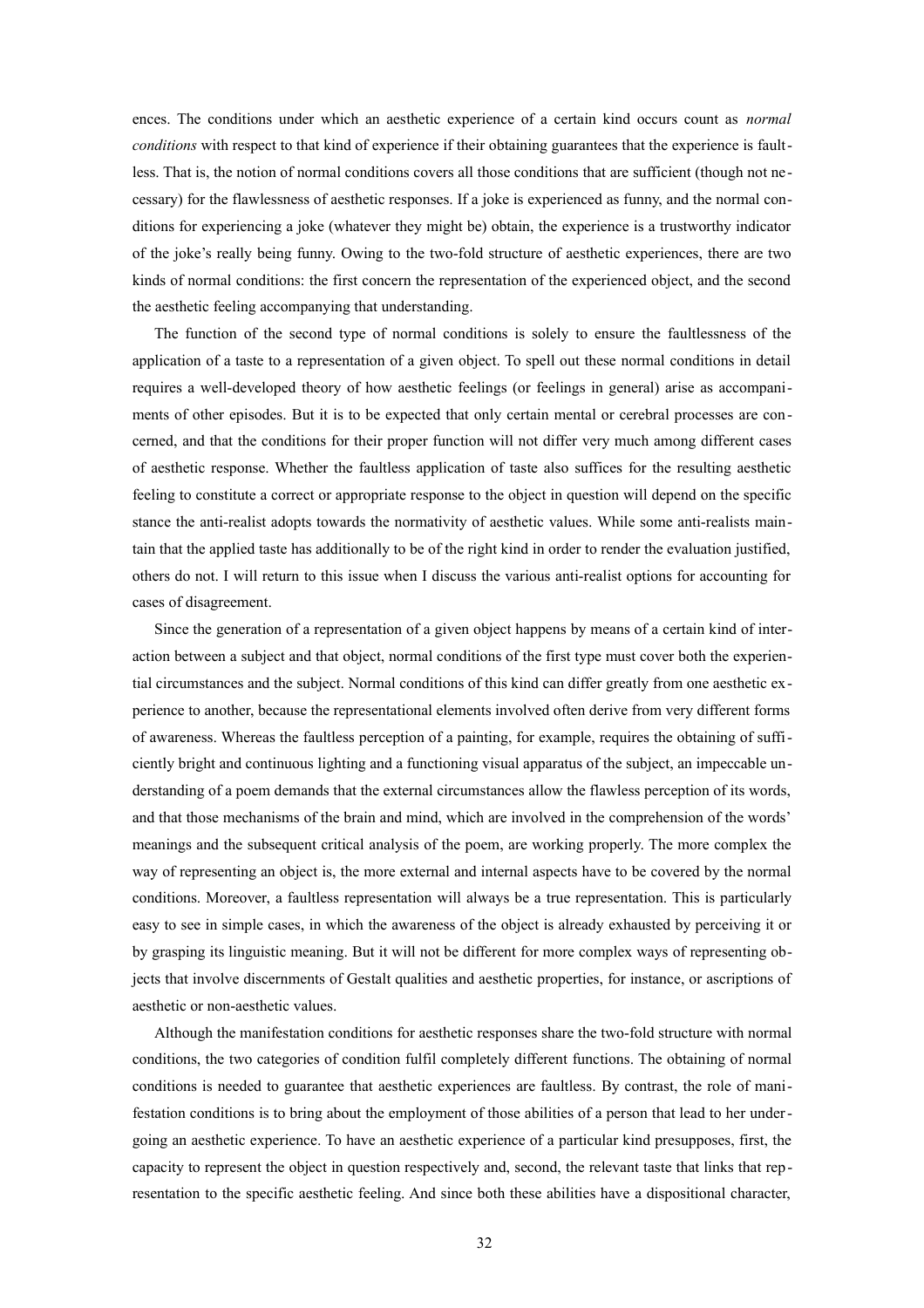ences. The conditions under which an aesthetic experience of a certain kind occurs count as *normal conditions* with respect to that kind of experience if their obtaining guarantees that the experience is faultless. That is, the notion of normal conditions covers all those conditions that are sufficient (though not necessary) for the flawlessness of aesthetic responses. If a joke is experienced as funny, and the normal conditions for experiencing a joke (whatever they might be) obtain, the experience is a trustworthy indicator of the joke's really being funny. Owing to the two-fold structure of aesthetic experiences, there are two kinds of normal conditions: the first concern the representation of the experienced object, and the second the aesthetic feeling accompanying that understanding.

The function of the second type of normal conditions is solely to ensure the faultlessness of the application of a taste to a representation of a given object. To spell out these normal conditions in detail requires a well-developed theory of how aesthetic feelings (or feelings in general) arise as accompaniments of other episodes. But it is to be expected that only certain mental or cerebral processes are con cerned, and that the conditions for their proper function will not differ very much among different cases of aesthetic response. Whether the faultless application of taste also suffices for the resulting aesthetic feeling to constitute a correct or appropriate response to the object in question will depend on the specific stance the anti-realist adopts towards the normativity of aesthetic values. While some anti-realists maintain that the applied taste has additionally to be of the right kind in order to render the evaluation justified, others do not. I will return to this issue when I discuss the various anti-realist options for accounting for cases of disagreement.

Since the generation of a representation of a given object happens by means of a certain kind of interaction between a subject and that object, normal conditions of the first type must cover both the experiential circumstances and the subject. Normal conditions of this kind can differ greatly from one aesthetic experience to another, because the representational elements involved often derive from very different forms of awareness. Whereas the faultless perception of a painting, for example, requires the obtaining of sufficiently bright and continuous lighting and a functioning visual apparatus of the subject, an impeccable understanding of a poem demands that the external circumstances allow the flawless perception of its words, and that those mechanisms of the brain and mind, which are involved in the comprehension of the words' meanings and the subsequent critical analysis of the poem, are working properly. The more complex the way of representing an object is, the more external and internal aspects have to be covered by the normal conditions. Moreover, a faultless representation will always be a true representation. This is particularly easy to see in simple cases, in which the awareness of the object is already exhausted by perceiving it or by grasping its linguistic meaning. But it will not be different for more complex ways of representing objects that involve discernments of Gestalt qualities and aesthetic properties, for instance, or ascriptions of aesthetic or non-aesthetic values.

Although the manifestation conditions for aesthetic responses share the two-fold structure with normal conditions, the two categories of condition fulfil completely different functions. The obtaining of normal conditions is needed to guarantee that aesthetic experiences are faultless. By contrast, the role of manifestation conditions is to bring about the employment of those abilities of a person that lead to her undergoing an aesthetic experience. To have an aesthetic experience of a particular kind presupposes, first, the capacity to represent the object in question respectively and, second, the relevant taste that links that representation to the specific aesthetic feeling. And since both these abilities have a dispositional character,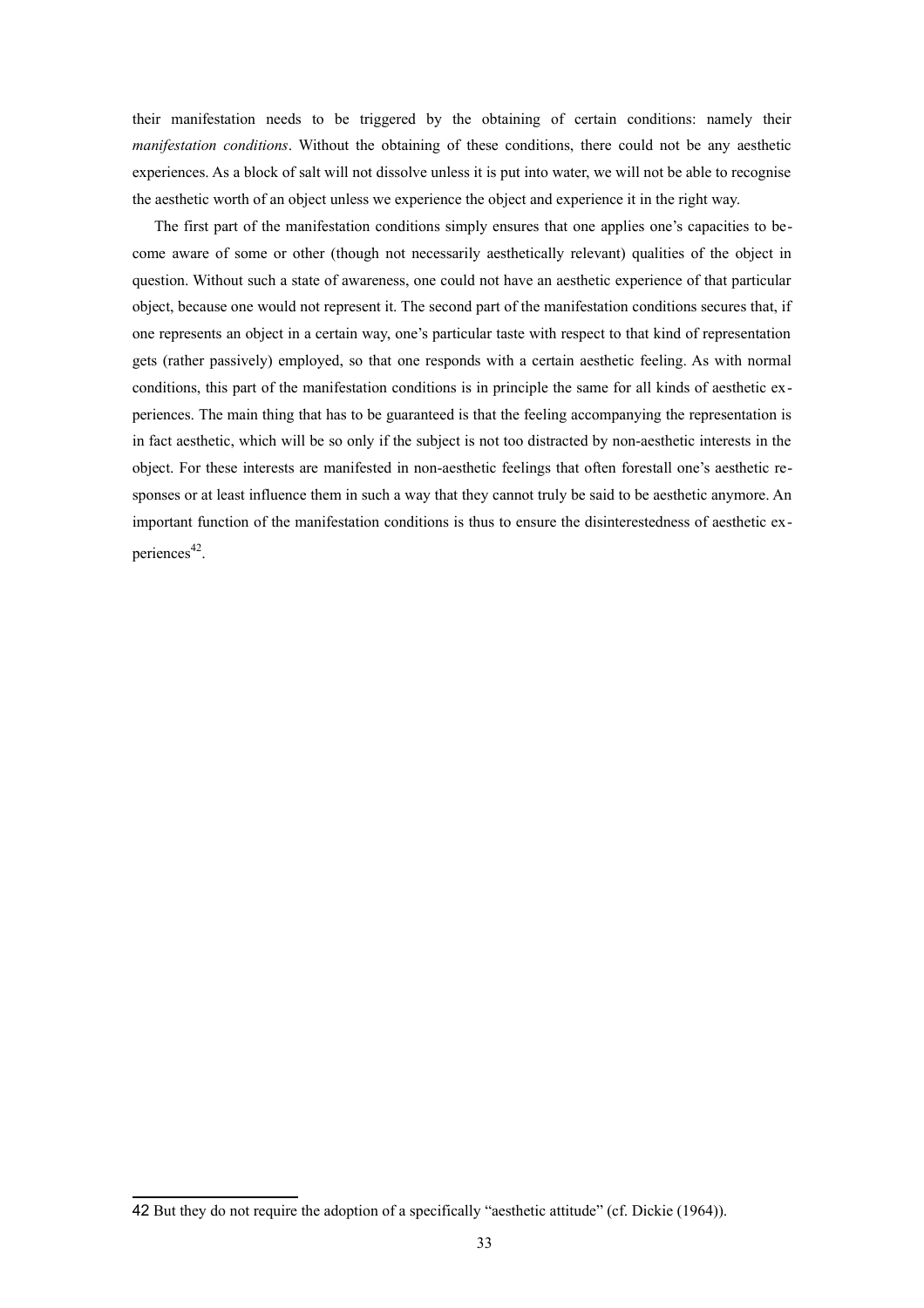their manifestation needs to be triggered by the obtaining of certain conditions: namely their *manifestation conditions*. Without the obtaining of these conditions, there could not be any aesthetic experiences. As a block of salt will not dissolve unless it is put into water, we will not be able to recognise the aesthetic worth of an object unless we experience the object and experience it in the right way.

The first part of the manifestation conditions simply ensures that one applies one's capacities to become aware of some or other (though not necessarily aesthetically relevant) qualities of the object in question. Without such a state of awareness, one could not have an aesthetic experience of that particular object, because one would not represent it. The second part of the manifestation conditions secures that, if one represents an object in a certain way, one's particular taste with respect to that kind of representation gets (rather passively) employed, so that one responds with a certain aesthetic feeling. As with normal conditions, this part of the manifestation conditions is in principle the same for all kinds of aesthetic experiences. The main thing that has to be guaranteed is that the feeling accompanying the representation is in fact aesthetic, which will be so only if the subject is not too distracted by non-aesthetic interests in the object. For these interests are manifested in non-aesthetic feelings that often forestall one's aesthetic responses or at least influence them in such a way that they cannot truly be said to be aesthetic anymore. An important function of the manifestation conditions is thus to ensure the disinterestedness of aesthetic ex-periences<sup>[42](#page-32-0)</sup>.

<span id="page-32-0"></span><sup>42</sup> But they do not require the adoption of a specifically "aesthetic attitude" (cf. Dickie (1964)).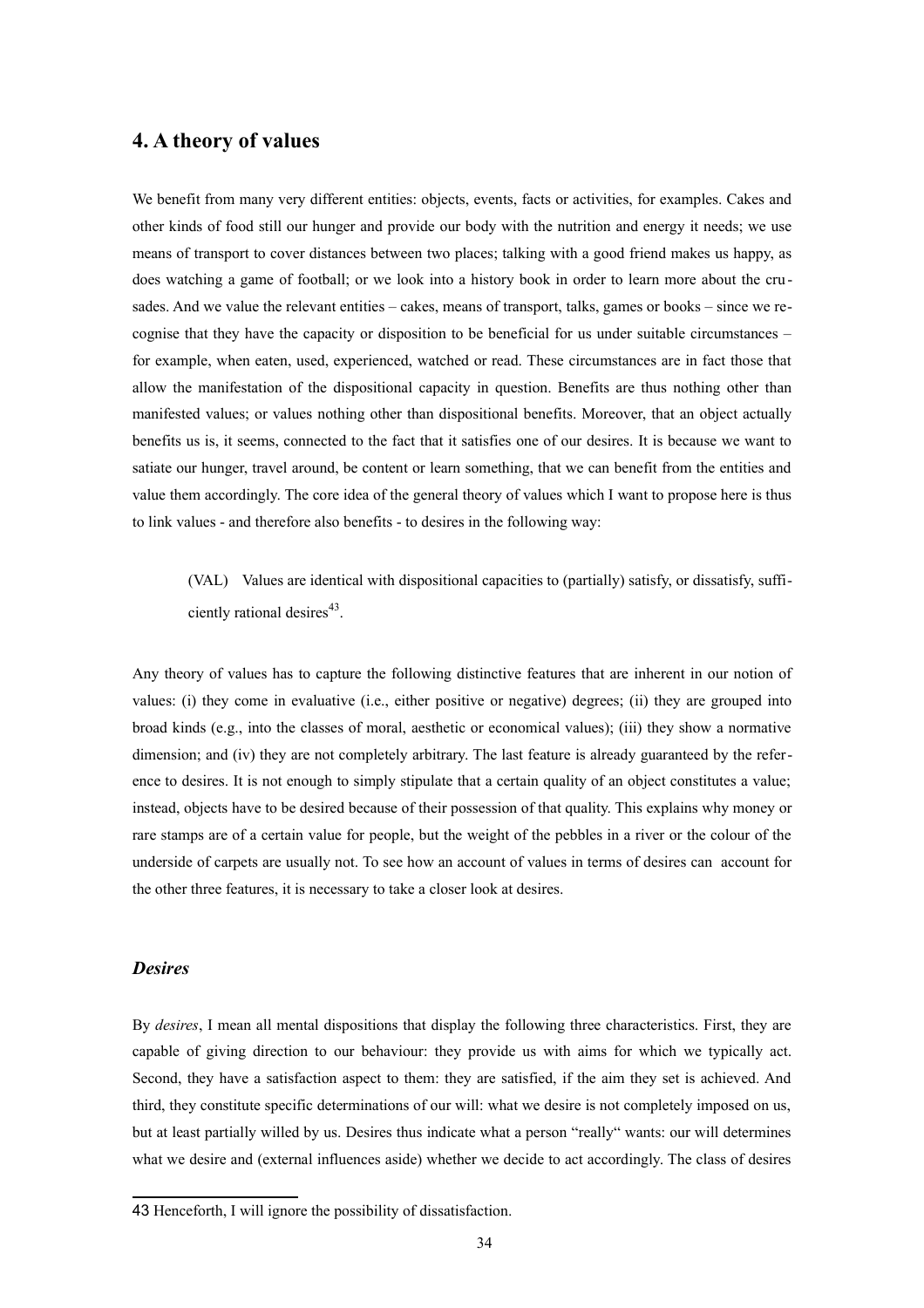## **4. A theory of values**

We benefit from many very different entities: objects, events, facts or activities, for examples. Cakes and other kinds of food still our hunger and provide our body with the nutrition and energy it needs; we use means of transport to cover distances between two places; talking with a good friend makes us happy, as does watching a game of football; or we look into a history book in order to learn more about the crusades. And we value the relevant entities – cakes, means of transport, talks, games or books – since we recognise that they have the capacity or disposition to be beneficial for us under suitable circumstances – for example, when eaten, used, experienced, watched or read. These circumstances are in fact those that allow the manifestation of the dispositional capacity in question. Benefits are thus nothing other than manifested values; or values nothing other than dispositional benefits. Moreover, that an object actually benefits us is, it seems, connected to the fact that it satisfies one of our desires. It is because we want to satiate our hunger, travel around, be content or learn something, that we can benefit from the entities and value them accordingly. The core idea of the general theory of values which I want to propose here is thus to link values - and therefore also benefits - to desires in the following way:

(VAL) Values are identical with dispositional capacities to (partially) satisfy, or dissatisfy, suffi-ciently rational desires<sup>[43](#page-33-0)</sup>.

Any theory of values has to capture the following distinctive features that are inherent in our notion of values: (i) they come in evaluative (i.e., either positive or negative) degrees; (ii) they are grouped into broad kinds (e.g., into the classes of moral, aesthetic or economical values); (iii) they show a normative dimension; and (iv) they are not completely arbitrary. The last feature is already guaranteed by the reference to desires. It is not enough to simply stipulate that a certain quality of an object constitutes a value; instead, objects have to be desired because of their possession of that quality. This explains why money or rare stamps are of a certain value for people, but the weight of the pebbles in a river or the colour of the underside of carpets are usually not. To see how an account of values in terms of desires can account for the other three features, it is necessary to take a closer look at desires.

#### *Desires*

By *desires*, I mean all mental dispositions that display the following three characteristics. First, they are capable of giving direction to our behaviour: they provide us with aims for which we typically act. Second, they have a satisfaction aspect to them: they are satisfied, if the aim they set is achieved. And third, they constitute specific determinations of our will: what we desire is not completely imposed on us, but at least partially willed by us. Desires thus indicate what a person "really" wants: our will determines what we desire and (external influences aside) whether we decide to act accordingly. The class of desires

<span id="page-33-0"></span><sup>43</sup> Henceforth, I will ignore the possibility of dissatisfaction.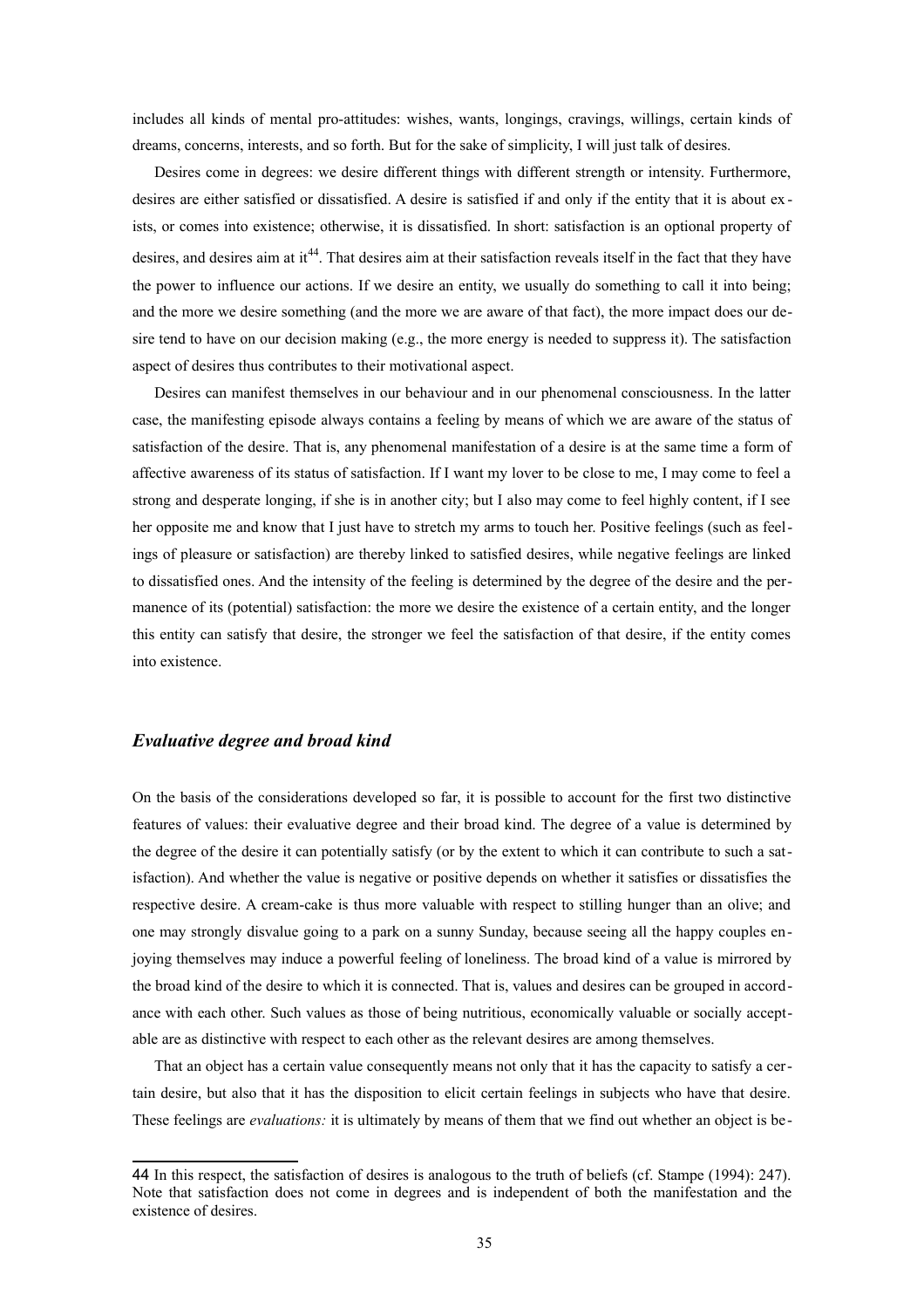includes all kinds of mental pro-attitudes: wishes, wants, longings, cravings, willings, certain kinds of dreams, concerns, interests, and so forth. But for the sake of simplicity, I will just talk of desires.

Desires come in degrees: we desire different things with different strength or intensity. Furthermore, desires are either satisfied or dissatisfied. A desire is satisfied if and only if the entity that it is about ex ists, or comes into existence; otherwise, it is dissatisfied. In short: satisfaction is an optional property of desires, and desires aim at it<sup>[44](#page-34-0)</sup>. That desires aim at their satisfaction reveals itself in the fact that they have the power to influence our actions. If we desire an entity, we usually do something to call it into being; and the more we desire something (and the more we are aware of that fact), the more impact does our desire tend to have on our decision making (e.g., the more energy is needed to suppress it). The satisfaction aspect of desires thus contributes to their motivational aspect.

Desires can manifest themselves in our behaviour and in our phenomenal consciousness. In the latter case, the manifesting episode always contains a feeling by means of which we are aware of the status of satisfaction of the desire. That is, any phenomenal manifestation of a desire is at the same time a form of affective awareness of its status of satisfaction. If I want my lover to be close to me, I may come to feel a strong and desperate longing, if she is in another city; but I also may come to feel highly content, if I see her opposite me and know that I just have to stretch my arms to touch her. Positive feelings (such as feelings of pleasure or satisfaction) are thereby linked to satisfied desires, while negative feelings are linked to dissatisfied ones. And the intensity of the feeling is determined by the degree of the desire and the permanence of its (potential) satisfaction: the more we desire the existence of a certain entity, and the longer this entity can satisfy that desire, the stronger we feel the satisfaction of that desire, if the entity comes into existence.

## *Evaluative degree and broad kind*

On the basis of the considerations developed so far, it is possible to account for the first two distinctive features of values: their evaluative degree and their broad kind. The degree of a value is determined by the degree of the desire it can potentially satisfy (or by the extent to which it can contribute to such a satisfaction). And whether the value is negative or positive depends on whether it satisfies or dissatisfies the respective desire. A cream-cake is thus more valuable with respect to stilling hunger than an olive; and one may strongly disvalue going to a park on a sunny Sunday, because seeing all the happy couples enjoying themselves may induce a powerful feeling of loneliness. The broad kind of a value is mirrored by the broad kind of the desire to which it is connected. That is, values and desires can be grouped in accordance with each other. Such values as those of being nutritious, economically valuable or socially acceptable are as distinctive with respect to each other as the relevant desires are among themselves.

That an object has a certain value consequently means not only that it has the capacity to satisfy a certain desire, but also that it has the disposition to elicit certain feelings in subjects who have that desire. These feelings are *evaluations:* it is ultimately by means of them that we find out whether an object is be -

<span id="page-34-0"></span><sup>44</sup> In this respect, the satisfaction of desires is analogous to the truth of beliefs (cf. Stampe (1994): 247). Note that satisfaction does not come in degrees and is independent of both the manifestation and the existence of desires.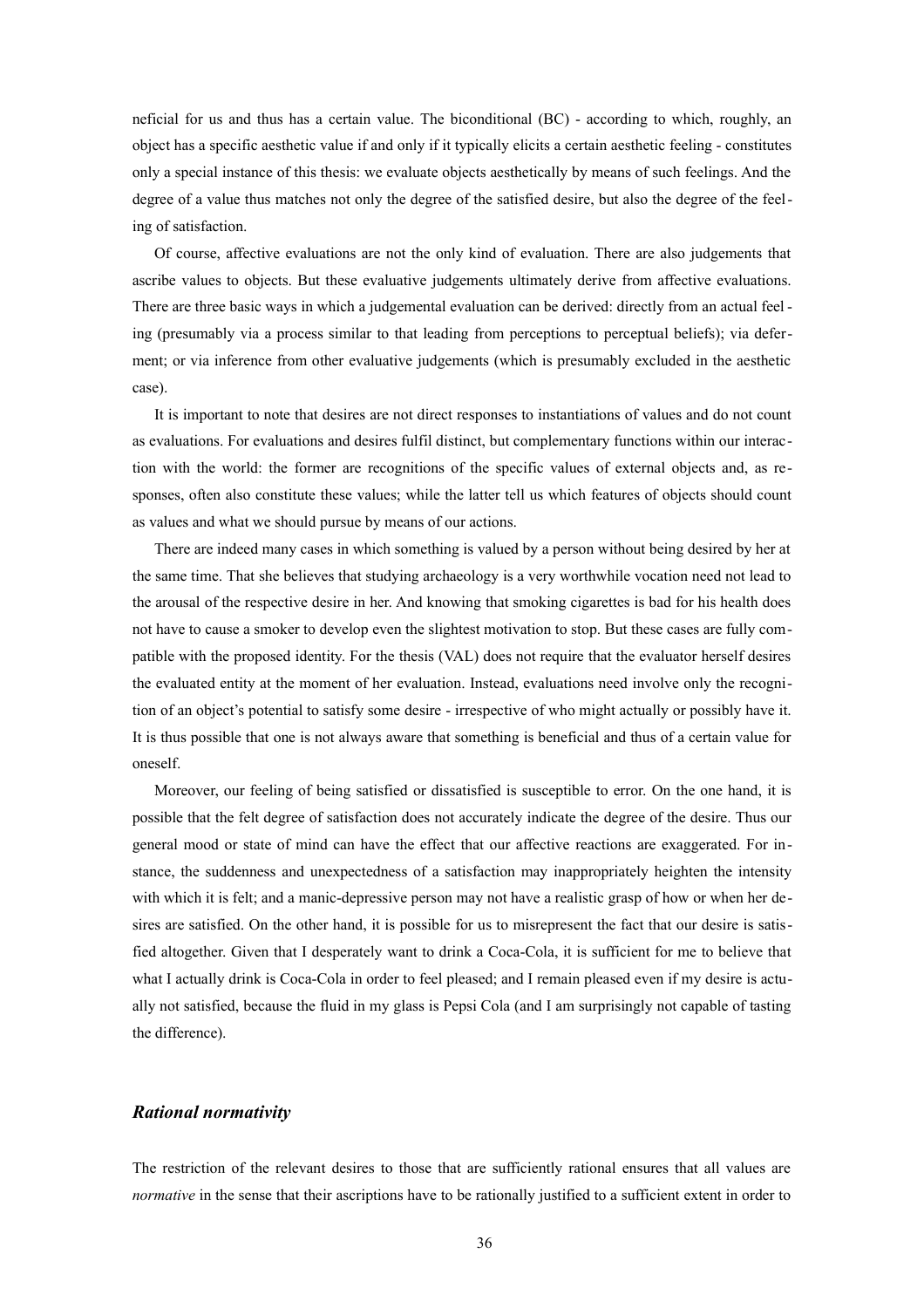neficial for us and thus has a certain value. The biconditional (BC) - according to which, roughly, an object has a specific aesthetic value if and only if it typically elicits a certain aesthetic feeling - constitutes only a special instance of this thesis: we evaluate objects aesthetically by means of such feelings. And the degree of a value thus matches not only the degree of the satisfied desire, but also the degree of the feeling of satisfaction.

Of course, affective evaluations are not the only kind of evaluation. There are also judgements that ascribe values to objects. But these evaluative judgements ultimately derive from affective evaluations. There are three basic ways in which a judgemental evaluation can be derived: directly from an actual feel ing (presumably via a process similar to that leading from perceptions to perceptual beliefs); via deferment; or via inference from other evaluative judgements (which is presumably excluded in the aesthetic case).

It is important to note that desires are not direct responses to instantiations of values and do not count as evaluations. For evaluations and desires fulfil distinct, but complementary functions within our interaction with the world: the former are recognitions of the specific values of external objects and, as responses, often also constitute these values; while the latter tell us which features of objects should count as values and what we should pursue by means of our actions.

There are indeed many cases in which something is valued by a person without being desired by her at the same time. That she believes that studying archaeology is a very worthwhile vocation need not lead to the arousal of the respective desire in her. And knowing that smoking cigarettes is bad for his health does not have to cause a smoker to develop even the slightest motivation to stop. But these cases are fully compatible with the proposed identity. For the thesis (VAL) does not require that the evaluator herself desires the evaluated entity at the moment of her evaluation. Instead, evaluations need involve only the recognition of an object's potential to satisfy some desire - irrespective of who might actually or possibly have it. It is thus possible that one is not always aware that something is beneficial and thus of a certain value for oneself.

Moreover, our feeling of being satisfied or dissatisfied is susceptible to error. On the one hand, it is possible that the felt degree of satisfaction does not accurately indicate the degree of the desire. Thus our general mood or state of mind can have the effect that our affective reactions are exaggerated. For instance, the suddenness and unexpectedness of a satisfaction may inappropriately heighten the intensity with which it is felt; and a manic-depressive person may not have a realistic grasp of how or when her desires are satisfied. On the other hand, it is possible for us to misrepresent the fact that our desire is satisfied altogether. Given that I desperately want to drink a Coca-Cola, it is sufficient for me to believe that what I actually drink is Coca-Cola in order to feel pleased; and I remain pleased even if my desire is actually not satisfied, because the fluid in my glass is Pepsi Cola (and I am surprisingly not capable of tasting the difference).

#### *Rational normativity*

The restriction of the relevant desires to those that are sufficiently rational ensures that all values are *normative* in the sense that their ascriptions have to be rationally justified to a sufficient extent in order to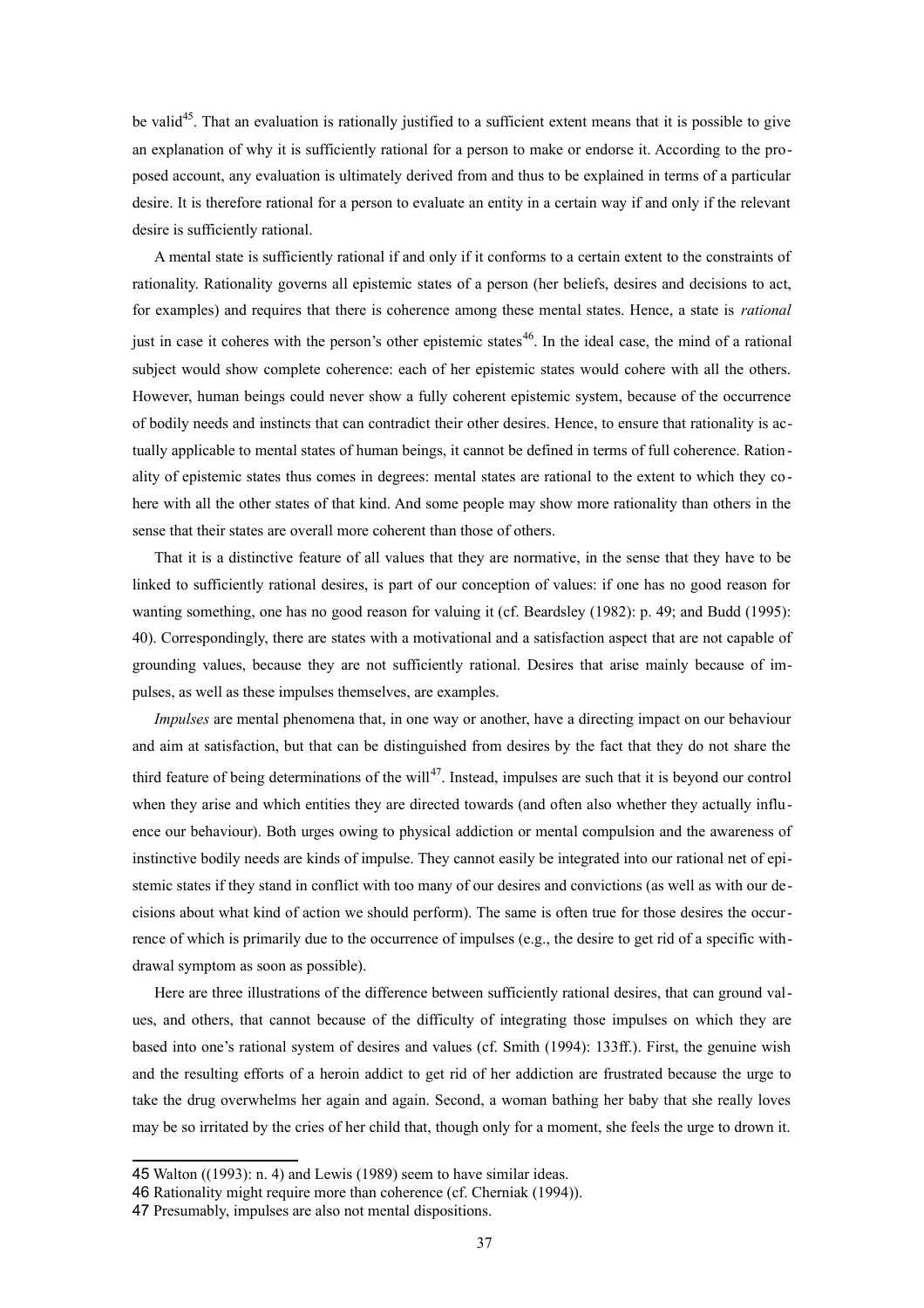be valid<sup>[45](#page-36-0)</sup>. That an evaluation is rationally justified to a sufficient extent means that it is possible to give an explanation of why it is sufficiently rational for a person to make or endorse it. According to the proposed account, any evaluation is ultimately derived from and thus to be explained in terms of a particular desire. It is therefore rational for a person to evaluate an entity in a certain way if and only if the relevant desire is sufficiently rational.

A mental state is sufficiently rational if and only if it conforms to a certain extent to the constraints of rationality. Rationality governs all epistemic states of a person (her beliefs, desires and decisions to act, for examples) and requires that there is coherence among these mental states. Hence, a state is *rational* just in case it coheres with the person's other epistemic states<sup>[46](#page-36-1)</sup>. In the ideal case, the mind of a rational subject would show complete coherence: each of her epistemic states would cohere with all the others. However, human beings could never show a fully coherent epistemic system, because of the occurrence of bodily needs and instincts that can contradict their other desires. Hence, to ensure that rationality is actually applicable to mental states of human beings, it cannot be defined in terms of full coherence. Ration ality of epistemic states thus comes in degrees: mental states are rational to the extent to which they co here with all the other states of that kind. And some people may show more rationality than others in the sense that their states are overall more coherent than those of others.

That it is a distinctive feature of all values that they are normative, in the sense that they have to be linked to sufficiently rational desires, is part of our conception of values: if one has no good reason for wanting something, one has no good reason for valuing it (cf. Beardsley (1982): p. 49; and Budd (1995): 40). Correspondingly, there are states with a motivational and a satisfaction aspect that are not capable of grounding values, because they are not sufficiently rational. Desires that arise mainly because of impulses, as well as these impulses themselves, are examples.

*Impulses* are mental phenomena that, in one way or another, have a directing impact on our behaviour and aim at satisfaction, but that can be distinguished from desires by the fact that they do not share the third feature of being determinations of the will<sup>[47](#page-36-2)</sup>. Instead, impulses are such that it is beyond our control when they arise and which entities they are directed towards (and often also whether they actually influence our behaviour). Both urges owing to physical addiction or mental compulsion and the awareness of instinctive bodily needs are kinds of impulse. They cannot easily be integrated into our rational net of epistemic states if they stand in conflict with too many of our desires and convictions (as well as with our decisions about what kind of action we should perform). The same is often true for those desires the occurrence of which is primarily due to the occurrence of impulses (e.g., the desire to get rid of a specific withdrawal symptom as soon as possible).

Here are three illustrations of the difference between sufficiently rational desires, that can ground values, and others, that cannot because of the difficulty of integrating those impulses on which they are based into one's rational system of desires and values (cf. Smith (1994): 133ff.). First, the genuine wish and the resulting efforts of a heroin addict to get rid of her addiction are frustrated because the urge to take the drug overwhelms her again and again. Second, a woman bathing her baby that she really loves may be so irritated by the cries of her child that, though only for a moment, she feels the urge to drown it.

<span id="page-36-0"></span><sup>45</sup> Walton ((1993): n. 4) and Lewis (1989) seem to have similar ideas.

<span id="page-36-1"></span><sup>46</sup> Rationality might require more than coherence (cf. Cherniak (1994)).

<span id="page-36-2"></span><sup>47</sup> Presumably, impulses are also not mental dispositions.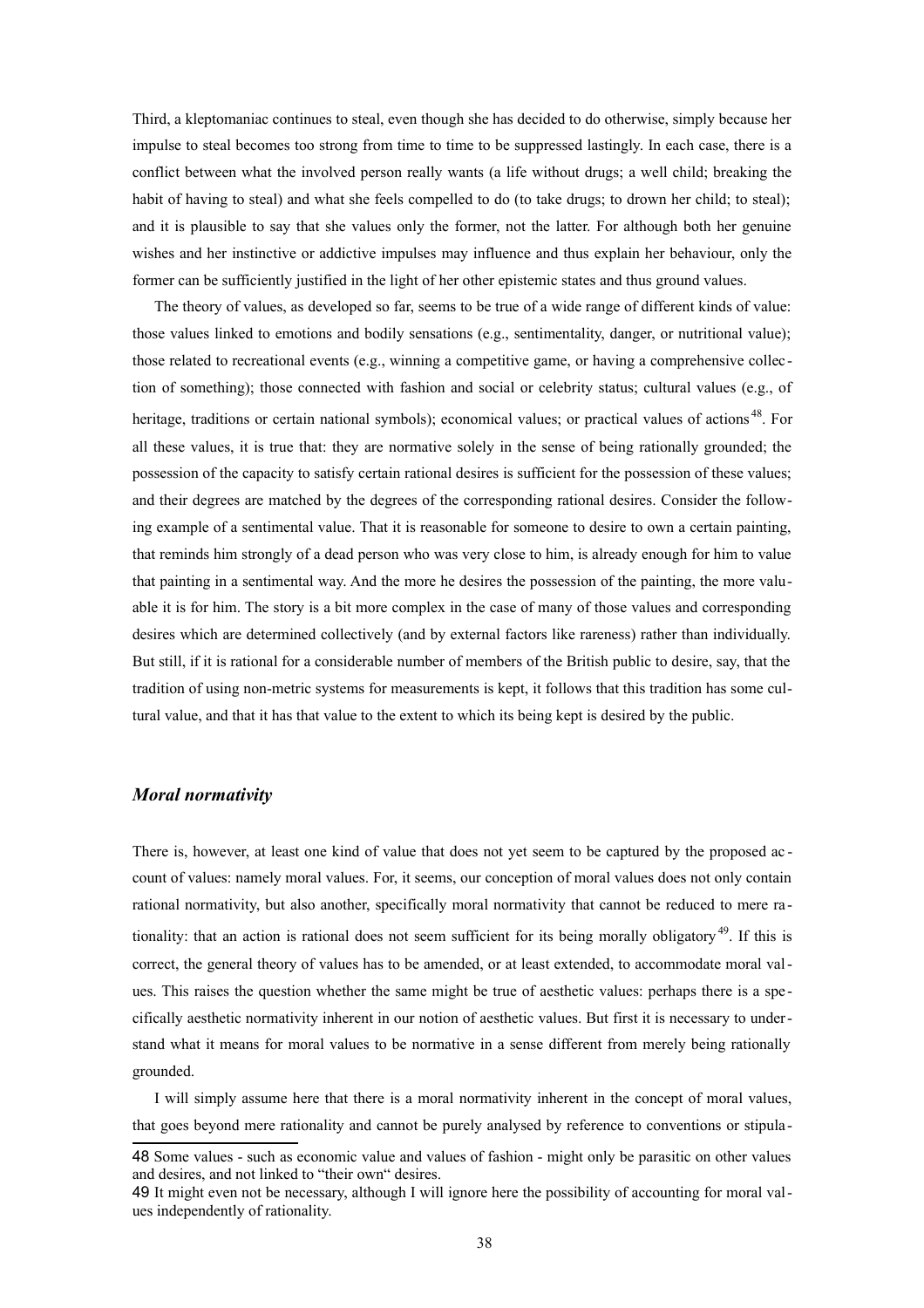Third, a kleptomaniac continues to steal, even though she has decided to do otherwise, simply because her impulse to steal becomes too strong from time to time to be suppressed lastingly. In each case, there is a conflict between what the involved person really wants (a life without drugs; a well child; breaking the habit of having to steal) and what she feels compelled to do (to take drugs; to drown her child; to steal); and it is plausible to say that she values only the former, not the latter. For although both her genuine wishes and her instinctive or addictive impulses may influence and thus explain her behaviour, only the former can be sufficiently justified in the light of her other epistemic states and thus ground values.

The theory of values, as developed so far, seems to be true of a wide range of different kinds of value: those values linked to emotions and bodily sensations (e.g., sentimentality, danger, or nutritional value); those related to recreational events (e.g., winning a competitive game, or having a comprehensive collec tion of something); those connected with fashion and social or celebrity status; cultural values (e.g., of heritage, traditions or certain national symbols); economical values; or practical values of actions<sup>[48](#page-37-0)</sup>. For all these values, it is true that: they are normative solely in the sense of being rationally grounded; the possession of the capacity to satisfy certain rational desires is sufficient for the possession of these values; and their degrees are matched by the degrees of the corresponding rational desires. Consider the following example of a sentimental value. That it is reasonable for someone to desire to own a certain painting, that reminds him strongly of a dead person who was very close to him, is already enough for him to value that painting in a sentimental way. And the more he desires the possession of the painting, the more valuable it is for him. The story is a bit more complex in the case of many of those values and corresponding desires which are determined collectively (and by external factors like rareness) rather than individually. But still, if it is rational for a considerable number of members of the British public to desire, say, that the tradition of using non-metric systems for measurements is kept, it follows that this tradition has some cultural value, and that it has that value to the extent to which its being kept is desired by the public.

## *Moral normativity*

There is, however, at least one kind of value that does not yet seem to be captured by the proposed ac count of values: namely moral values. For, it seems, our conception of moral values does not only contain rational normativity, but also another, specifically moral normativity that cannot be reduced to mere ra - tionality: that an action is rational does not seem sufficient for its being morally obligatory<sup>[49](#page-37-1)</sup>. If this is correct, the general theory of values has to be amended, or at least extended, to accommodate moral values. This raises the question whether the same might be true of aesthetic values: perhaps there is a spe cifically aesthetic normativity inherent in our notion of aesthetic values. But first it is necessary to understand what it means for moral values to be normative in a sense different from merely being rationally grounded.

I will simply assume here that there is a moral normativity inherent in the concept of moral values, that goes beyond mere rationality and cannot be purely analysed by reference to conventions or stipula -

<span id="page-37-0"></span><sup>48</sup> Some values - such as economic value and values of fashion - might only be parasitic on other values and desires, and not linked to "their own" desires.

<span id="page-37-1"></span><sup>49</sup> It might even not be necessary, although I will ignore here the possibility of accounting for moral values independently of rationality.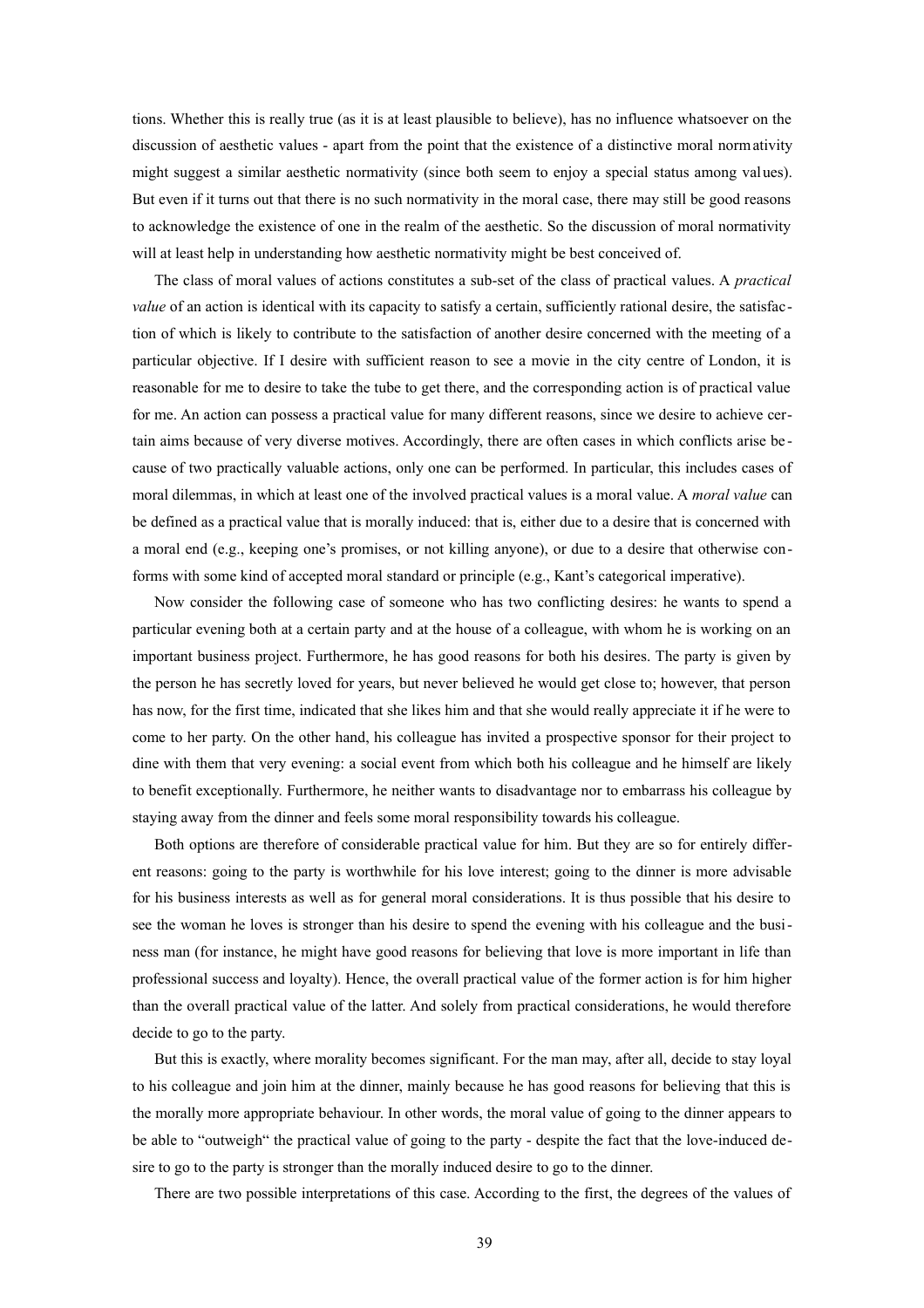tions. Whether this is really true (as it is at least plausible to believe), has no influence whatsoever on the discussion of aesthetic values - apart from the point that the existence of a distinctive moral normativity might suggest a similar aesthetic normativity (since both seem to enjoy a special status among values). But even if it turns out that there is no such normativity in the moral case, there may still be good reasons to acknowledge the existence of one in the realm of the aesthetic. So the discussion of moral normativity will at least help in understanding how aesthetic normativity might be best conceived of.

The class of moral values of actions constitutes a sub-set of the class of practical values. A *practical value* of an action is identical with its capacity to satisfy a certain, sufficiently rational desire, the satisfaction of which is likely to contribute to the satisfaction of another desire concerned with the meeting of a particular objective. If I desire with sufficient reason to see a movie in the city centre of London, it is reasonable for me to desire to take the tube to get there, and the corresponding action is of practical value for me. An action can possess a practical value for many different reasons, since we desire to achieve certain aims because of very diverse motives. Accordingly, there are often cases in which conflicts arise be cause of two practically valuable actions, only one can be performed. In particular, this includes cases of moral dilemmas, in which at least one of the involved practical values is a moral value. A *moral value* can be defined as a practical value that is morally induced: that is, either due to a desire that is concerned with a moral end (e.g., keeping one's promises, or not killing anyone), or due to a desire that otherwise conforms with some kind of accepted moral standard or principle (e.g., Kant's categorical imperative).

Now consider the following case of someone who has two conflicting desires: he wants to spend a particular evening both at a certain party and at the house of a colleague, with whom he is working on an important business project. Furthermore, he has good reasons for both his desires. The party is given by the person he has secretly loved for years, but never believed he would get close to; however, that person has now, for the first time, indicated that she likes him and that she would really appreciate it if he were to come to her party. On the other hand, his colleague has invited a prospective sponsor for their project to dine with them that very evening: a social event from which both his colleague and he himself are likely to benefit exceptionally. Furthermore, he neither wants to disadvantage nor to embarrass his colleague by staying away from the dinner and feels some moral responsibility towards his colleague.

Both options are therefore of considerable practical value for him. But they are so for entirely different reasons: going to the party is worthwhile for his love interest; going to the dinner is more advisable for his business interests as well as for general moral considerations. It is thus possible that his desire to see the woman he loves is stronger than his desire to spend the evening with his colleague and the business man (for instance, he might have good reasons for believing that love is more important in life than professional success and loyalty). Hence, the overall practical value of the former action is for him higher than the overall practical value of the latter. And solely from practical considerations, he would therefore decide to go to the party.

But this is exactly, where morality becomes significant. For the man may, after all, decide to stay loyal to his colleague and join him at the dinner, mainly because he has good reasons for believing that this is the morally more appropriate behaviour. In other words, the moral value of going to the dinner appears to be able to "outweigh" the practical value of going to the party - despite the fact that the love-induced desire to go to the party is stronger than the morally induced desire to go to the dinner.

There are two possible interpretations of this case. According to the first, the degrees of the values of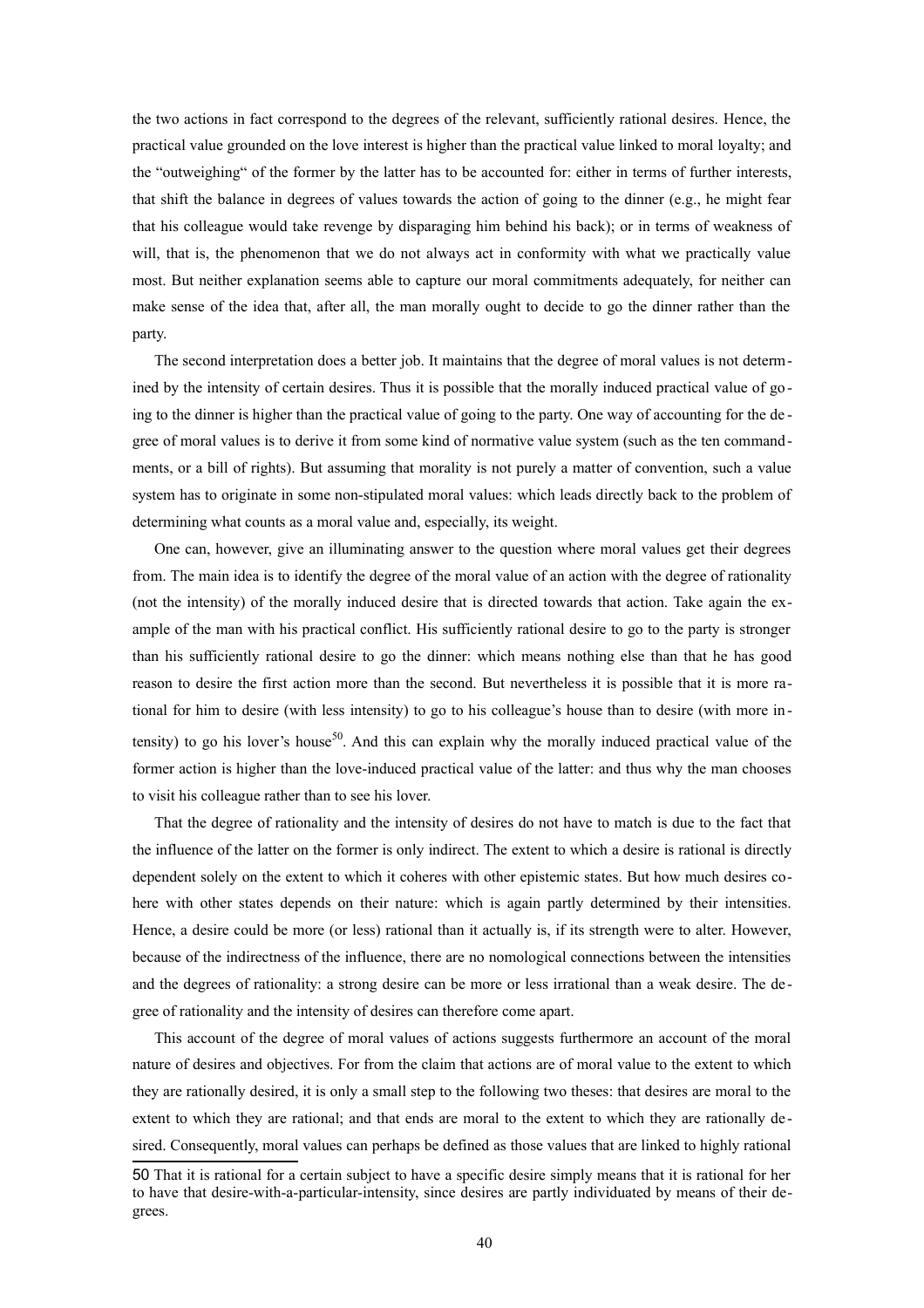the two actions in fact correspond to the degrees of the relevant, sufficiently rational desires. Hence, the practical value grounded on the love interest is higher than the practical value linked to moral loyalty; and the "outweighing" of the former by the latter has to be accounted for: either in terms of further interests, that shift the balance in degrees of values towards the action of going to the dinner (e.g., he might fear that his colleague would take revenge by disparaging him behind his back); or in terms of weakness of will, that is, the phenomenon that we do not always act in conformity with what we practically value most. But neither explanation seems able to capture our moral commitments adequately, for neither can make sense of the idea that, after all, the man morally ought to decide to go the dinner rather than the party.

The second interpretation does a better job. It maintains that the degree of moral values is not determined by the intensity of certain desires. Thus it is possible that the morally induced practical value of go ing to the dinner is higher than the practical value of going to the party. One way of accounting for the de gree of moral values is to derive it from some kind of normative value system (such as the ten command ments, or a bill of rights). But assuming that morality is not purely a matter of convention, such a value system has to originate in some non-stipulated moral values: which leads directly back to the problem of determining what counts as a moral value and, especially, its weight.

One can, however, give an illuminating answer to the question where moral values get their degrees from. The main idea is to identify the degree of the moral value of an action with the degree of rationality (not the intensity) of the morally induced desire that is directed towards that action. Take again the example of the man with his practical conflict. His sufficiently rational desire to go to the party is stronger than his sufficiently rational desire to go the dinner: which means nothing else than that he has good reason to desire the first action more than the second. But nevertheless it is possible that it is more rational for him to desire (with less intensity) to go to his colleague's house than to desire (with more in - tensity) to go his lover's house<sup>[50](#page-39-0)</sup>. And this can explain why the morally induced practical value of the former action is higher than the love-induced practical value of the latter: and thus why the man chooses to visit his colleague rather than to see his lover.

That the degree of rationality and the intensity of desires do not have to match is due to the fact that the influence of the latter on the former is only indirect. The extent to which a desire is rational is directly dependent solely on the extent to which it coheres with other epistemic states. But how much desires cohere with other states depends on their nature: which is again partly determined by their intensities. Hence, a desire could be more (or less) rational than it actually is, if its strength were to alter. However, because of the indirectness of the influence, there are no nomological connections between the intensities and the degrees of rationality: a strong desire can be more or less irrational than a weak desire. The de gree of rationality and the intensity of desires can therefore come apart.

This account of the degree of moral values of actions suggests furthermore an account of the moral nature of desires and objectives. For from the claim that actions are of moral value to the extent to which they are rationally desired, it is only a small step to the following two theses: that desires are moral to the extent to which they are rational; and that ends are moral to the extent to which they are rationally de sired. Consequently, moral values can perhaps be defined as those values that are linked to highly rational

<span id="page-39-0"></span><sup>50</sup> That it is rational for a certain subject to have a specific desire simply means that it is rational for her to have that desire-with-a-particular-intensity, since desires are partly individuated by means of their degrees.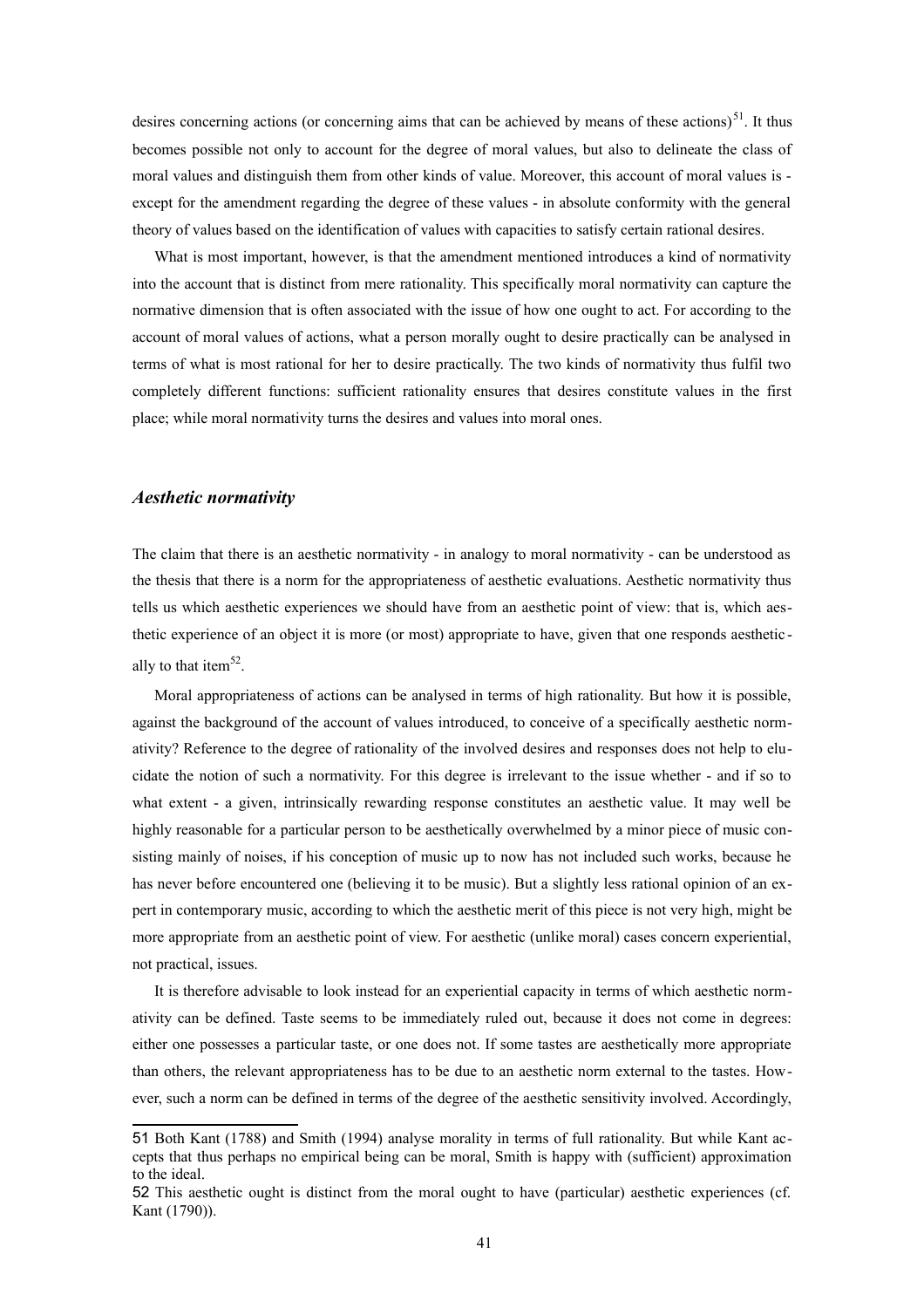desires concerning actions (or concerning aims that can be achieved by means of these actions)<sup>[51](#page-40-0)</sup>. It thus becomes possible not only to account for the degree of moral values, but also to delineate the class of moral values and distinguish them from other kinds of value. Moreover, this account of moral values is except for the amendment regarding the degree of these values - in absolute conformity with the general theory of values based on the identification of values with capacities to satisfy certain rational desires.

What is most important, however, is that the amendment mentioned introduces a kind of normativity into the account that is distinct from mere rationality. This specifically moral normativity can capture the normative dimension that is often associated with the issue of how one ought to act. For according to the account of moral values of actions, what a person morally ought to desire practically can be analysed in terms of what is most rational for her to desire practically. The two kinds of normativity thus fulfil two completely different functions: sufficient rationality ensures that desires constitute values in the first place; while moral normativity turns the desires and values into moral ones.

#### *Aesthetic normativity*

The claim that there is an aesthetic normativity - in analogy to moral normativity - can be understood as the thesis that there is a norm for the appropriateness of aesthetic evaluations. Aesthetic normativity thus tells us which aesthetic experiences we should have from an aesthetic point of view: that is, which aesthetic experience of an object it is more (or most) appropriate to have, given that one responds aesthetic - ally to that item<sup>[52](#page-40-1)</sup>.

Moral appropriateness of actions can be analysed in terms of high rationality. But how it is possible, against the background of the account of values introduced, to conceive of a specifically aesthetic normativity? Reference to the degree of rationality of the involved desires and responses does not help to elucidate the notion of such a normativity. For this degree is irrelevant to the issue whether - and if so to what extent - a given, intrinsically rewarding response constitutes an aesthetic value. It may well be highly reasonable for a particular person to be aesthetically overwhelmed by a minor piece of music consisting mainly of noises, if his conception of music up to now has not included such works, because he has never before encountered one (believing it to be music). But a slightly less rational opinion of an expert in contemporary music, according to which the aesthetic merit of this piece is not very high, might be more appropriate from an aesthetic point of view. For aesthetic (unlike moral) cases concern experiential, not practical, issues.

It is therefore advisable to look instead for an experiential capacity in terms of which aesthetic normativity can be defined. Taste seems to be immediately ruled out, because it does not come in degrees: either one possesses a particular taste, or one does not. If some tastes are aesthetically more appropriate than others, the relevant appropriateness has to be due to an aesthetic norm external to the tastes. However, such a norm can be defined in terms of the degree of the aesthetic sensitivity involved. Accordingly,

<span id="page-40-0"></span><sup>51</sup> Both Kant (1788) and Smith (1994) analyse morality in terms of full rationality. But while Kant accepts that thus perhaps no empirical being can be moral, Smith is happy with (sufficient) approximation to the ideal.

<span id="page-40-1"></span><sup>52</sup> This aesthetic ought is distinct from the moral ought to have (particular) aesthetic experiences (cf. Kant (1790)).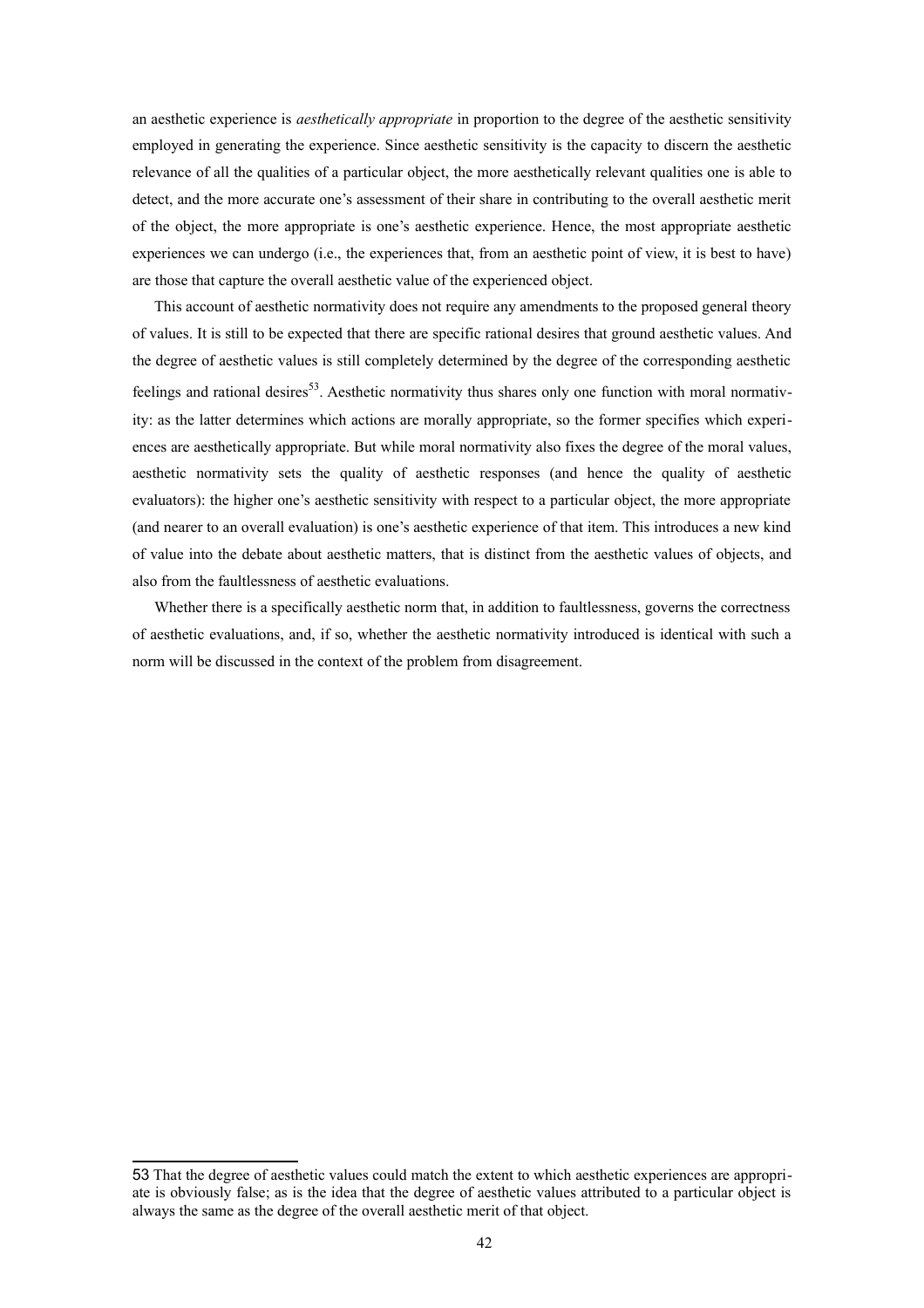an aesthetic experience is *aesthetically appropriate* in proportion to the degree of the aesthetic sensitivity employed in generating the experience. Since aesthetic sensitivity is the capacity to discern the aesthetic relevance of all the qualities of a particular object, the more aesthetically relevant qualities one is able to detect, and the more accurate one's assessment of their share in contributing to the overall aesthetic merit of the object, the more appropriate is one's aesthetic experience. Hence, the most appropriate aesthetic experiences we can undergo (i.e., the experiences that, from an aesthetic point of view, it is best to have) are those that capture the overall aesthetic value of the experienced object.

This account of aesthetic normativity does not require any amendments to the proposed general theory of values. It is still to be expected that there are specific rational desires that ground aesthetic values. And the degree of aesthetic values is still completely determined by the degree of the corresponding aesthetic feelings and rational desires<sup>[53](#page-41-0)</sup>. Aesthetic normativity thus shares only one function with moral normativity: as the latter determines which actions are morally appropriate, so the former specifies which experiences are aesthetically appropriate. But while moral normativity also fixes the degree of the moral values, aesthetic normativity sets the quality of aesthetic responses (and hence the quality of aesthetic evaluators): the higher one's aesthetic sensitivity with respect to a particular object, the more appropriate (and nearer to an overall evaluation) is one's aesthetic experience of that item. This introduces a new kind of value into the debate about aesthetic matters, that is distinct from the aesthetic values of objects, and also from the faultlessness of aesthetic evaluations.

Whether there is a specifically aesthetic norm that, in addition to faultlessness, governs the correctness of aesthetic evaluations, and, if so, whether the aesthetic normativity introduced is identical with such a norm will be discussed in the context of the problem from disagreement.

<span id="page-41-0"></span><sup>53</sup> That the degree of aesthetic values could match the extent to which aesthetic experiences are appropriate is obviously false; as is the idea that the degree of aesthetic values attributed to a particular object is always the same as the degree of the overall aesthetic merit of that object.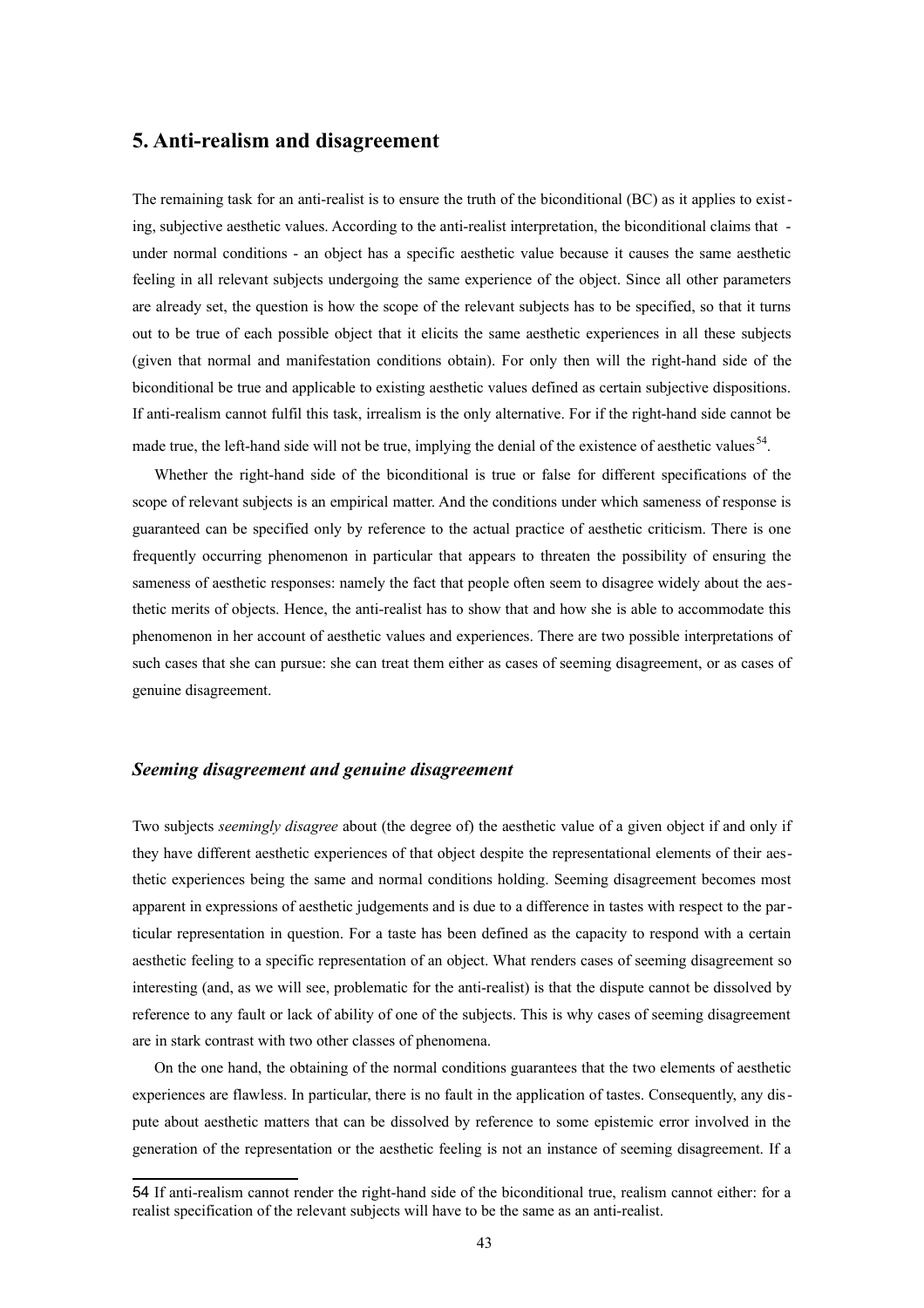## **5. Anti-realism and disagreement**

The remaining task for an anti-realist is to ensure the truth of the biconditional (BC) as it applies to existing, subjective aesthetic values. According to the anti-realist interpretation, the biconditional claims that under normal conditions - an object has a specific aesthetic value because it causes the same aesthetic feeling in all relevant subjects undergoing the same experience of the object. Since all other parameters are already set, the question is how the scope of the relevant subjects has to be specified, so that it turns out to be true of each possible object that it elicits the same aesthetic experiences in all these subjects (given that normal and manifestation conditions obtain). For only then will the right-hand side of the biconditional be true and applicable to existing aesthetic values defined as certain subjective dispositions. If anti-realism cannot fulfil this task, irrealism is the only alternative. For if the right-hand side cannot be made true, the left-hand side will not be true, implying the denial of the existence of aesthetic values<sup>[54](#page-42-0)</sup>.

Whether the right-hand side of the biconditional is true or false for different specifications of the scope of relevant subjects is an empirical matter. And the conditions under which sameness of response is guaranteed can be specified only by reference to the actual practice of aesthetic criticism. There is one frequently occurring phenomenon in particular that appears to threaten the possibility of ensuring the sameness of aesthetic responses: namely the fact that people often seem to disagree widely about the aesthetic merits of objects. Hence, the anti-realist has to show that and how she is able to accommodate this phenomenon in her account of aesthetic values and experiences. There are two possible interpretations of such cases that she can pursue: she can treat them either as cases of seeming disagreement, or as cases of genuine disagreement.

### *Seeming disagreement and genuine disagreement*

Two subjects *seemingly disagree* about (the degree of) the aesthetic value of a given object if and only if they have different aesthetic experiences of that object despite the representational elements of their aesthetic experiences being the same and normal conditions holding. Seeming disagreement becomes most apparent in expressions of aesthetic judgements and is due to a difference in tastes with respect to the particular representation in question. For a taste has been defined as the capacity to respond with a certain aesthetic feeling to a specific representation of an object. What renders cases of seeming disagreement so interesting (and, as we will see, problematic for the anti-realist) is that the dispute cannot be dissolved by reference to any fault or lack of ability of one of the subjects. This is why cases of seeming disagreement are in stark contrast with two other classes of phenomena.

On the one hand, the obtaining of the normal conditions guarantees that the two elements of aesthetic experiences are flawless. In particular, there is no fault in the application of tastes. Consequently, any dispute about aesthetic matters that can be dissolved by reference to some epistemic error involved in the generation of the representation or the aesthetic feeling is not an instance of seeming disagreement. If a

<span id="page-42-0"></span><sup>54</sup> If anti-realism cannot render the right-hand side of the biconditional true, realism cannot either: for a realist specification of the relevant subjects will have to be the same as an anti-realist.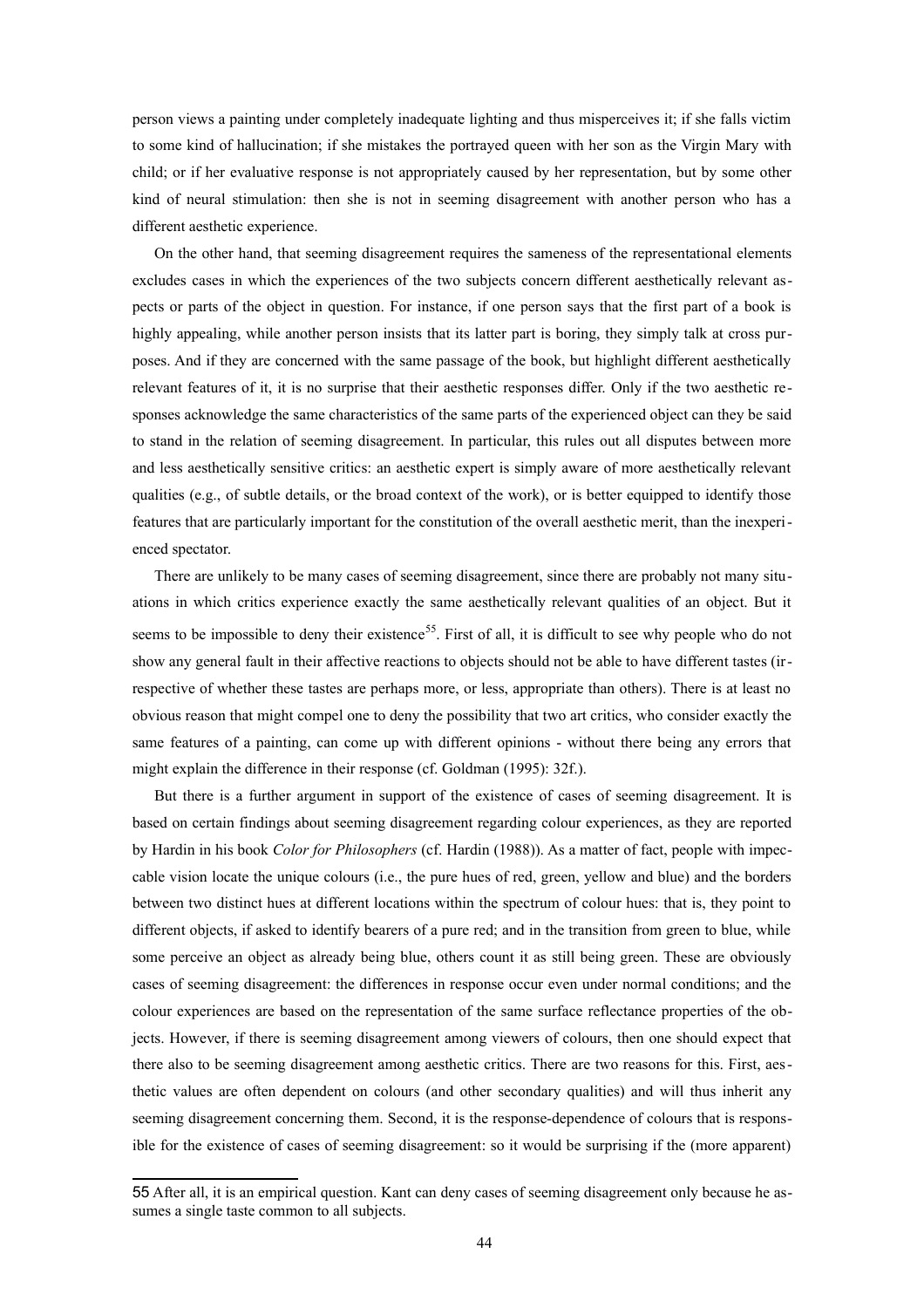person views a painting under completely inadequate lighting and thus misperceives it; if she falls victim to some kind of hallucination; if she mistakes the portrayed queen with her son as the Virgin Mary with child; or if her evaluative response is not appropriately caused by her representation, but by some other kind of neural stimulation: then she is not in seeming disagreement with another person who has a different aesthetic experience.

On the other hand, that seeming disagreement requires the sameness of the representational elements excludes cases in which the experiences of the two subjects concern different aesthetically relevant aspects or parts of the object in question. For instance, if one person says that the first part of a book is highly appealing, while another person insists that its latter part is boring, they simply talk at cross purposes. And if they are concerned with the same passage of the book, but highlight different aesthetically relevant features of it, it is no surprise that their aesthetic responses differ. Only if the two aesthetic responses acknowledge the same characteristics of the same parts of the experienced object can they be said to stand in the relation of seeming disagreement. In particular, this rules out all disputes between more and less aesthetically sensitive critics: an aesthetic expert is simply aware of more aesthetically relevant qualities (e.g., of subtle details, or the broad context of the work), or is better equipped to identify those features that are particularly important for the constitution of the overall aesthetic merit, than the inexperienced spectator.

There are unlikely to be many cases of seeming disagreement, since there are probably not many situations in which critics experience exactly the same aesthetically relevant qualities of an object. But it seems to be impossible to deny their existence<sup>[55](#page-43-0)</sup>. First of all, it is difficult to see why people who do not show any general fault in their affective reactions to objects should not be able to have different tastes (irrespective of whether these tastes are perhaps more, or less, appropriate than others). There is at least no obvious reason that might compel one to deny the possibility that two art critics, who consider exactly the same features of a painting, can come up with different opinions - without there being any errors that might explain the difference in their response (cf. Goldman (1995): 32f.).

But there is a further argument in support of the existence of cases of seeming disagreement. It is based on certain findings about seeming disagreement regarding colour experiences, as they are reported by Hardin in his book *Color for Philosophers* (cf. Hardin (1988)). As a matter of fact, people with impeccable vision locate the unique colours (i.e., the pure hues of red, green, yellow and blue) and the borders between two distinct hues at different locations within the spectrum of colour hues: that is, they point to different objects, if asked to identify bearers of a pure red; and in the transition from green to blue, while some perceive an object as already being blue, others count it as still being green. These are obviously cases of seeming disagreement: the differences in response occur even under normal conditions; and the colour experiences are based on the representation of the same surface reflectance properties of the objects. However, if there is seeming disagreement among viewers of colours, then one should expect that there also to be seeming disagreement among aesthetic critics. There are two reasons for this. First, aesthetic values are often dependent on colours (and other secondary qualities) and will thus inherit any seeming disagreement concerning them. Second, it is the response-dependence of colours that is responsible for the existence of cases of seeming disagreement: so it would be surprising if the (more apparent)

<span id="page-43-0"></span><sup>55</sup> After all, it is an empirical question. Kant can deny cases of seeming disagreement only because he assumes a single taste common to all subjects.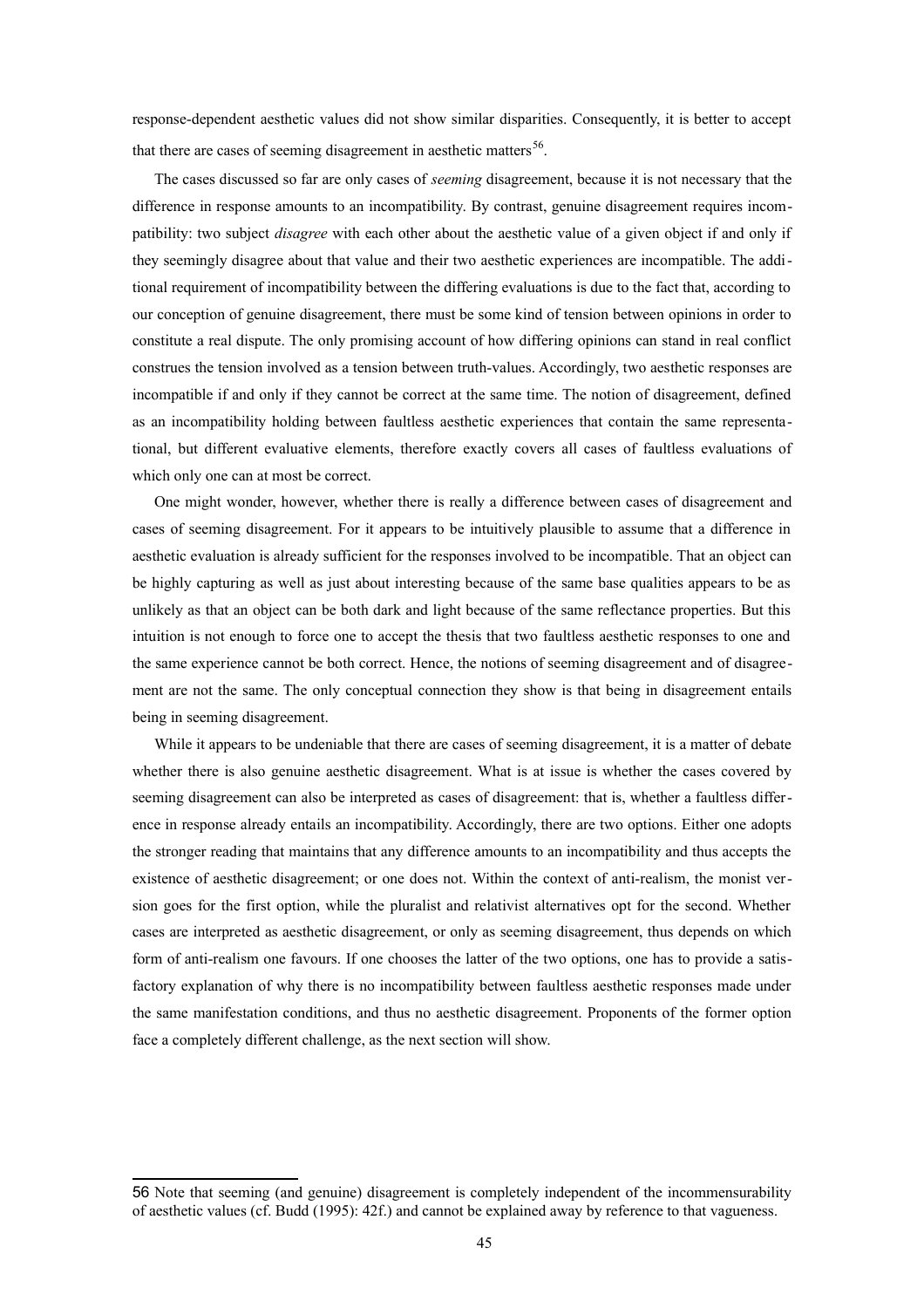response-dependent aesthetic values did not show similar disparities. Consequently, it is better to accept that there are cases of seeming disagreement in aesthetic matters<sup>[56](#page-44-0)</sup>.

The cases discussed so far are only cases of *seeming* disagreement, because it is not necessary that the difference in response amounts to an incompatibility. By contrast, genuine disagreement requires incompatibility: two subject *disagree* with each other about the aesthetic value of a given object if and only if they seemingly disagree about that value and their two aesthetic experiences are incompatible. The additional requirement of incompatibility between the differing evaluations is due to the fact that, according to our conception of genuine disagreement, there must be some kind of tension between opinions in order to constitute a real dispute. The only promising account of how differing opinions can stand in real conflict construes the tension involved as a tension between truth-values. Accordingly, two aesthetic responses are incompatible if and only if they cannot be correct at the same time. The notion of disagreement, defined as an incompatibility holding between faultless aesthetic experiences that contain the same representational, but different evaluative elements, therefore exactly covers all cases of faultless evaluations of which only one can at most be correct.

One might wonder, however, whether there is really a difference between cases of disagreement and cases of seeming disagreement. For it appears to be intuitively plausible to assume that a difference in aesthetic evaluation is already sufficient for the responses involved to be incompatible. That an object can be highly capturing as well as just about interesting because of the same base qualities appears to be as unlikely as that an object can be both dark and light because of the same reflectance properties. But this intuition is not enough to force one to accept the thesis that two faultless aesthetic responses to one and the same experience cannot be both correct. Hence, the notions of seeming disagreement and of disagreement are not the same. The only conceptual connection they show is that being in disagreement entails being in seeming disagreement.

While it appears to be undeniable that there are cases of seeming disagreement, it is a matter of debate whether there is also genuine aesthetic disagreement. What is at issue is whether the cases covered by seeming disagreement can also be interpreted as cases of disagreement: that is, whether a faultless difference in response already entails an incompatibility. Accordingly, there are two options. Either one adopts the stronger reading that maintains that any difference amounts to an incompatibility and thus accepts the existence of aesthetic disagreement; or one does not. Within the context of anti-realism, the monist version goes for the first option, while the pluralist and relativist alternatives opt for the second. Whether cases are interpreted as aesthetic disagreement, or only as seeming disagreement, thus depends on which form of anti-realism one favours. If one chooses the latter of the two options, one has to provide a satisfactory explanation of why there is no incompatibility between faultless aesthetic responses made under the same manifestation conditions, and thus no aesthetic disagreement. Proponents of the former option face a completely different challenge, as the next section will show.

<span id="page-44-0"></span><sup>56</sup> Note that seeming (and genuine) disagreement is completely independent of the incommensurability of aesthetic values (cf. Budd (1995): 42f.) and cannot be explained away by reference to that vagueness.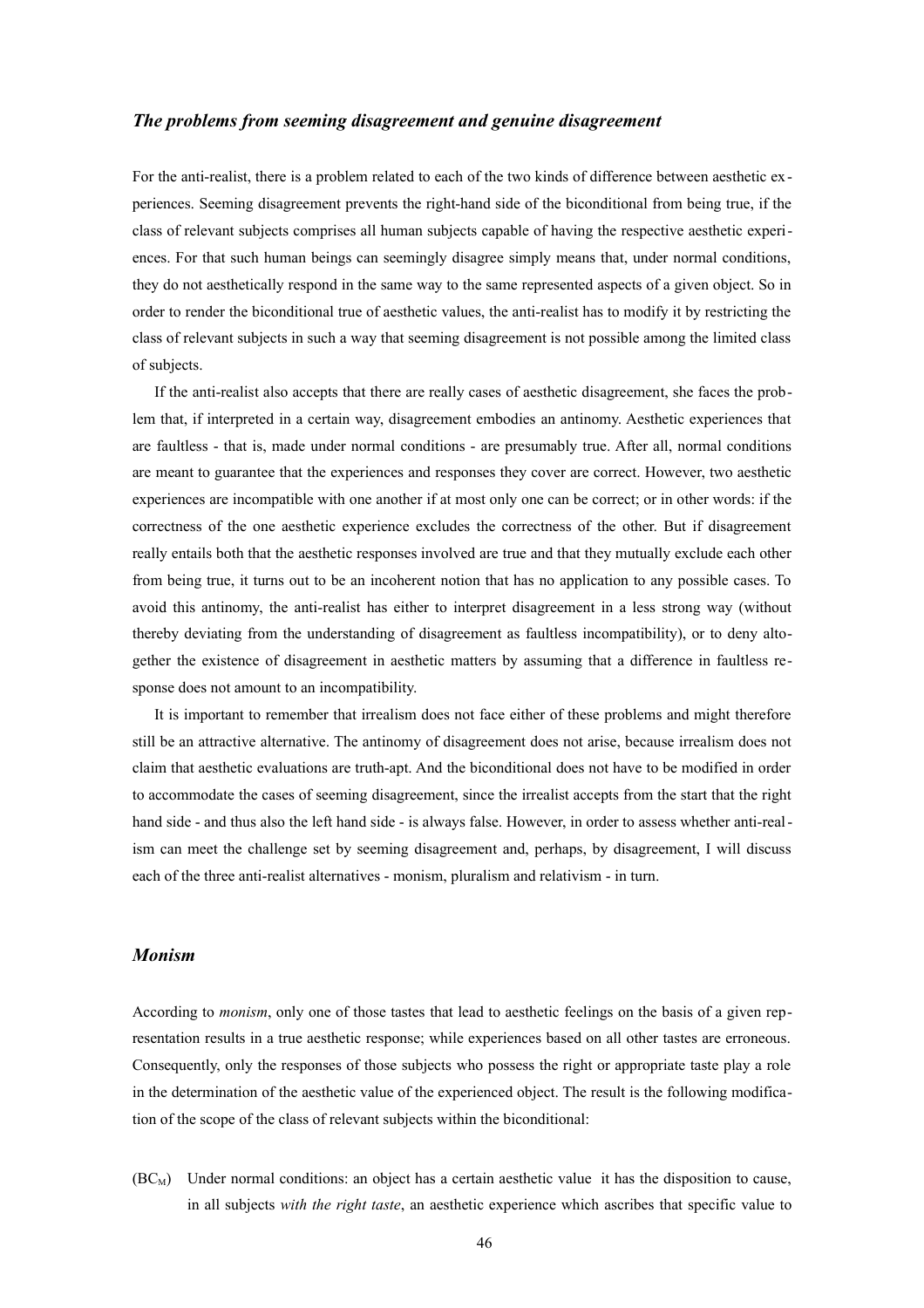#### *The problems from seeming disagreement and genuine disagreement*

For the anti-realist, there is a problem related to each of the two kinds of difference between aesthetic experiences. Seeming disagreement prevents the right-hand side of the biconditional from being true, if the class of relevant subjects comprises all human subjects capable of having the respective aesthetic experiences. For that such human beings can seemingly disagree simply means that, under normal conditions, they do not aesthetically respond in the same way to the same represented aspects of a given object. So in order to render the biconditional true of aesthetic values, the anti-realist has to modify it by restricting the class of relevant subjects in such a way that seeming disagreement is not possible among the limited class of subjects.

If the anti-realist also accepts that there are really cases of aesthetic disagreement, she faces the problem that, if interpreted in a certain way, disagreement embodies an antinomy. Aesthetic experiences that are faultless - that is, made under normal conditions - are presumably true. After all, normal conditions are meant to guarantee that the experiences and responses they cover are correct. However, two aesthetic experiences are incompatible with one another if at most only one can be correct; or in other words: if the correctness of the one aesthetic experience excludes the correctness of the other. But if disagreement really entails both that the aesthetic responses involved are true and that they mutually exclude each other from being true, it turns out to be an incoherent notion that has no application to any possible cases. To avoid this antinomy, the anti-realist has either to interpret disagreement in a less strong way (without thereby deviating from the understanding of disagreement as faultless incompatibility), or to deny altogether the existence of disagreement in aesthetic matters by assuming that a difference in faultless response does not amount to an incompatibility.

It is important to remember that irrealism does not face either of these problems and might therefore still be an attractive alternative. The antinomy of disagreement does not arise, because irrealism does not claim that aesthetic evaluations are truth-apt. And the biconditional does not have to be modified in order to accommodate the cases of seeming disagreement, since the irrealist accepts from the start that the right hand side - and thus also the left hand side - is always false. However, in order to assess whether anti-realism can meet the challenge set by seeming disagreement and, perhaps, by disagreement, I will discuss each of the three anti-realist alternatives - monism, pluralism and relativism - in turn.

#### *Monism*

According to *monism*, only one of those tastes that lead to aesthetic feelings on the basis of a given representation results in a true aesthetic response; while experiences based on all other tastes are erroneous. Consequently, only the responses of those subjects who possess the right or appropriate taste play a role in the determination of the aesthetic value of the experienced object. The result is the following modification of the scope of the class of relevant subjects within the biconditional:

 $(BC_M)$  Under normal conditions: an object has a certain aesthetic value it has the disposition to cause, in all subjects *with the right taste*, an aesthetic experience which ascribes that specific value to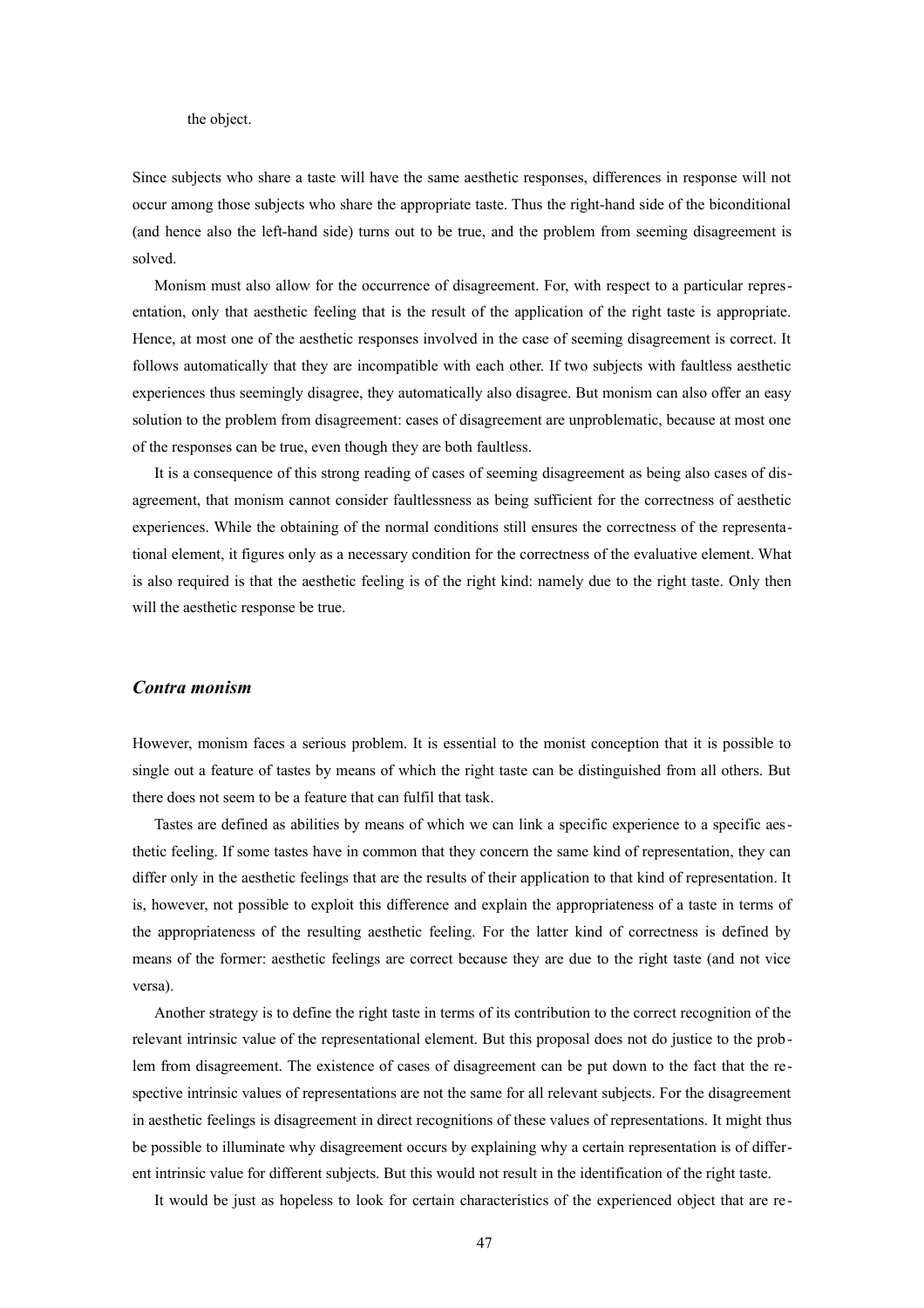the object.

Since subjects who share a taste will have the same aesthetic responses, differences in response will not occur among those subjects who share the appropriate taste. Thus the right-hand side of the biconditional (and hence also the left-hand side) turns out to be true, and the problem from seeming disagreement is solved.

Monism must also allow for the occurrence of disagreement. For, with respect to a particular representation, only that aesthetic feeling that is the result of the application of the right taste is appropriate. Hence, at most one of the aesthetic responses involved in the case of seeming disagreement is correct. It follows automatically that they are incompatible with each other. If two subjects with faultless aesthetic experiences thus seemingly disagree, they automatically also disagree. But monism can also offer an easy solution to the problem from disagreement: cases of disagreement are unproblematic, because at most one of the responses can be true, even though they are both faultless.

It is a consequence of this strong reading of cases of seeming disagreement as being also cases of disagreement, that monism cannot consider faultlessness as being sufficient for the correctness of aesthetic experiences. While the obtaining of the normal conditions still ensures the correctness of the representational element, it figures only as a necessary condition for the correctness of the evaluative element. What is also required is that the aesthetic feeling is of the right kind: namely due to the right taste. Only then will the aesthetic response be true.

#### *Contra monism*

However, monism faces a serious problem. It is essential to the monist conception that it is possible to single out a feature of tastes by means of which the right taste can be distinguished from all others. But there does not seem to be a feature that can fulfil that task.

Tastes are defined as abilities by means of which we can link a specific experience to a specific aesthetic feeling. If some tastes have in common that they concern the same kind of representation, they can differ only in the aesthetic feelings that are the results of their application to that kind of representation. It is, however, not possible to exploit this difference and explain the appropriateness of a taste in terms of the appropriateness of the resulting aesthetic feeling. For the latter kind of correctness is defined by means of the former: aesthetic feelings are correct because they are due to the right taste (and not vice versa).

Another strategy is to define the right taste in terms of its contribution to the correct recognition of the relevant intrinsic value of the representational element. But this proposal does not do justice to the problem from disagreement. The existence of cases of disagreement can be put down to the fact that the respective intrinsic values of representations are not the same for all relevant subjects. For the disagreement in aesthetic feelings is disagreement in direct recognitions of these values of representations. It might thus be possible to illuminate why disagreement occurs by explaining why a certain representation is of different intrinsic value for different subjects. But this would not result in the identification of the right taste.

It would be just as hopeless to look for certain characteristics of the experienced object that are re -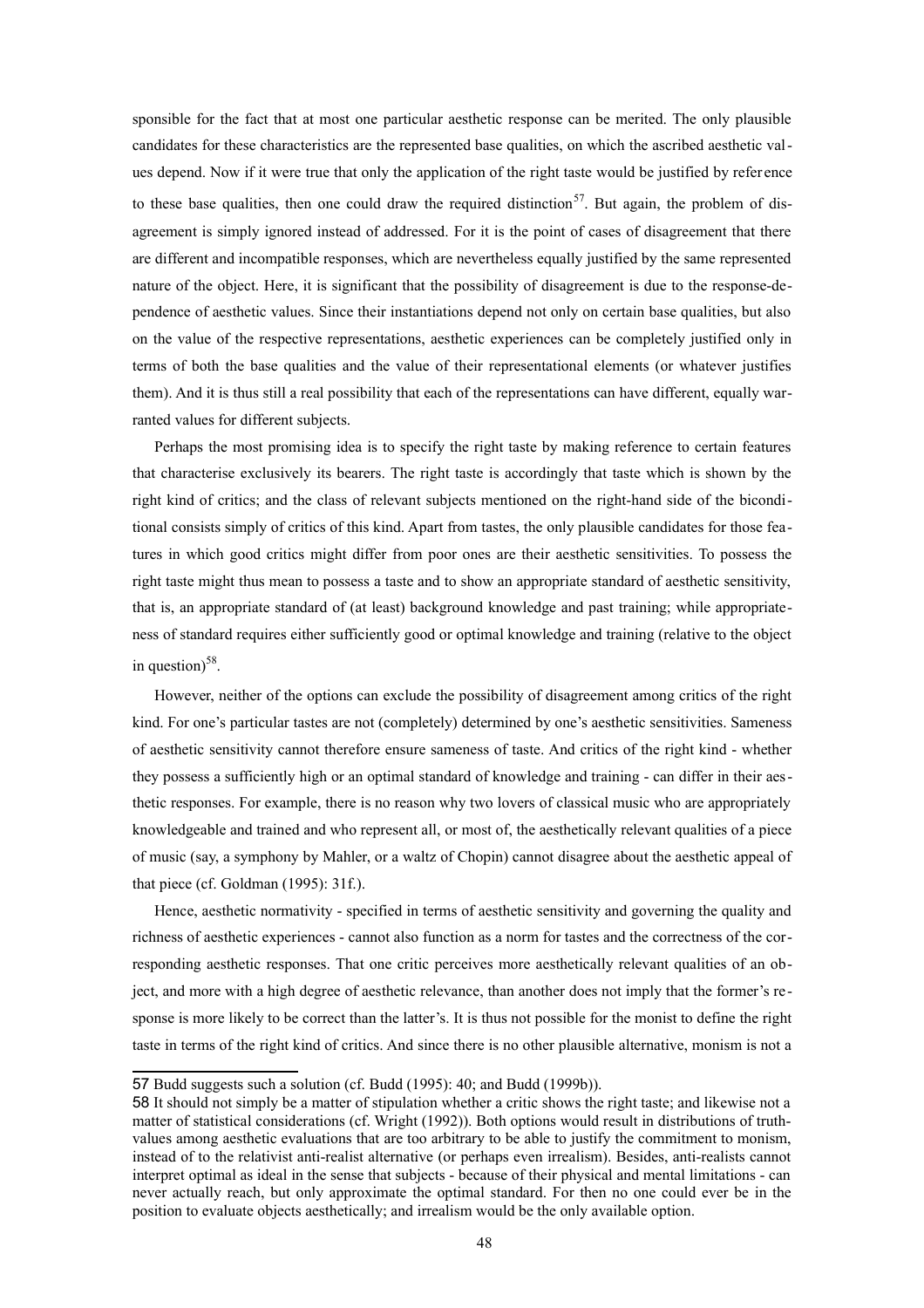sponsible for the fact that at most one particular aesthetic response can be merited. The only plausible candidates for these characteristics are the represented base qualities, on which the ascribed aesthetic values depend. Now if it were true that only the application of the right taste would be justified by refer ence to these base qualities, then one could draw the required distinction<sup>[57](#page-47-0)</sup>. But again, the problem of disagreement is simply ignored instead of addressed. For it is the point of cases of disagreement that there are different and incompatible responses, which are nevertheless equally justified by the same represented nature of the object. Here, it is significant that the possibility of disagreement is due to the response-dependence of aesthetic values. Since their instantiations depend not only on certain base qualities, but also on the value of the respective representations, aesthetic experiences can be completely justified only in terms of both the base qualities and the value of their representational elements (or whatever justifies them). And it is thus still a real possibility that each of the representations can have different, equally warranted values for different subjects.

Perhaps the most promising idea is to specify the right taste by making reference to certain features that characterise exclusively its bearers. The right taste is accordingly that taste which is shown by the right kind of critics; and the class of relevant subjects mentioned on the right-hand side of the biconditional consists simply of critics of this kind. Apart from tastes, the only plausible candidates for those features in which good critics might differ from poor ones are their aesthetic sensitivities. To possess the right taste might thus mean to possess a taste and to show an appropriate standard of aesthetic sensitivity, that is, an appropriate standard of (at least) background knowledge and past training; while appropriateness of standard requires either sufficiently good or optimal knowledge and training (relative to the object in question) $58$ .

However, neither of the options can exclude the possibility of disagreement among critics of the right kind. For one's particular tastes are not (completely) determined by one's aesthetic sensitivities. Sameness of aesthetic sensitivity cannot therefore ensure sameness of taste. And critics of the right kind - whether they possess a sufficiently high or an optimal standard of knowledge and training - can differ in their aesthetic responses. For example, there is no reason why two lovers of classical music who are appropriately knowledgeable and trained and who represent all, or most of, the aesthetically relevant qualities of a piece of music (say, a symphony by Mahler, or a waltz of Chopin) cannot disagree about the aesthetic appeal of that piece (cf. Goldman (1995): 31f.).

Hence, aesthetic normativity - specified in terms of aesthetic sensitivity and governing the quality and richness of aesthetic experiences - cannot also function as a norm for tastes and the correctness of the corresponding aesthetic responses. That one critic perceives more aesthetically relevant qualities of an object, and more with a high degree of aesthetic relevance, than another does not imply that the former's response is more likely to be correct than the latter's. It is thus not possible for the monist to define the right taste in terms of the right kind of critics. And since there is no other plausible alternative, monism is not a

<span id="page-47-0"></span><sup>57</sup> Budd suggests such a solution (cf. Budd (1995): 40; and Budd (1999b)).

<span id="page-47-1"></span><sup>58</sup> It should not simply be a matter of stipulation whether a critic shows the right taste; and likewise not a matter of statistical considerations (cf. Wright (1992)). Both options would result in distributions of truthvalues among aesthetic evaluations that are too arbitrary to be able to justify the commitment to monism, instead of to the relativist anti-realist alternative (or perhaps even irrealism). Besides, anti-realists cannot interpret optimal as ideal in the sense that subjects - because of their physical and mental limitations - can never actually reach, but only approximate the optimal standard. For then no one could ever be in the position to evaluate objects aesthetically; and irrealism would be the only available option.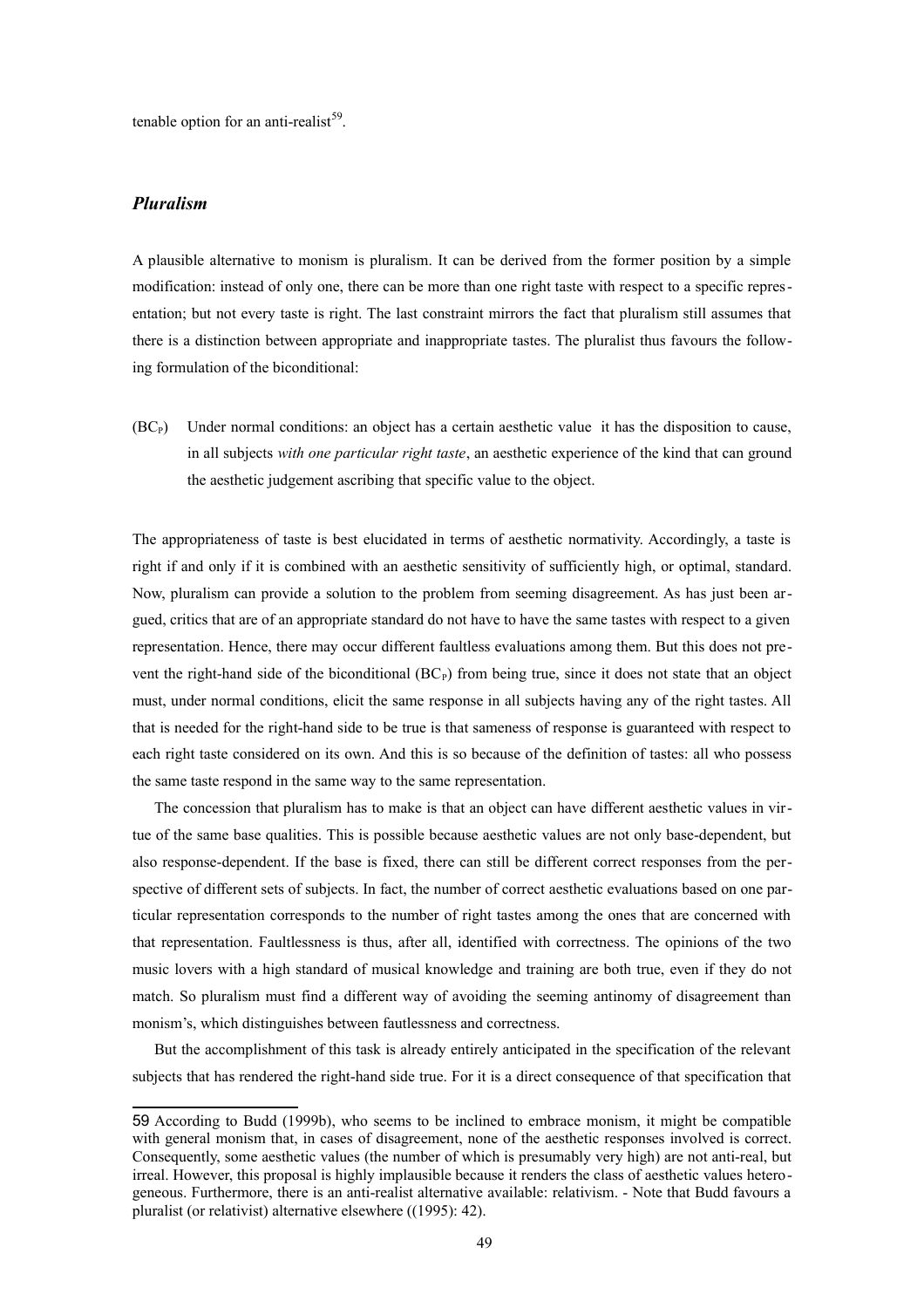tenable option for an anti-realist<sup>[59](#page-48-0)</sup>.

## *Pluralism*

A plausible alternative to monism is pluralism. It can be derived from the former position by a simple modification: instead of only one, there can be more than one right taste with respect to a specific representation; but not every taste is right. The last constraint mirrors the fact that pluralism still assumes that there is a distinction between appropriate and inappropriate tastes. The pluralist thus favours the following formulation of the biconditional:

 $(BC<sub>P</sub>)$  Under normal conditions: an object has a certain aesthetic value it has the disposition to cause, in all subjects *with one particular right taste*, an aesthetic experience of the kind that can ground the aesthetic judgement ascribing that specific value to the object.

The appropriateness of taste is best elucidated in terms of aesthetic normativity. Accordingly, a taste is right if and only if it is combined with an aesthetic sensitivity of sufficiently high, or optimal, standard. Now, pluralism can provide a solution to the problem from seeming disagreement. As has just been argued, critics that are of an appropriate standard do not have to have the same tastes with respect to a given representation. Hence, there may occur different faultless evaluations among them. But this does not prevent the right-hand side of the biconditional  $(BC<sub>P</sub>)$  from being true, since it does not state that an object must, under normal conditions, elicit the same response in all subjects having any of the right tastes. All that is needed for the right-hand side to be true is that sameness of response is guaranteed with respect to each right taste considered on its own. And this is so because of the definition of tastes: all who possess the same taste respond in the same way to the same representation.

The concession that pluralism has to make is that an object can have different aesthetic values in virtue of the same base qualities. This is possible because aesthetic values are not only base-dependent, but also response-dependent. If the base is fixed, there can still be different correct responses from the perspective of different sets of subjects. In fact, the number of correct aesthetic evaluations based on one particular representation corresponds to the number of right tastes among the ones that are concerned with that representation. Faultlessness is thus, after all, identified with correctness. The opinions of the two music lovers with a high standard of musical knowledge and training are both true, even if they do not match. So pluralism must find a different way of avoiding the seeming antinomy of disagreement than monism's, which distinguishes between fautlessness and correctness.

But the accomplishment of this task is already entirely anticipated in the specification of the relevant subjects that has rendered the right-hand side true. For it is a direct consequence of that specification that

<span id="page-48-0"></span><sup>59</sup> According to Budd (1999b), who seems to be inclined to embrace monism, it might be compatible with general monism that, in cases of disagreement, none of the aesthetic responses involved is correct. Consequently, some aesthetic values (the number of which is presumably very high) are not anti-real, but irreal. However, this proposal is highly implausible because it renders the class of aesthetic values heterogeneous. Furthermore, there is an anti-realist alternative available: relativism. - Note that Budd favours a pluralist (or relativist) alternative elsewhere ((1995): 42).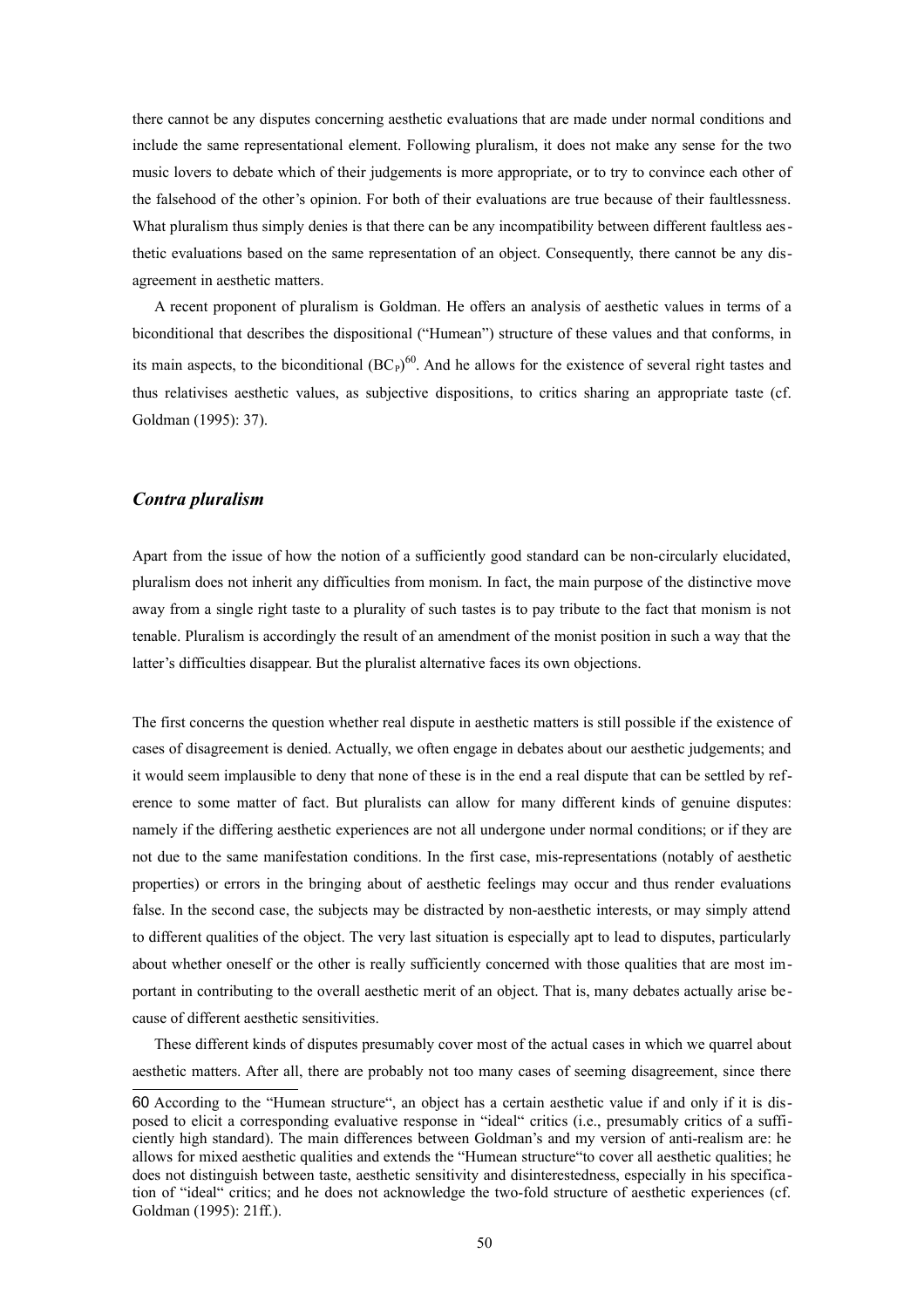there cannot be any disputes concerning aesthetic evaluations that are made under normal conditions and include the same representational element. Following pluralism, it does not make any sense for the two music lovers to debate which of their judgements is more appropriate, or to try to convince each other of the falsehood of the other's opinion. For both of their evaluations are true because of their faultlessness. What pluralism thus simply denies is that there can be any incompatibility between different faultless aesthetic evaluations based on the same representation of an object. Consequently, there cannot be any disagreement in aesthetic matters.

A recent proponent of pluralism is Goldman. He offers an analysis of aesthetic values in terms of a biconditional that describes the dispositional ("Humean") structure of these values and that conforms, in its main aspects, to the biconditional  $(BC<sub>P</sub>)<sup>60</sup>$  $(BC<sub>P</sub>)<sup>60</sup>$  $(BC<sub>P</sub>)<sup>60</sup>$ . And he allows for the existence of several right tastes and thus relativises aesthetic values, as subjective dispositions, to critics sharing an appropriate taste (cf. Goldman (1995): 37).

## *Contra pluralism*

Apart from the issue of how the notion of a sufficiently good standard can be non-circularly elucidated, pluralism does not inherit any difficulties from monism. In fact, the main purpose of the distinctive move away from a single right taste to a plurality of such tastes is to pay tribute to the fact that monism is not tenable. Pluralism is accordingly the result of an amendment of the monist position in such a way that the latter's difficulties disappear. But the pluralist alternative faces its own objections.

The first concerns the question whether real dispute in aesthetic matters is still possible if the existence of cases of disagreement is denied. Actually, we often engage in debates about our aesthetic judgements; and it would seem implausible to deny that none of these is in the end a real dispute that can be settled by reference to some matter of fact. But pluralists can allow for many different kinds of genuine disputes: namely if the differing aesthetic experiences are not all undergone under normal conditions; or if they are not due to the same manifestation conditions. In the first case, mis-representations (notably of aesthetic properties) or errors in the bringing about of aesthetic feelings may occur and thus render evaluations false. In the second case, the subjects may be distracted by non-aesthetic interests, or may simply attend to different qualities of the object. The very last situation is especially apt to lead to disputes, particularly about whether oneself or the other is really sufficiently concerned with those qualities that are most important in contributing to the overall aesthetic merit of an object. That is, many debates actually arise because of different aesthetic sensitivities.

These different kinds of disputes presumably cover most of the actual cases in which we quarrel about aesthetic matters. After all, there are probably not too many cases of seeming disagreement, since there

<span id="page-49-0"></span><sup>60</sup> According to the "Humean structure", an object has a certain aesthetic value if and only if it is disposed to elicit a corresponding evaluative response in "ideal" critics (i.e., presumably critics of a sufficiently high standard). The main differences between Goldman's and my version of anti-realism are: he allows for mixed aesthetic qualities and extends the "Humean structure"to cover all aesthetic qualities; he does not distinguish between taste, aesthetic sensitivity and disinterestedness, especially in his specification of "ideal" critics; and he does not acknowledge the two-fold structure of aesthetic experiences (cf. Goldman (1995): 21ff.).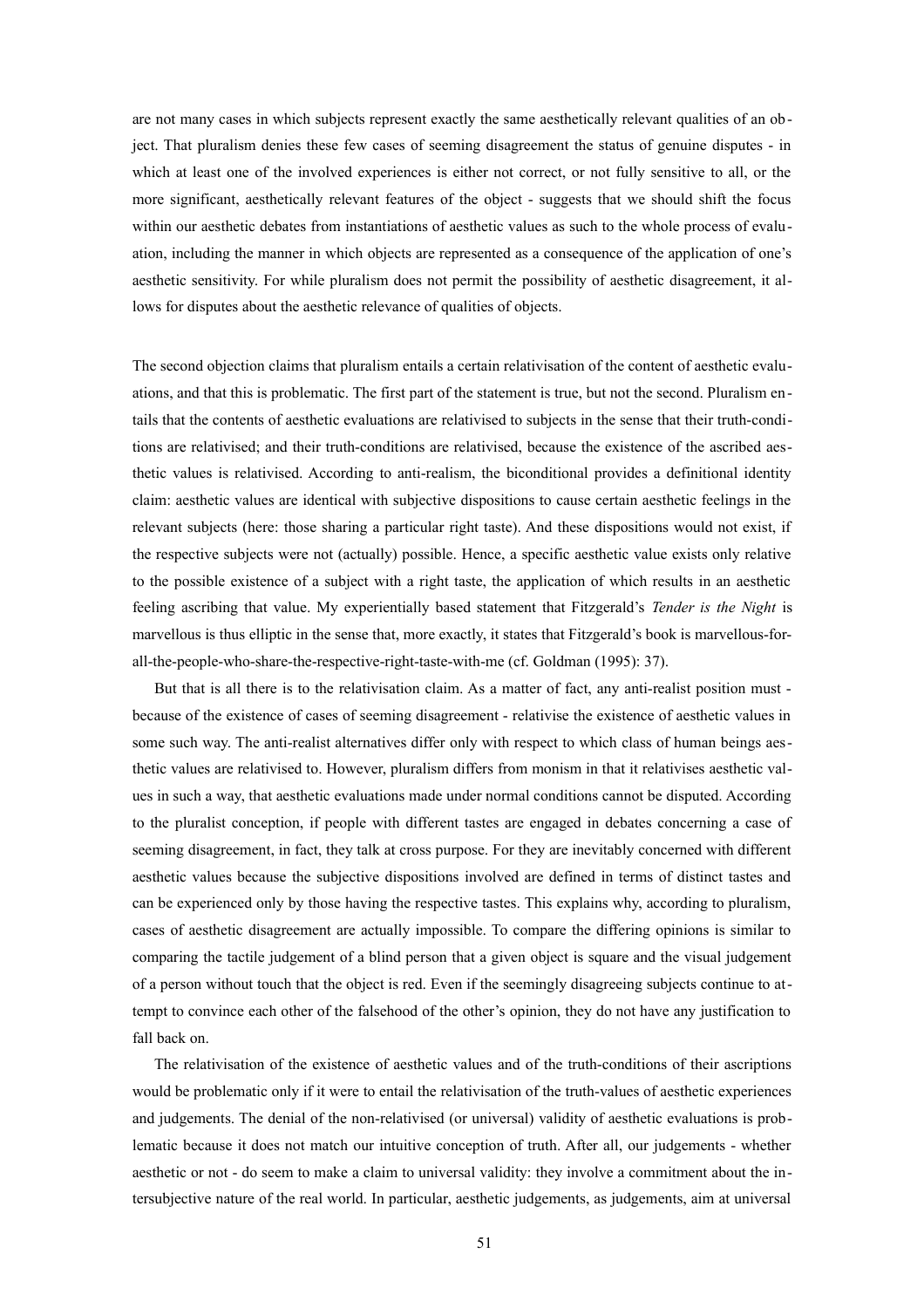are not many cases in which subjects represent exactly the same aesthetically relevant qualities of an object. That pluralism denies these few cases of seeming disagreement the status of genuine disputes - in which at least one of the involved experiences is either not correct, or not fully sensitive to all, or the more significant, aesthetically relevant features of the object - suggests that we should shift the focus within our aesthetic debates from instantiations of aesthetic values as such to the whole process of evaluation, including the manner in which objects are represented as a consequence of the application of one's aesthetic sensitivity. For while pluralism does not permit the possibility of aesthetic disagreement, it allows for disputes about the aesthetic relevance of qualities of objects.

The second objection claims that pluralism entails a certain relativisation of the content of aesthetic evaluations, and that this is problematic. The first part of the statement is true, but not the second. Pluralism en tails that the contents of aesthetic evaluations are relativised to subjects in the sense that their truth-conditions are relativised; and their truth-conditions are relativised, because the existence of the ascribed aesthetic values is relativised. According to anti-realism, the biconditional provides a definitional identity claim: aesthetic values are identical with subjective dispositions to cause certain aesthetic feelings in the relevant subjects (here: those sharing a particular right taste). And these dispositions would not exist, if the respective subjects were not (actually) possible. Hence, a specific aesthetic value exists only relative to the possible existence of a subject with a right taste, the application of which results in an aesthetic feeling ascribing that value. My experientially based statement that Fitzgerald's *Tender is the Night* is marvellous is thus elliptic in the sense that, more exactly, it states that Fitzgerald's book is marvellous-forall-the-people-who-share-the-respective-right-taste-with-me (cf. Goldman (1995): 37).

But that is all there is to the relativisation claim. As a matter of fact, any anti-realist position must because of the existence of cases of seeming disagreement - relativise the existence of aesthetic values in some such way. The anti-realist alternatives differ only with respect to which class of human beings aesthetic values are relativised to. However, pluralism differs from monism in that it relativises aesthetic values in such a way, that aesthetic evaluations made under normal conditions cannot be disputed. According to the pluralist conception, if people with different tastes are engaged in debates concerning a case of seeming disagreement, in fact, they talk at cross purpose. For they are inevitably concerned with different aesthetic values because the subjective dispositions involved are defined in terms of distinct tastes and can be experienced only by those having the respective tastes. This explains why, according to pluralism, cases of aesthetic disagreement are actually impossible. To compare the differing opinions is similar to comparing the tactile judgement of a blind person that a given object is square and the visual judgement of a person without touch that the object is red. Even if the seemingly disagreeing subjects continue to attempt to convince each other of the falsehood of the other's opinion, they do not have any justification to fall back on.

The relativisation of the existence of aesthetic values and of the truth-conditions of their ascriptions would be problematic only if it were to entail the relativisation of the truth-values of aesthetic experiences and judgements. The denial of the non-relativised (or universal) validity of aesthetic evaluations is problematic because it does not match our intuitive conception of truth. After all, our judgements - whether aesthetic or not - do seem to make a claim to universal validity: they involve a commitment about the intersubjective nature of the real world. In particular, aesthetic judgements, as judgements, aim at universal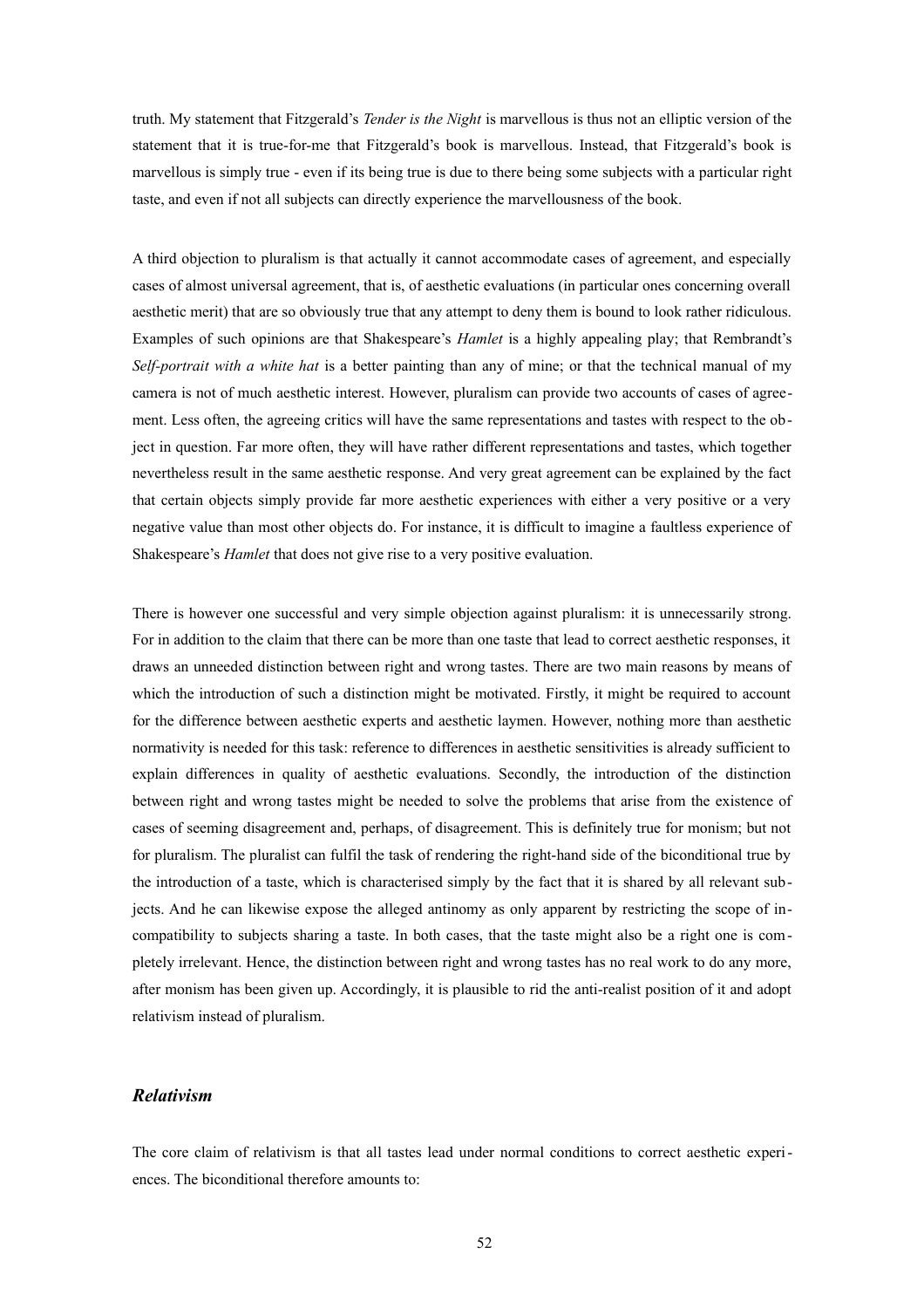truth. My statement that Fitzgerald's *Tender is the Night* is marvellous is thus not an elliptic version of the statement that it is true-for-me that Fitzgerald's book is marvellous. Instead, that Fitzgerald's book is marvellous is simply true - even if its being true is due to there being some subjects with a particular right taste, and even if not all subjects can directly experience the marvellousness of the book.

A third objection to pluralism is that actually it cannot accommodate cases of agreement, and especially cases of almost universal agreement, that is, of aesthetic evaluations (in particular ones concerning overall aesthetic merit) that are so obviously true that any attempt to deny them is bound to look rather ridiculous. Examples of such opinions are that Shakespeare's *Hamlet* is a highly appealing play; that Rembrandt's *Self-portrait with a white hat* is a better painting than any of mine; or that the technical manual of my camera is not of much aesthetic interest. However, pluralism can provide two accounts of cases of agreement. Less often, the agreeing critics will have the same representations and tastes with respect to the object in question. Far more often, they will have rather different representations and tastes, which together nevertheless result in the same aesthetic response. And very great agreement can be explained by the fact that certain objects simply provide far more aesthetic experiences with either a very positive or a very negative value than most other objects do. For instance, it is difficult to imagine a faultless experience of Shakespeare's *Hamlet* that does not give rise to a very positive evaluation.

There is however one successful and very simple objection against pluralism: it is unnecessarily strong. For in addition to the claim that there can be more than one taste that lead to correct aesthetic responses, it draws an unneeded distinction between right and wrong tastes. There are two main reasons by means of which the introduction of such a distinction might be motivated. Firstly, it might be required to account for the difference between aesthetic experts and aesthetic laymen. However, nothing more than aesthetic normativity is needed for this task: reference to differences in aesthetic sensitivities is already sufficient to explain differences in quality of aesthetic evaluations. Secondly, the introduction of the distinction between right and wrong tastes might be needed to solve the problems that arise from the existence of cases of seeming disagreement and, perhaps, of disagreement. This is definitely true for monism; but not for pluralism. The pluralist can fulfil the task of rendering the right-hand side of the biconditional true by the introduction of a taste, which is characterised simply by the fact that it is shared by all relevant subjects. And he can likewise expose the alleged antinomy as only apparent by restricting the scope of incompatibility to subjects sharing a taste. In both cases, that the taste might also be a right one is completely irrelevant. Hence, the distinction between right and wrong tastes has no real work to do any more, after monism has been given up. Accordingly, it is plausible to rid the anti-realist position of it and adopt relativism instead of pluralism.

## *Relativism*

The core claim of relativism is that all tastes lead under normal conditions to correct aesthetic experiences. The biconditional therefore amounts to: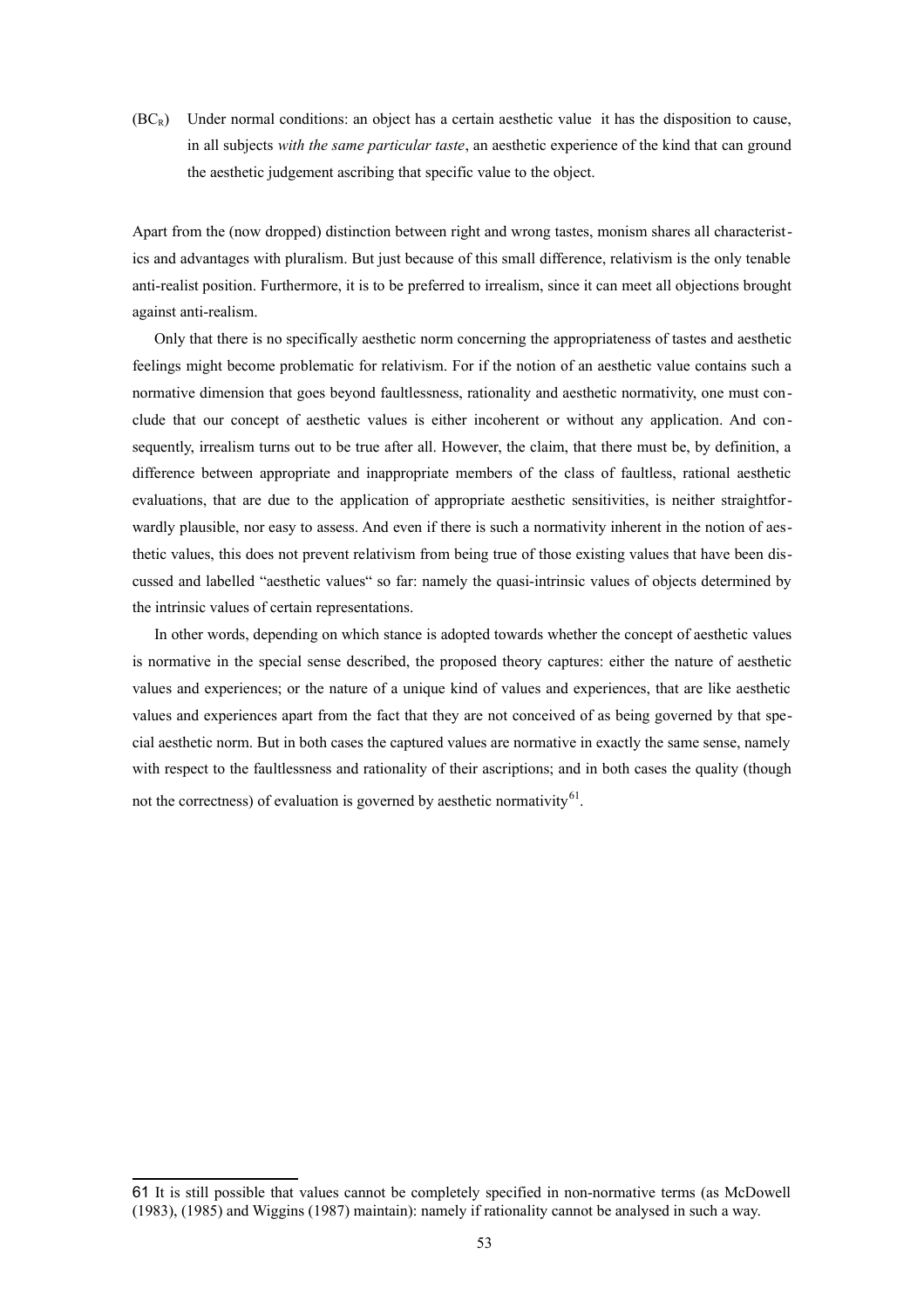$(BC_R)$  Under normal conditions: an object has a certain aesthetic value it has the disposition to cause, in all subjects *with the same particular taste*, an aesthetic experience of the kind that can ground the aesthetic judgement ascribing that specific value to the object.

Apart from the (now dropped) distinction between right and wrong tastes, monism shares all characteristics and advantages with pluralism. But just because of this small difference, relativism is the only tenable anti-realist position. Furthermore, it is to be preferred to irrealism, since it can meet all objections brought against anti-realism.

Only that there is no specifically aesthetic norm concerning the appropriateness of tastes and aesthetic feelings might become problematic for relativism. For if the notion of an aesthetic value contains such a normative dimension that goes beyond faultlessness, rationality and aesthetic normativity, one must conclude that our concept of aesthetic values is either incoherent or without any application. And consequently, irrealism turns out to be true after all. However, the claim, that there must be, by definition, a difference between appropriate and inappropriate members of the class of faultless, rational aesthetic evaluations, that are due to the application of appropriate aesthetic sensitivities, is neither straightforwardly plausible, nor easy to assess. And even if there is such a normativity inherent in the notion of aesthetic values, this does not prevent relativism from being true of those existing values that have been discussed and labelled "aesthetic values" so far: namely the quasi-intrinsic values of objects determined by the intrinsic values of certain representations.

In other words, depending on which stance is adopted towards whether the concept of aesthetic values is normative in the special sense described, the proposed theory captures: either the nature of aesthetic values and experiences; or the nature of a unique kind of values and experiences, that are like aesthetic values and experiences apart from the fact that they are not conceived of as being governed by that special aesthetic norm. But in both cases the captured values are normative in exactly the same sense, namely with respect to the faultlessness and rationality of their ascriptions; and in both cases the quality (though not the correctness) of evaluation is governed by aesthetic normativity $^{61}$  $^{61}$  $^{61}$ .

<span id="page-52-0"></span><sup>61</sup> It is still possible that values cannot be completely specified in non-normative terms (as McDowell (1983), (1985) and Wiggins (1987) maintain): namely if rationality cannot be analysed in such a way.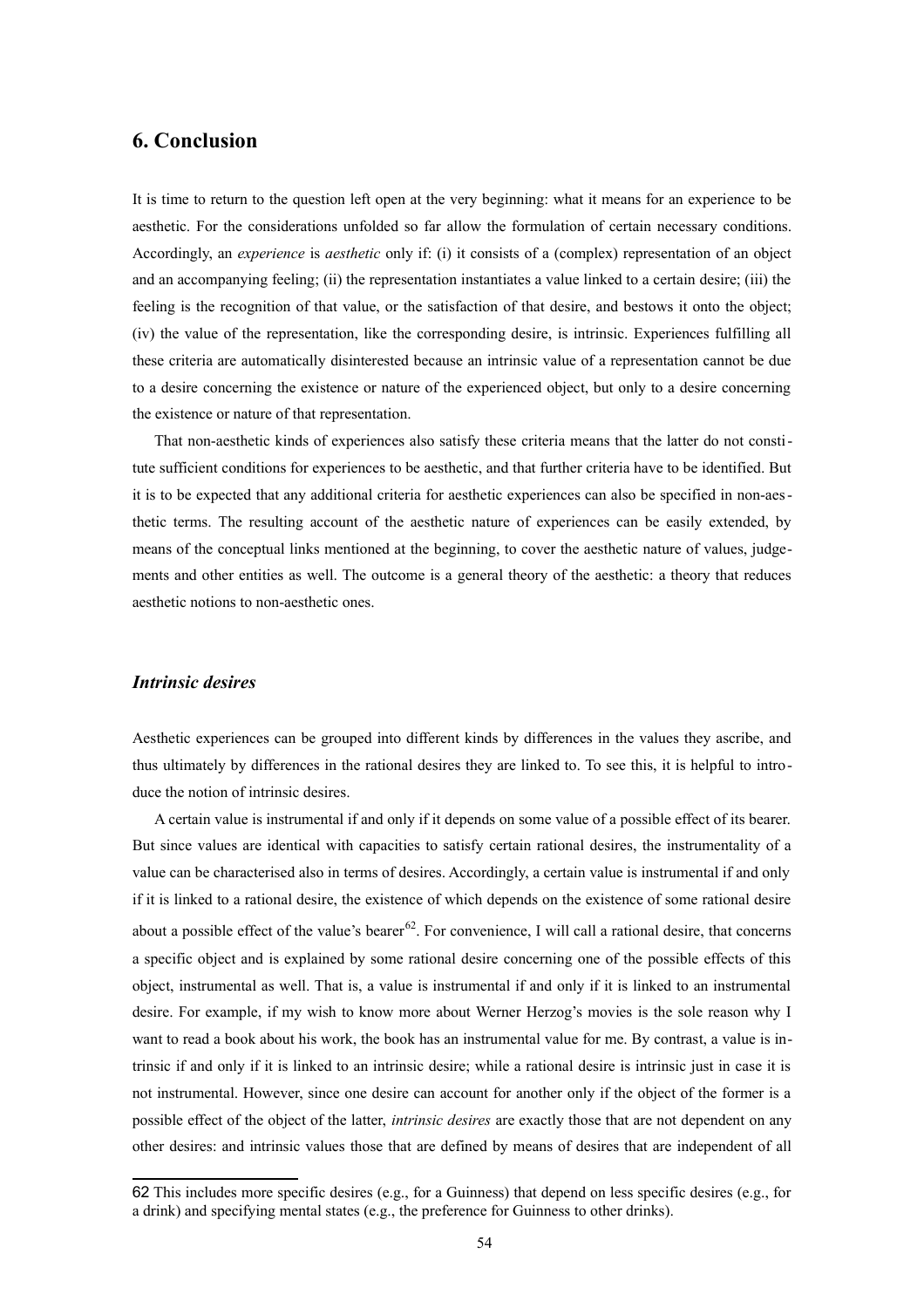## **6. Conclusion**

It is time to return to the question left open at the very beginning: what it means for an experience to be aesthetic. For the considerations unfolded so far allow the formulation of certain necessary conditions. Accordingly, an *experience* is *aesthetic* only if: (i) it consists of a (complex) representation of an object and an accompanying feeling; (ii) the representation instantiates a value linked to a certain desire; (iii) the feeling is the recognition of that value, or the satisfaction of that desire, and bestows it onto the object; (iv) the value of the representation, like the corresponding desire, is intrinsic. Experiences fulfilling all these criteria are automatically disinterested because an intrinsic value of a representation cannot be due to a desire concerning the existence or nature of the experienced object, but only to a desire concerning the existence or nature of that representation.

That non-aesthetic kinds of experiences also satisfy these criteria means that the latter do not constitute sufficient conditions for experiences to be aesthetic, and that further criteria have to be identified. But it is to be expected that any additional criteria for aesthetic experiences can also be specified in non-aesthetic terms. The resulting account of the aesthetic nature of experiences can be easily extended, by means of the conceptual links mentioned at the beginning, to cover the aesthetic nature of values, judgements and other entities as well. The outcome is a general theory of the aesthetic: a theory that reduces aesthetic notions to non-aesthetic ones.

#### *Intrinsic desires*

Aesthetic experiences can be grouped into different kinds by differences in the values they ascribe, and thus ultimately by differences in the rational desires they are linked to. To see this, it is helpful to introduce the notion of intrinsic desires.

A certain value is instrumental if and only if it depends on some value of a possible effect of its bearer. But since values are identical with capacities to satisfy certain rational desires, the instrumentality of a value can be characterised also in terms of desires. Accordingly, a certain value is instrumental if and only if it is linked to a rational desire, the existence of which depends on the existence of some rational desire about a possible effect of the value's bearer<sup>[62](#page-53-0)</sup>. For convenience, I will call a rational desire, that concerns a specific object and is explained by some rational desire concerning one of the possible effects of this object, instrumental as well. That is, a value is instrumental if and only if it is linked to an instrumental desire. For example, if my wish to know more about Werner Herzog's movies is the sole reason why I want to read a book about his work, the book has an instrumental value for me. By contrast, a value is intrinsic if and only if it is linked to an intrinsic desire; while a rational desire is intrinsic just in case it is not instrumental. However, since one desire can account for another only if the object of the former is a possible effect of the object of the latter, *intrinsic desires* are exactly those that are not dependent on any other desires: and intrinsic values those that are defined by means of desires that are independent of all

<span id="page-53-0"></span><sup>62</sup> This includes more specific desires (e.g., for a Guinness) that depend on less specific desires (e.g., for a drink) and specifying mental states (e.g., the preference for Guinness to other drinks).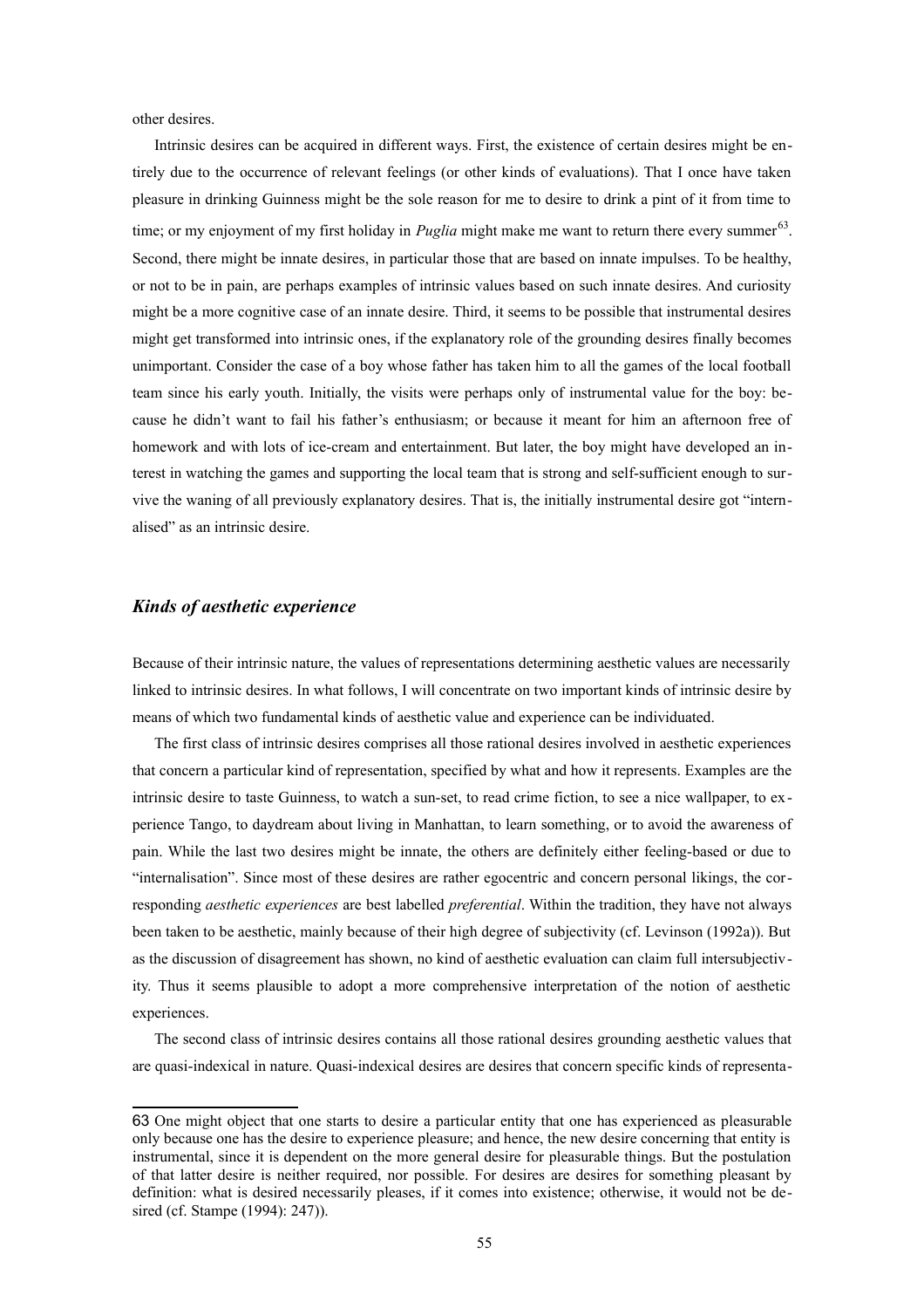other desires.

Intrinsic desires can be acquired in different ways. First, the existence of certain desires might be entirely due to the occurrence of relevant feelings (or other kinds of evaluations). That I once have taken pleasure in drinking Guinness might be the sole reason for me to desire to drink a pint of it from time to time; or my enjoyment of my first holiday in *Puglia* might make me want to return there every summer<sup>[63](#page-54-0)</sup>. Second, there might be innate desires, in particular those that are based on innate impulses. To be healthy, or not to be in pain, are perhaps examples of intrinsic values based on such innate desires. And curiosity might be a more cognitive case of an innate desire. Third, it seems to be possible that instrumental desires might get transformed into intrinsic ones, if the explanatory role of the grounding desires finally becomes unimportant. Consider the case of a boy whose father has taken him to all the games of the local football team since his early youth. Initially, the visits were perhaps only of instrumental value for the boy: because he didn't want to fail his father's enthusiasm; or because it meant for him an afternoon free of homework and with lots of ice-cream and entertainment. But later, the boy might have developed an interest in watching the games and supporting the local team that is strong and self-sufficient enough to survive the waning of all previously explanatory desires. That is, the initially instrumental desire got "internalised" as an intrinsic desire.

## *Kinds of aesthetic experience*

Because of their intrinsic nature, the values of representations determining aesthetic values are necessarily linked to intrinsic desires. In what follows, I will concentrate on two important kinds of intrinsic desire by means of which two fundamental kinds of aesthetic value and experience can be individuated.

The first class of intrinsic desires comprises all those rational desires involved in aesthetic experiences that concern a particular kind of representation, specified by what and how it represents. Examples are the intrinsic desire to taste Guinness, to watch a sun-set, to read crime fiction, to see a nice wallpaper, to ex perience Tango, to daydream about living in Manhattan, to learn something, or to avoid the awareness of pain. While the last two desires might be innate, the others are definitely either feeling-based or due to "internalisation". Since most of these desires are rather egocentric and concern personal likings, the corresponding *aesthetic experiences* are best labelled *preferential*. Within the tradition, they have not always been taken to be aesthetic, mainly because of their high degree of subjectivity (cf. Levinson (1992a)). But as the discussion of disagreement has shown, no kind of aesthetic evaluation can claim full intersubjectivity. Thus it seems plausible to adopt a more comprehensive interpretation of the notion of aesthetic experiences.

The second class of intrinsic desires contains all those rational desires grounding aesthetic values that are quasi-indexical in nature. Quasi-indexical desires are desires that concern specific kinds of representa-

<span id="page-54-0"></span><sup>63</sup> One might object that one starts to desire a particular entity that one has experienced as pleasurable only because one has the desire to experience pleasure; and hence, the new desire concerning that entity is instrumental, since it is dependent on the more general desire for pleasurable things. But the postulation of that latter desire is neither required, nor possible. For desires are desires for something pleasant by definition: what is desired necessarily pleases, if it comes into existence; otherwise, it would not be desired (cf. Stampe (1994): 247)).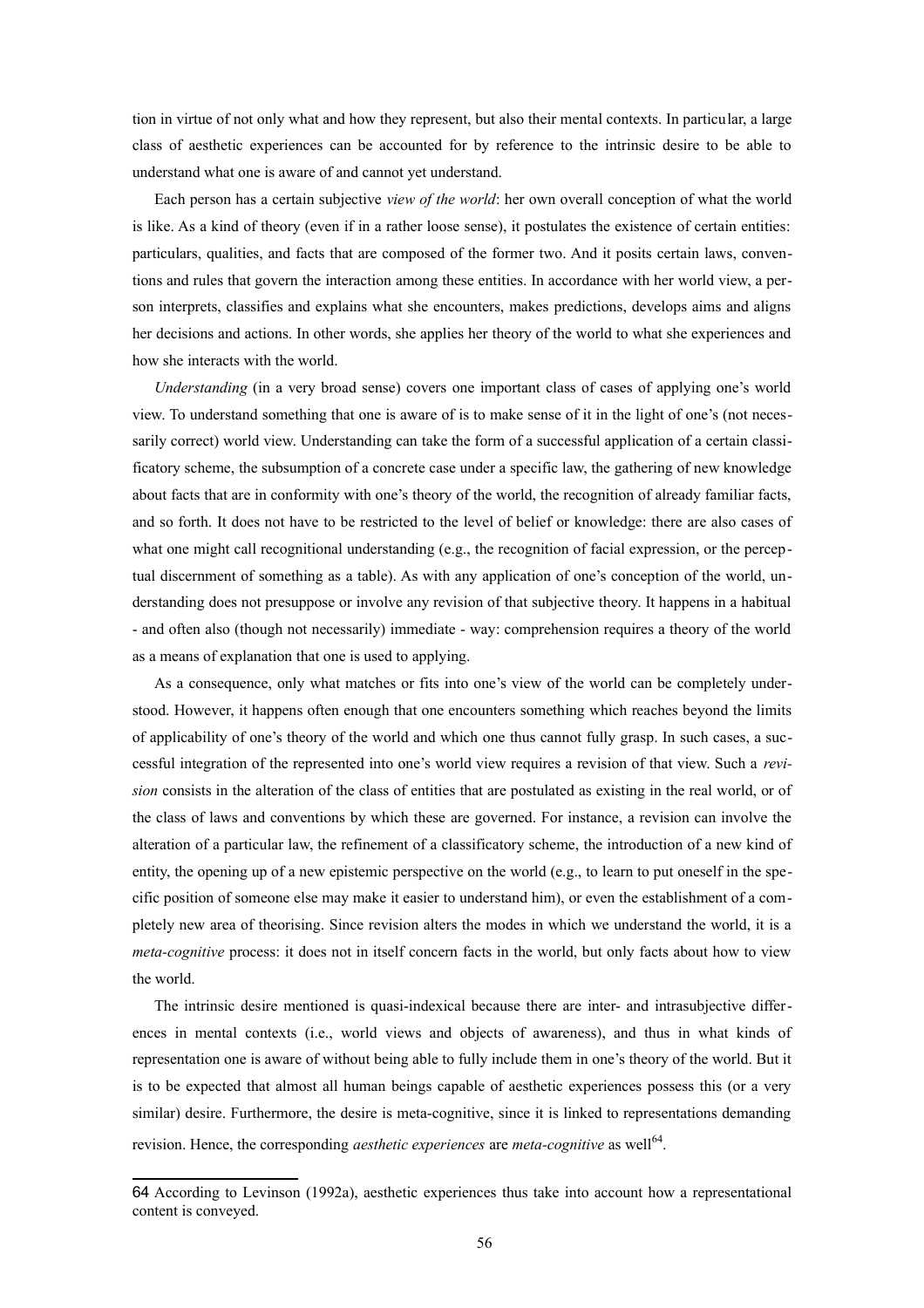tion in virtue of not only what and how they represent, but also their mental contexts. In particular, a large class of aesthetic experiences can be accounted for by reference to the intrinsic desire to be able to understand what one is aware of and cannot yet understand.

Each person has a certain subjective *view of the world*: her own overall conception of what the world is like. As a kind of theory (even if in a rather loose sense), it postulates the existence of certain entities: particulars, qualities, and facts that are composed of the former two. And it posits certain laws, conventions and rules that govern the interaction among these entities. In accordance with her world view, a person interprets, classifies and explains what she encounters, makes predictions, develops aims and aligns her decisions and actions. In other words, she applies her theory of the world to what she experiences and how she interacts with the world.

*Understanding* (in a very broad sense) covers one important class of cases of applying one's world view. To understand something that one is aware of is to make sense of it in the light of one's (not necessarily correct) world view. Understanding can take the form of a successful application of a certain classificatory scheme, the subsumption of a concrete case under a specific law, the gathering of new knowledge about facts that are in conformity with one's theory of the world, the recognition of already familiar facts, and so forth. It does not have to be restricted to the level of belief or knowledge: there are also cases of what one might call recognitional understanding (e.g., the recognition of facial expression, or the perceptual discernment of something as a table). As with any application of one's conception of the world, understanding does not presuppose or involve any revision of that subjective theory. It happens in a habitual - and often also (though not necessarily) immediate - way: comprehension requires a theory of the world as a means of explanation that one is used to applying.

As a consequence, only what matches or fits into one's view of the world can be completely understood. However, it happens often enough that one encounters something which reaches beyond the limits of applicability of one's theory of the world and which one thus cannot fully grasp. In such cases, a successful integration of the represented into one's world view requires a revision of that view. Such a *revision* consists in the alteration of the class of entities that are postulated as existing in the real world, or of the class of laws and conventions by which these are governed. For instance, a revision can involve the alteration of a particular law, the refinement of a classificatory scheme, the introduction of a new kind of entity, the opening up of a new epistemic perspective on the world (e.g., to learn to put oneself in the specific position of someone else may make it easier to understand him), or even the establishment of a completely new area of theorising. Since revision alters the modes in which we understand the world, it is a *meta-cognitive* process: it does not in itself concern facts in the world, but only facts about how to view the world.

The intrinsic desire mentioned is quasi-indexical because there are inter- and intrasubjective differences in mental contexts (i.e., world views and objects of awareness), and thus in what kinds of representation one is aware of without being able to fully include them in one's theory of the world. But it is to be expected that almost all human beings capable of aesthetic experiences possess this (or a very similar) desire. Furthermore, the desire is meta-cognitive, since it is linked to representations demanding revision. Hence, the corresponding *aesthetic experiences* are *meta-cognitive* as well<sup>[64](#page-55-0)</sup>.

<span id="page-55-0"></span><sup>64</sup> According to Levinson (1992a), aesthetic experiences thus take into account how a representational content is conveyed.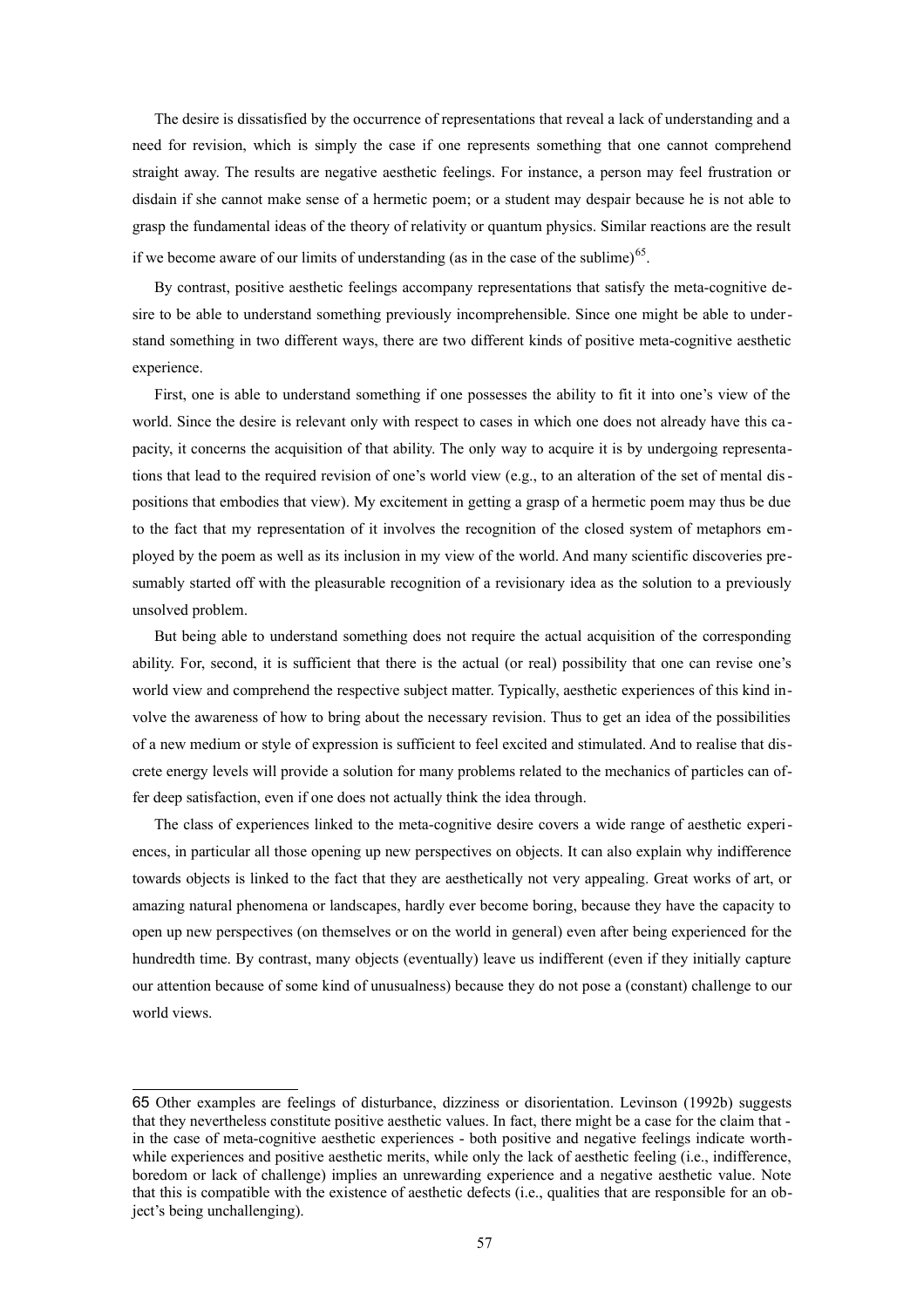The desire is dissatisfied by the occurrence of representations that reveal a lack of understanding and a need for revision, which is simply the case if one represents something that one cannot comprehend straight away. The results are negative aesthetic feelings. For instance, a person may feel frustration or disdain if she cannot make sense of a hermetic poem; or a student may despair because he is not able to grasp the fundamental ideas of the theory of relativity or quantum physics. Similar reactions are the result if we become aware of our limits of understanding (as in the case of the sublime)<sup>[65](#page-56-0)</sup>.

By contrast, positive aesthetic feelings accompany representations that satisfy the meta-cognitive desire to be able to understand something previously incomprehensible. Since one might be able to understand something in two different ways, there are two different kinds of positive meta-cognitive aesthetic experience.

First, one is able to understand something if one possesses the ability to fit it into one's view of the world. Since the desire is relevant only with respect to cases in which one does not already have this capacity, it concerns the acquisition of that ability. The only way to acquire it is by undergoing representations that lead to the required revision of one's world view (e.g., to an alteration of the set of mental dispositions that embodies that view). My excitement in getting a grasp of a hermetic poem may thus be due to the fact that my representation of it involves the recognition of the closed system of metaphors employed by the poem as well as its inclusion in my view of the world. And many scientific discoveries presumably started off with the pleasurable recognition of a revisionary idea as the solution to a previously unsolved problem.

But being able to understand something does not require the actual acquisition of the corresponding ability. For, second, it is sufficient that there is the actual (or real) possibility that one can revise one's world view and comprehend the respective subject matter. Typically, aesthetic experiences of this kind involve the awareness of how to bring about the necessary revision. Thus to get an idea of the possibilities of a new medium or style of expression is sufficient to feel excited and stimulated. And to realise that discrete energy levels will provide a solution for many problems related to the mechanics of particles can offer deep satisfaction, even if one does not actually think the idea through.

The class of experiences linked to the meta-cognitive desire covers a wide range of aesthetic experiences, in particular all those opening up new perspectives on objects. It can also explain why indifference towards objects is linked to the fact that they are aesthetically not very appealing. Great works of art, or amazing natural phenomena or landscapes, hardly ever become boring, because they have the capacity to open up new perspectives (on themselves or on the world in general) even after being experienced for the hundredth time. By contrast, many objects (eventually) leave us indifferent (even if they initially capture our attention because of some kind of unusualness) because they do not pose a (constant) challenge to our world views.

<span id="page-56-0"></span><sup>65</sup> Other examples are feelings of disturbance, dizziness or disorientation. Levinson (1992b) suggests that they nevertheless constitute positive aesthetic values. In fact, there might be a case for the claim that in the case of meta-cognitive aesthetic experiences - both positive and negative feelings indicate worthwhile experiences and positive aesthetic merits, while only the lack of aesthetic feeling (i.e., indifference, boredom or lack of challenge) implies an unrewarding experience and a negative aesthetic value. Note that this is compatible with the existence of aesthetic defects (i.e., qualities that are responsible for an object's being unchallenging).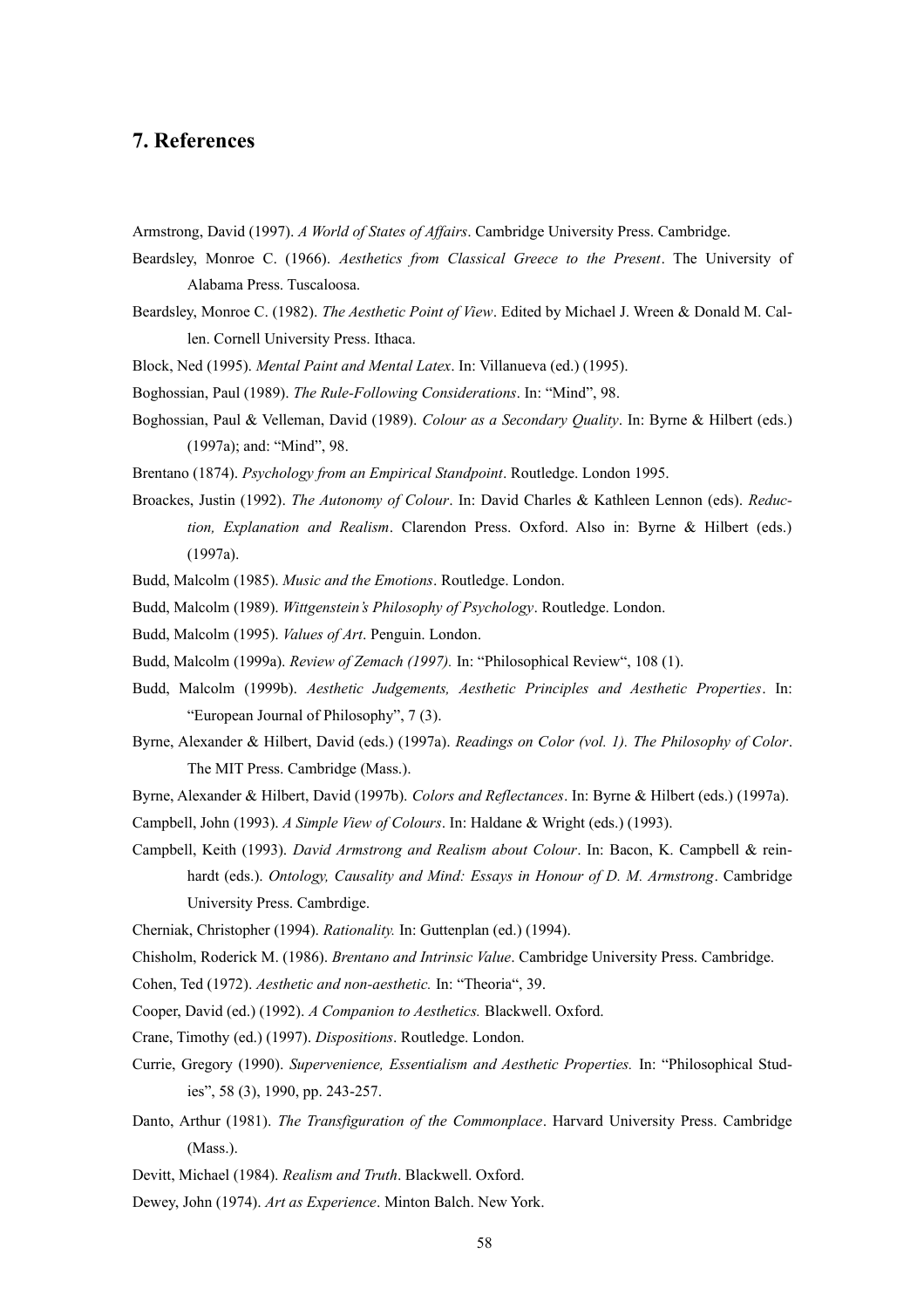## **7. References**

Armstrong, David (1997). *A World of States of Affairs*. Cambridge University Press. Cambridge.

- Beardsley, Monroe C. (1966). *Aesthetics from Classical Greece to the Present*. The University of Alabama Press. Tuscaloosa.
- Beardsley, Monroe C. (1982). *The Aesthetic Point of View*. Edited by Michael J. Wreen & Donald M. Callen. Cornell University Press. Ithaca.
- Block, Ned (1995). *Mental Paint and Mental Latex*. In: Villanueva (ed.) (1995).
- Boghossian, Paul (1989). *The Rule-Following Considerations*. In: "Mind", 98.
- Boghossian, Paul & Velleman, David (1989). *Colour as a Secondary Quality*. In: Byrne & Hilbert (eds.) (1997a); and: "Mind", 98.

Brentano (1874). *Psychology from an Empirical Standpoint*. Routledge. London 1995.

- Broackes, Justin (1992). *The Autonomy of Colour*. In: David Charles & Kathleen Lennon (eds). *Reduction, Explanation and Realism*. Clarendon Press. Oxford. Also in: Byrne & Hilbert (eds.) (1997a).
- Budd, Malcolm (1985). *Music and the Emotions*. Routledge. London.
- Budd, Malcolm (1989). *Wittgenstein's Philosophy of Psychology*. Routledge. London.
- Budd, Malcolm (1995). *Values of Art*. Penguin. London.
- Budd, Malcolm (1999a). *Review of Zemach (1997).* In: "Philosophical Review", 108 (1).
- Budd, Malcolm (1999b). *Aesthetic Judgements, Aesthetic Principles and Aesthetic Properties*. In: "European Journal of Philosophy", 7 (3).
- Byrne, Alexander & Hilbert, David (eds.) (1997a). *Readings on Color (vol. 1). The Philosophy of Color*. The MIT Press. Cambridge (Mass.).
- Byrne, Alexander & Hilbert, David (1997b). *Colors and Reflectances*. In: Byrne & Hilbert (eds.) (1997a).
- Campbell, John (1993). *A Simple View of Colours*. In: Haldane & Wright (eds.) (1993).
- Campbell, Keith (1993). *David Armstrong and Realism about Colour*. In: Bacon, K. Campbell & reinhardt (eds.). *Ontology, Causality and Mind: Essays in Honour of D. M. Armstrong*. Cambridge University Press. Cambrdige.
- Cherniak, Christopher (1994). *Rationality.* In: Guttenplan (ed.) (1994).
- Chisholm, Roderick M. (1986). *Brentano and Intrinsic Value*. Cambridge University Press. Cambridge.
- Cohen, Ted (1972). *Aesthetic and non-aesthetic.* In: "Theoria", 39.
- Cooper, David (ed.) (1992). *A Companion to Aesthetics.* Blackwell. Oxford.
- Crane, Timothy (ed.) (1997). *Dispositions*. Routledge. London.
- Currie, Gregory (1990). *Supervenience, Essentialism and Aesthetic Properties.* In: "Philosophical Studies", 58 (3), 1990, pp. 243-257.
- Danto, Arthur (1981). *The Transfiguration of the Commonplace*. Harvard University Press. Cambridge (Mass.).
- Devitt, Michael (1984). *Realism and Truth*. Blackwell. Oxford.
- Dewey, John (1974). *Art as Experience*. Minton Balch. New York.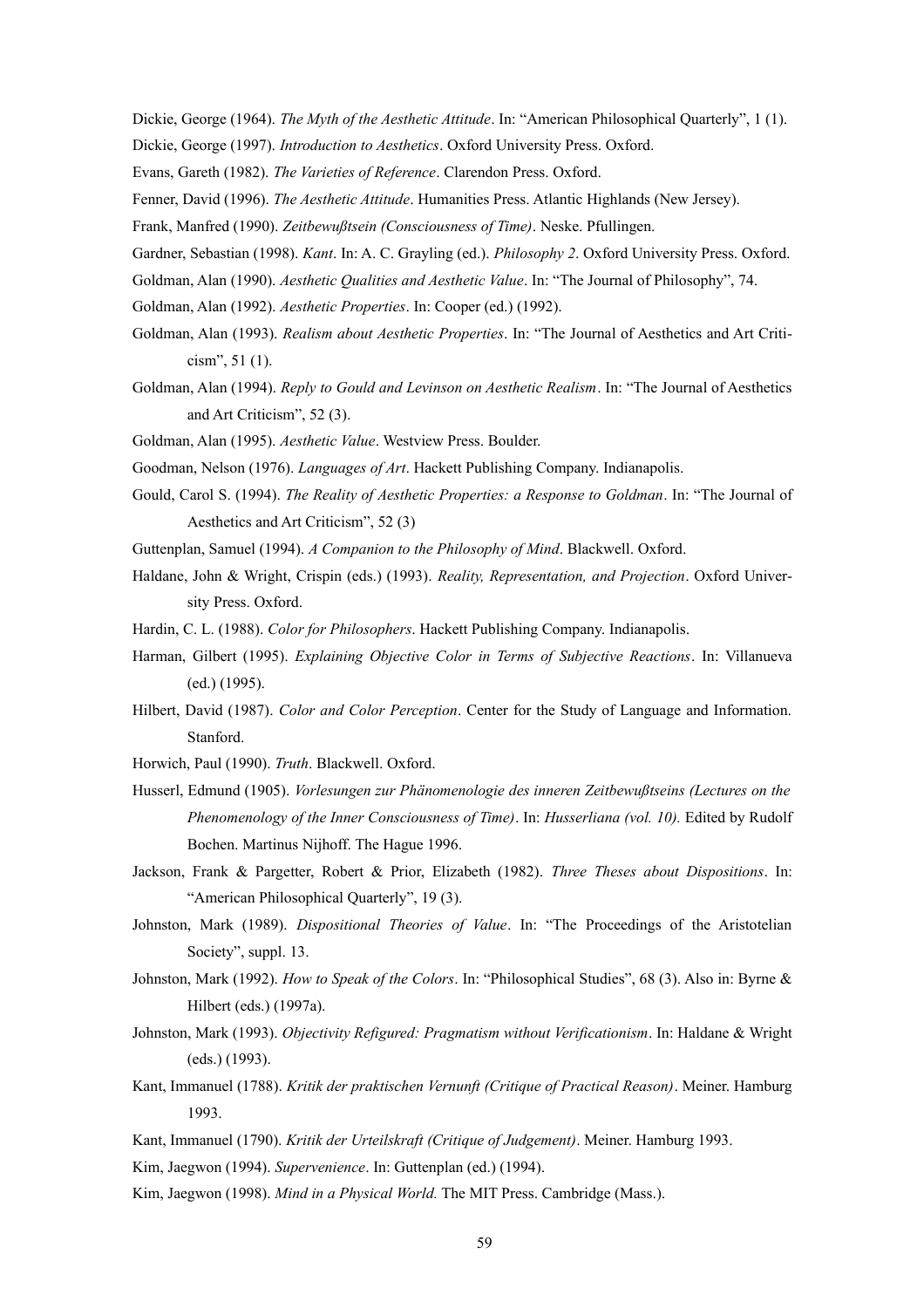Dickie, George (1964). *The Myth of the Aesthetic Attitude*. In: "American Philosophical Quarterly", 1 (1).

Dickie, George (1997). *Introduction to Aesthetics*. Oxford University Press. Oxford.

Evans, Gareth (1982). *The Varieties of Reference*. Clarendon Press. Oxford.

Fenner, David (1996). *The Aesthetic Attitude*. Humanities Press. Atlantic Highlands (New Jersey).

Frank, Manfred (1990). *Zeitbewußtsein (Consciousness of Time)*. Neske. Pfullingen.

Gardner, Sebastian (1998). *Kant*. In: A. C. Grayling (ed.). *Philosophy 2*. Oxford University Press. Oxford.

Goldman, Alan (1990). *Aesthetic Qualities and Aesthetic Value*. In: "The Journal of Philosophy", 74.

Goldman, Alan (1992). *Aesthetic Properties*. In: Cooper (ed.) (1992).

Goldman, Alan (1993). *Realism about Aesthetic Properties*. In: "The Journal of Aesthetics and Art Criticism", 51 (1).

Goldman, Alan (1994). *Reply to Gould and Levinson on Aesthetic Realism*. In: "The Journal of Aesthetics and Art Criticism", 52 (3).

Goldman, Alan (1995). *Aesthetic Value*. Westview Press. Boulder.

Goodman, Nelson (1976). *Languages of Art*. Hackett Publishing Company. Indianapolis.

Gould, Carol S. (1994). *The Reality of Aesthetic Properties: a Response to Goldman*. In: "The Journal of Aesthetics and Art Criticism", 52 (3)

Guttenplan, Samuel (1994). *A Companion to the Philosophy of Mind*. Blackwell. Oxford.

Haldane, John & Wright, Crispin (eds.) (1993). *Reality, Representation, and Projection*. Oxford University Press. Oxford.

Hardin, C. L. (1988). *Color for Philosophers*. Hackett Publishing Company. Indianapolis.

- Harman, Gilbert (1995). *Explaining Objective Color in Terms of Subjective Reactions*. In: Villanueva (ed.) (1995).
- Hilbert, David (1987). *Color and Color Perception*. Center for the Study of Language and Information. Stanford.

Horwich, Paul (1990). *Truth*. Blackwell. Oxford.

- Husserl, Edmund (1905). *Vorlesungen zur Phänomenologie des inneren Zeitbewußtseins (Lectures on the Phenomenology of the Inner Consciousness of Time)*. In: *Husserliana (vol. 10).* Edited by Rudolf Bochen. Martinus Nijhoff. The Hague 1996.
- Jackson, Frank & Pargetter, Robert & Prior, Elizabeth (1982). *Three Theses about Dispositions*. In: "American Philosophical Quarterly", 19 (3).
- Johnston, Mark (1989). *Dispositional Theories of Value*. In: "The Proceedings of the Aristotelian Society", suppl. 13.
- Johnston, Mark (1992). *How to Speak of the Colors*. In: "Philosophical Studies", 68 (3). Also in: Byrne & Hilbert (eds.) (1997a).

Johnston, Mark (1993). *Objectivity Refigured: Pragmatism without Verificationism*. In: Haldane & Wright (eds.) (1993).

- Kant, Immanuel (1788). *Kritik der praktischen Vernunft (Critique of Practical Reason)*. Meiner. Hamburg 1993.
- Kant, Immanuel (1790). *Kritik der Urteilskraft (Critique of Judgement)*. Meiner. Hamburg 1993.
- Kim, Jaegwon (1994). *Supervenience*. In: Guttenplan (ed.) (1994).

Kim, Jaegwon (1998). *Mind in a Physical World.* The MIT Press. Cambridge (Mass.).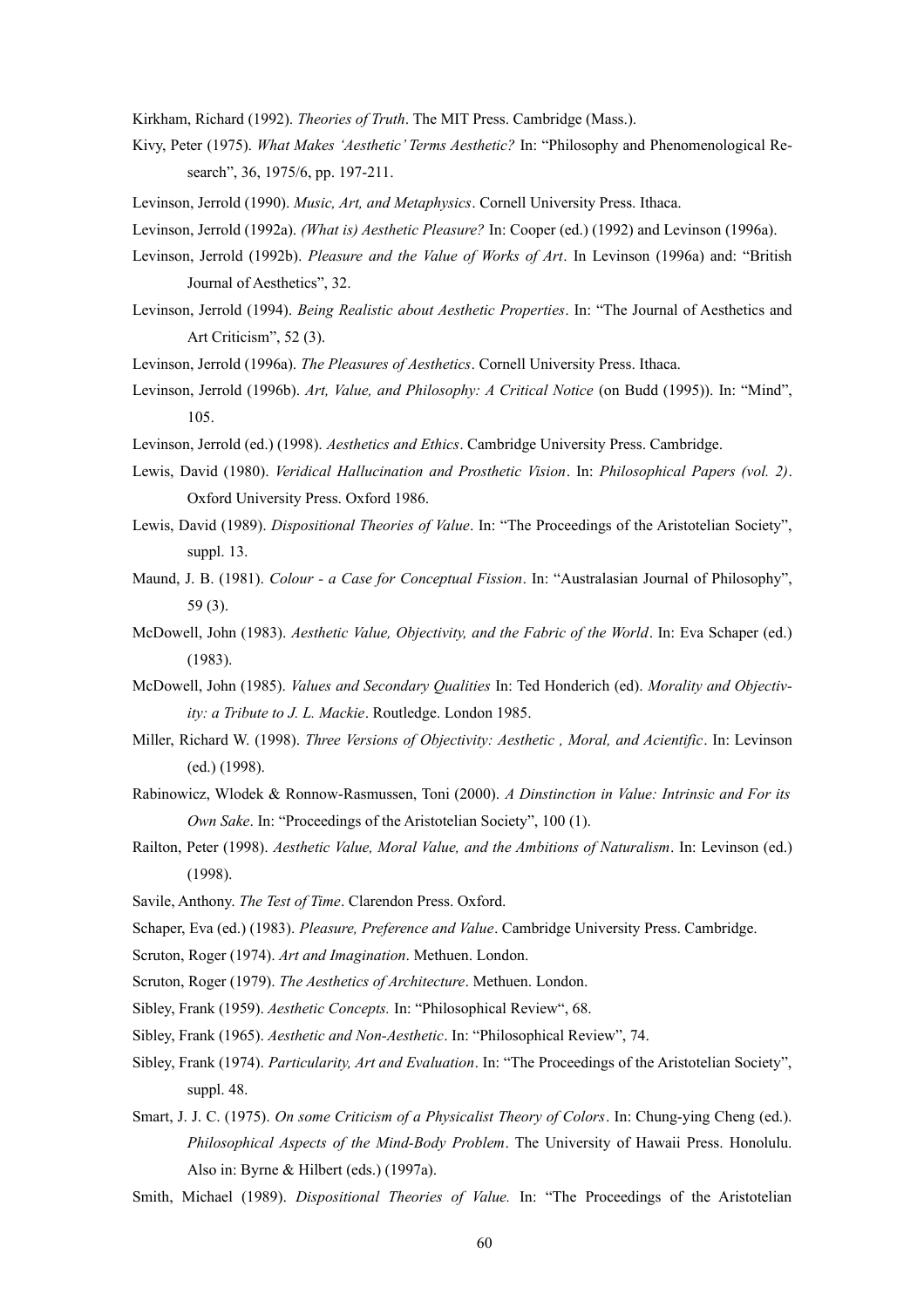Kirkham, Richard (1992). *Theories of Truth*. The MIT Press. Cambridge (Mass.).

- Kivy, Peter (1975). *What Makes 'Aesthetic' Terms Aesthetic?* In: "Philosophy and Phenomenological Research", 36, 1975/6, pp. 197-211.
- Levinson, Jerrold (1990). *Music, Art, and Metaphysics*. Cornell University Press. Ithaca.
- Levinson, Jerrold (1992a). *(What is) Aesthetic Pleasure?* In: Cooper (ed.) (1992) and Levinson (1996a).
- Levinson, Jerrold (1992b). *Pleasure and the Value of Works of Art*. In Levinson (1996a) and: "British Journal of Aesthetics", 32.
- Levinson, Jerrold (1994). *Being Realistic about Aesthetic Properties*. In: "The Journal of Aesthetics and Art Criticism", 52 (3).
- Levinson, Jerrold (1996a). *The Pleasures of Aesthetics*. Cornell University Press. Ithaca.
- Levinson, Jerrold (1996b). Art, Value, and Philosophy: A Critical Notice (on Budd (1995)). In: "Mind", 105.
- Levinson, Jerrold (ed.) (1998). *Aesthetics and Ethics*. Cambridge University Press. Cambridge.
- Lewis, David (1980). *Veridical Hallucination and Prosthetic Vision*. In: *Philosophical Papers (vol. 2)*. Oxford University Press. Oxford 1986.
- Lewis, David (1989). *Dispositional Theories of Value*. In: "The Proceedings of the Aristotelian Society", suppl. 13.
- Maund, J. B. (1981). *Colour a Case for Conceptual Fission*. In: "Australasian Journal of Philosophy", 59 (3).
- McDowell, John (1983). *Aesthetic Value, Objectivity, and the Fabric of the World*. In: Eva Schaper (ed.) (1983).
- McDowell, John (1985). *Values and Secondary Qualities* In: Ted Honderich (ed). *Morality and Objectivity: a Tribute to J. L. Mackie*. Routledge. London 1985.
- Miller, Richard W. (1998). *Three Versions of Objectivity: Aesthetic , Moral, and Acientific*. In: Levinson (ed.) (1998).
- Rabinowicz, Wlodek & Ronnow-Rasmussen, Toni (2000). *A Dinstinction in Value: Intrinsic and For its Own Sake*. In: "Proceedings of the Aristotelian Society", 100 (1).
- Railton, Peter (1998). *Aesthetic Value, Moral Value, and the Ambitions of Naturalism*. In: Levinson (ed.) (1998).
- Savile, Anthony. *The Test of Time*. Clarendon Press. Oxford.
- Schaper, Eva (ed.) (1983). *Pleasure, Preference and Value*. Cambridge University Press. Cambridge.
- Scruton, Roger (1974). *Art and Imagination*. Methuen. London.
- Scruton, Roger (1979). *The Aesthetics of Architecture*. Methuen. London.
- Sibley, Frank (1959). *Aesthetic Concepts.* In: "Philosophical Review", 68.
- Sibley, Frank (1965). *Aesthetic and Non-Aesthetic*. In: "Philosophical Review", 74.
- Sibley, Frank (1974). *Particularity, Art and Evaluation*. In: "The Proceedings of the Aristotelian Society", suppl. 48.
- Smart, J. J. C. (1975). *On some Criticism of a Physicalist Theory of Colors*. In: Chung-ying Cheng (ed.). *Philosophical Aspects of the Mind-Body Problem*. The University of Hawaii Press. Honolulu. Also in: Byrne & Hilbert (eds.) (1997a).
- Smith, Michael (1989). *Dispositional Theories of Value.* In: "The Proceedings of the Aristotelian